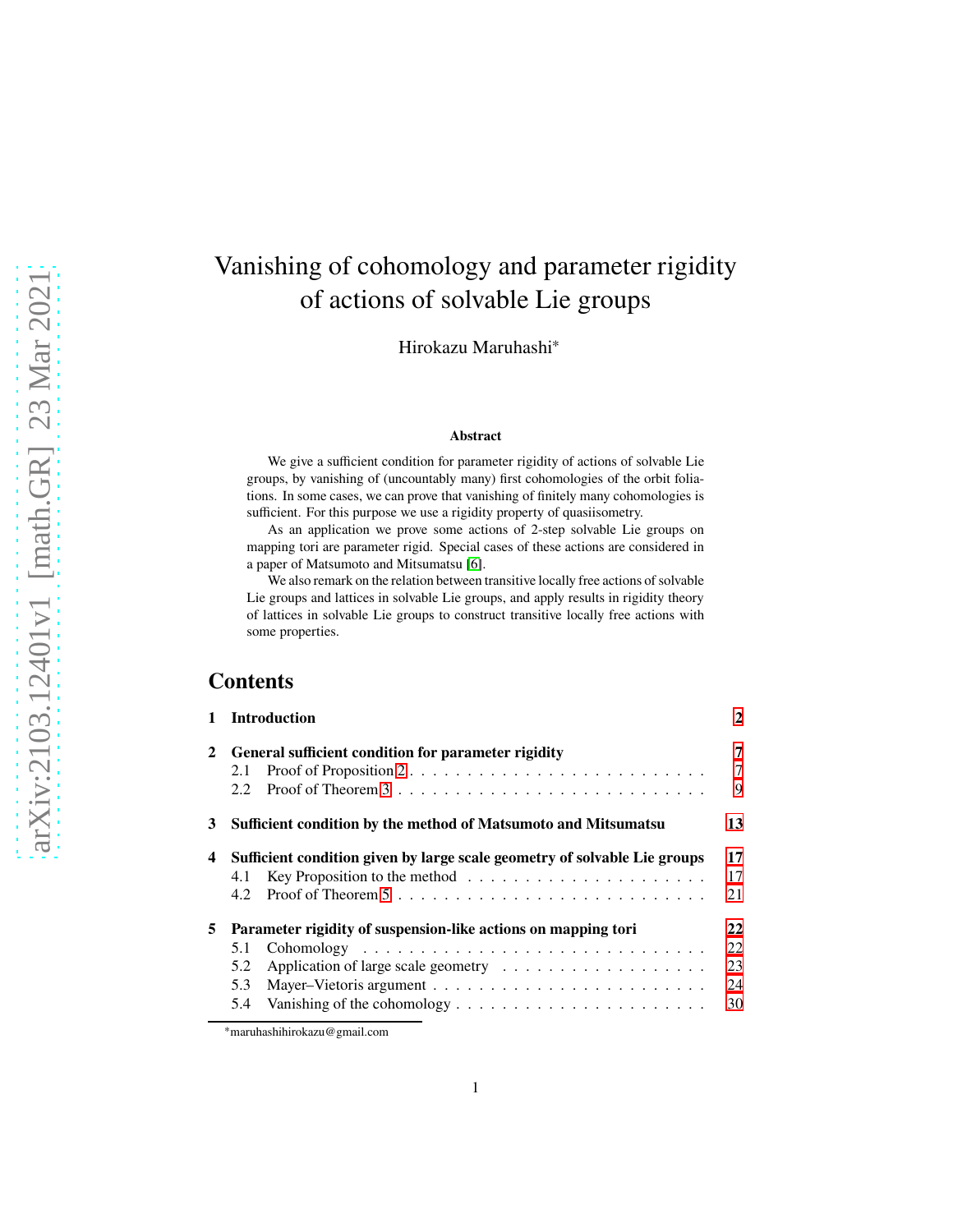# Vanishing of cohomology and parameter rigidity of actions of solvable Lie groups

Hirokazu Maruhashi<sup>∗</sup>

#### **Abstract**

We give a sufficient condition for parameter rigidity of actions of solvable Lie groups, by vanishing of (uncountably many) first cohomologies of the orbit foliations. In some cases, we can prove that vanishing of finitely many cohomologies is sufficient. For this purpose we use a rigidity property of quasiisometry.

As an application we prove some actions of 2-step solvable Lie groups on mapping tori are parameter rigid. Special cases of these actions are considered in a paper of Matsumoto and Mitsumatsu [\[6\]](#page-34-0).

We also remark on the relation between transitive locally free actions of solvable Lie groups and lattices in solvable Lie groups, and apply results in rigidity theory of lattices in solvable Lie groups to construct transitive locally free actions with some properties.

## **Contents**

| $\mathbf{1}$ | <b>Introduction</b>                                                                                                                                                        | 2                          |
|--------------|----------------------------------------------------------------------------------------------------------------------------------------------------------------------------|----------------------------|
| 2            | General sufficient condition for parameter rigidity<br>2.1<br>2.2                                                                                                          | 7<br>7<br>9                |
| 3            | Sufficient condition by the method of Matsumoto and Mitsumatsu                                                                                                             | 13                         |
| 4            | Sufficient condition given by large scale geometry of solvable Lie groups<br>Key Proposition to the method $\dots \dots \dots \dots \dots \dots \dots \dots$<br>4.1<br>4.2 | 17<br>17<br>21             |
| 5            | Parameter rigidity of suspension-like actions on mapping tori<br>5.1<br>5.2<br>5.3<br>Vanishing of the cohomology $\dots \dots \dots \dots \dots \dots \dots \dots$<br>5.4 | 22<br>22<br>23<br>24<br>30 |

<sup>∗</sup>maruhashihirokazu@gmail.com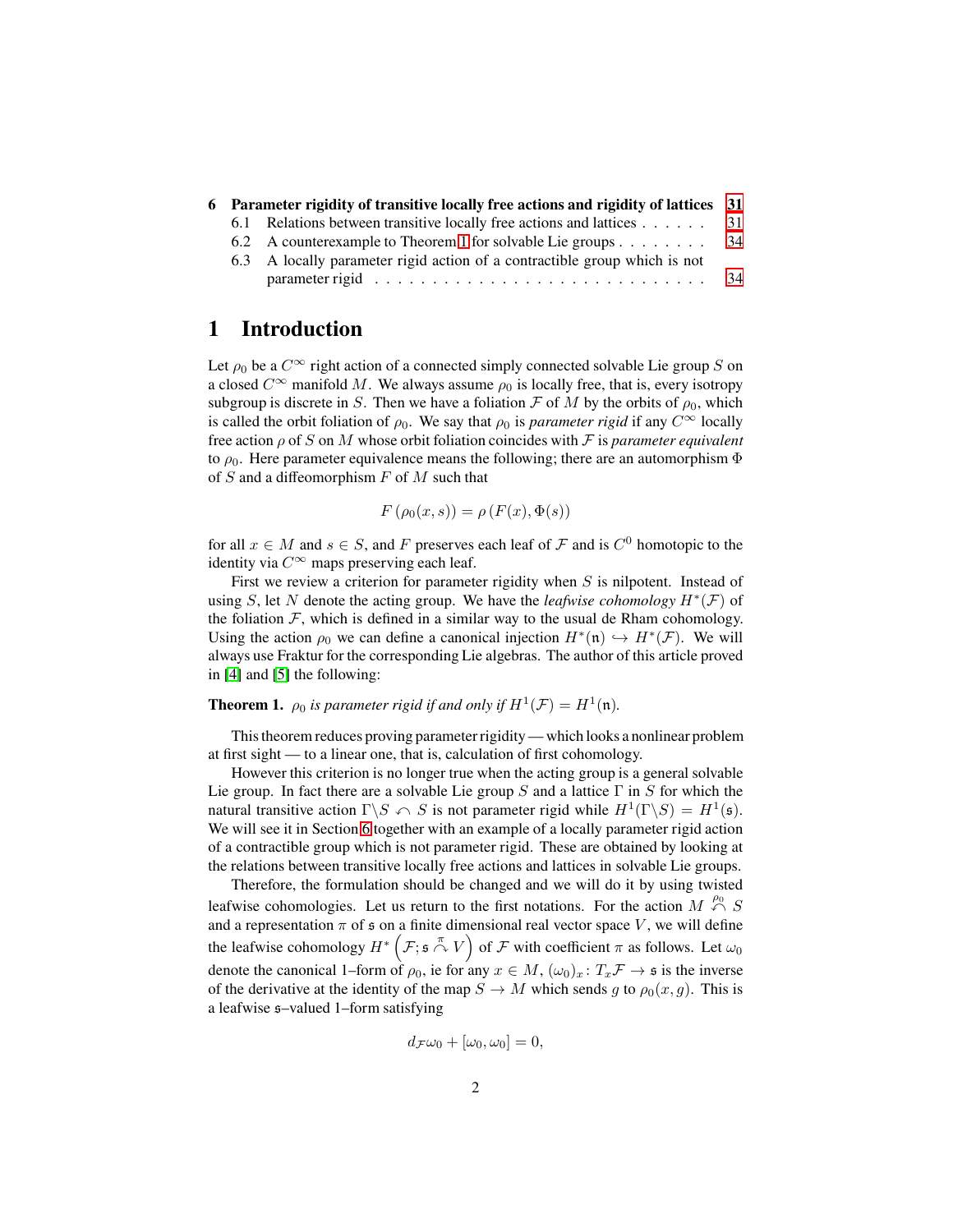|     | 6 Parameter rigidity of transitive locally free actions and rigidity of lattices 31 |     |
|-----|-------------------------------------------------------------------------------------|-----|
| 6.1 | Relations between transitive locally free actions and lattices 31                   |     |
|     | 6.2 A counterexample to Theorem 1 for solvable Lie groups                           | -34 |
|     | 6.3 A locally parameter rigid action of a contractible group which is not           |     |
|     |                                                                                     | -34 |

## <span id="page-1-0"></span>**1 Introduction**

Let  $\rho_0$  be a  $C^{\infty}$  right action of a connected simply connected solvable Lie group S on a closed  $C^{\infty}$  manifold M. We always assume  $\rho_0$  is locally free, that is, every isotropy subgroup is discrete in S. Then we have a foliation F of M by the orbits of  $\rho_0$ , which is called the orbit foliation of  $\rho_0$ . We say that  $\rho_0$  is *parameter rigid* if any  $C^{\infty}$  locally free action  $\rho$  of S on M whose orbit foliation coincides with F is *parameter equivalent* to  $\rho_0$ . Here parameter equivalence means the following; there are an automorphism  $\Phi$ of  $S$  and a diffeomorphism  $F$  of  $M$  such that

$$
F(\rho_0(x,s)) = \rho(F(x), \Phi(s))
$$

for all  $x \in M$  and  $s \in S$ , and F preserves each leaf of F and is  $C^0$  homotopic to the identity via  $C^{\infty}$  maps preserving each leaf.

First we review a criterion for parameter rigidity when  $S$  is nilpotent. Instead of using S, let N denote the acting group. We have the *leafwise cohomology*  $H^*(\mathcal{F})$  of the foliation  $\mathcal F$ , which is defined in a similar way to the usual de Rham cohomology. Using the action  $\rho_0$  we can define a canonical injection  $H^*(n) \hookrightarrow H^*(\mathcal{F})$ . We will always use Fraktur for the corresponding Lie algebras. The author of this article proved in [\[4\]](#page-34-1) and [\[5\]](#page-34-2) the following:

<span id="page-1-1"></span>**Theorem 1.**  $\rho_0$  is parameter rigid if and only if  $H^1(\mathcal{F}) = H^1(\mathfrak{n})$ .

This theorem reduces proving parameter rigidity— which looks a nonlinear problem at first sight — to a linear one, that is, calculation of first cohomology.

However this criterion is no longer true when the acting group is a general solvable Lie group. In fact there are a solvable Lie group S and a lattice  $\Gamma$  in S for which the natural transitive action  $\Gamma \backslash S \cap S$  is not parameter rigid while  $H^1(\Gamma \backslash S) = H^1(\mathfrak{s})$ . We will see it in Section [6](#page-30-0) together with an example of a locally parameter rigid action of a contractible group which is not parameter rigid. These are obtained by looking at the relations between transitive locally free actions and lattices in solvable Lie groups.

Therefore, the formulation should be changed and we will do it by using twisted leafwise cohomologies. Let us return to the first notations. For the action  $M \stackrel{\rho_0}{\curvearrowleft} S$ and a representation  $\pi$  of  $\frak s$  on a finite dimensional real vector space V, we will define the leafwise cohomology  $H^*\left(\mathcal{F}; \mathfrak{s} \stackrel{\pi}{\curvearrowright} V\right)$  of  $\mathcal F$  with coefficient  $\pi$  as follows. Let  $\omega_0$ denote the canonical 1–form of  $\rho_0$ , ie for any  $x \in M$ ,  $(\omega_0)_x : T_x \mathcal{F} \to \mathfrak{s}$  is the inverse of the derivative at the identity of the map  $S \to M$  which sends q to  $\rho_0(x, q)$ . This is a leafwise s–valued 1–form satisfying

$$
d_{\mathcal{F}}\omega_0 + [\omega_0, \omega_0] = 0,
$$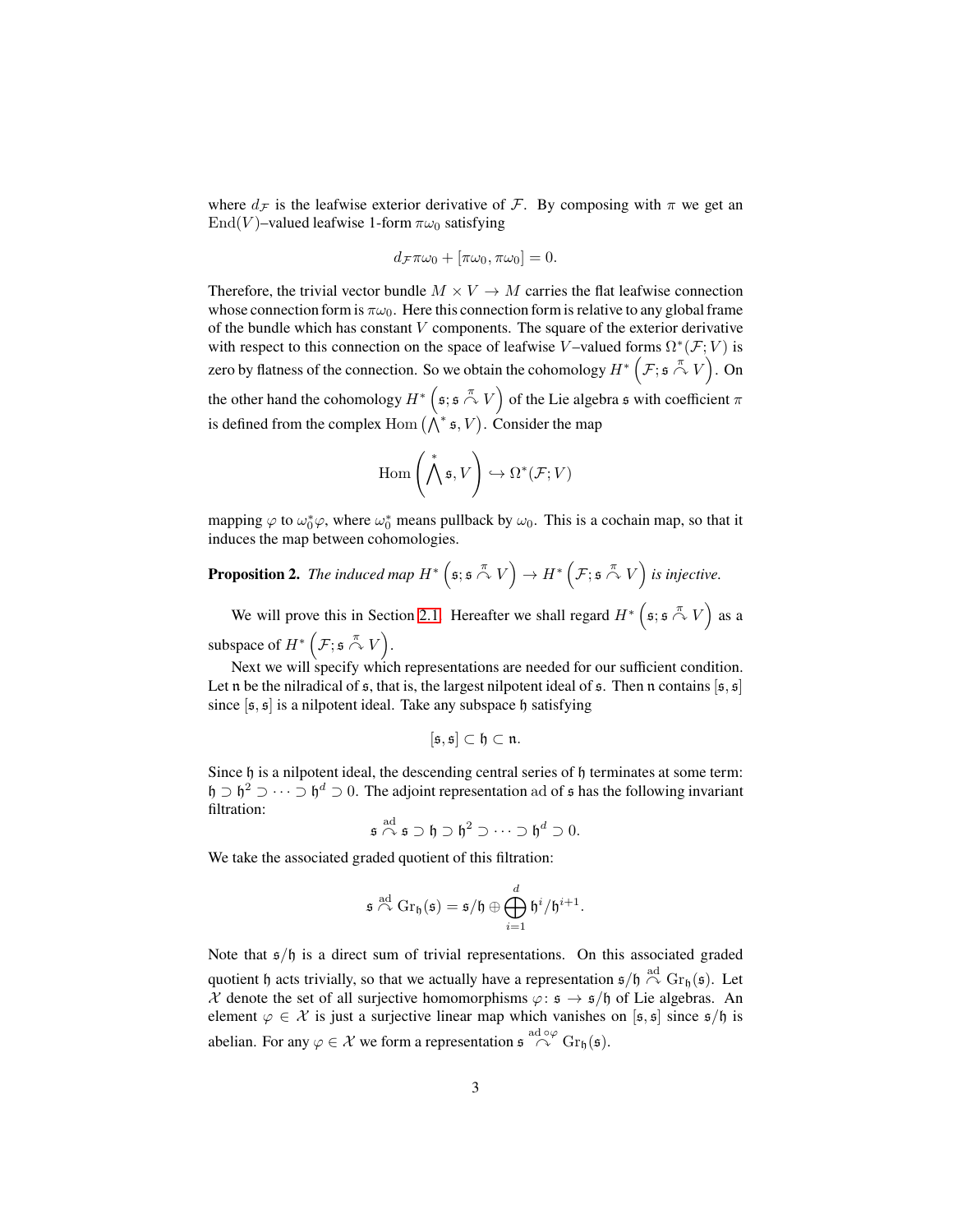where  $d_{\mathcal{F}}$  is the leafwise exterior derivative of  $\mathcal{F}$ . By composing with  $\pi$  we get an End(V)–valued leafwise 1-form  $\pi\omega_0$  satisfying

$$
d_{\mathcal{F}}\pi\omega_0 + [\pi\omega_0, \pi\omega_0] = 0.
$$

Therefore, the trivial vector bundle  $M \times V \to M$  carries the flat leafwise connection whose connection form is  $\pi\omega_0$ . Here this connection form is relative to any global frame of the bundle which has constant  $V$  components. The square of the exterior derivative with respect to this connection on the space of leafwise V–valued forms  $\Omega^*(\mathcal{F}; V)$  is zero by flatness of the connection. So we obtain the cohomology  $H^*\left(\mathcal{F};\mathfrak{s}\stackrel{\pi}{\curvearrowright} V\right)$ . On

the other hand the cohomology  $H^*$   $(s; s \stackrel{\pi}{\curvearrowright} V)$  of the Lie algebra s with coefficient  $\pi$ is defined from the complex Hom  $(\bigwedge^* s, V)$ . Consider the map

$$
\mathrm{Hom}\left(\bigwedge^* \mathfrak{s}, V\right) \hookrightarrow \Omega^*(\mathcal{F}; V)
$$

mapping  $\varphi$  to  $\omega_0^* \varphi$ , where  $\omega_0^*$  means pullback by  $\omega_0$ . This is a cochain map, so that it induces the map between cohomologies.

<span id="page-2-0"></span>**Proposition 2.** The induced map  $H^*$   $(\mathfrak{s}; \mathfrak{s} \stackrel{\pi}{\curvearrowright} V) \rightarrow H^*$   $(\mathcal{F}; \mathfrak{s} \stackrel{\pi}{\curvearrowright} V)$  is injective.

We will prove this in Section [2.1.](#page-6-1) Hereafter we shall regard  $H^*$   $(s; s \stackrel{\pi}{\curvearrowright} V)$  as a subspace of  $H^*$   $\left( \mathcal{F}; \mathfrak{s} \stackrel{\pi}{\curvearrowright} V \right)$ .

Next we will specify which representations are needed for our sufficient condition. Let n be the nilradical of  $\epsilon$ , that is, the largest nilpotent ideal of  $\epsilon$ . Then n contains  $[\epsilon, \epsilon]$ since  $[s, s]$  is a nilpotent ideal. Take any subspace h satisfying

$$
[\mathfrak{s},\mathfrak{s}]\subset\mathfrak{h}\subset\mathfrak{n}.
$$

Since  $\mathfrak h$  is a nilpotent ideal, the descending central series of  $\mathfrak h$  terminates at some term:  $\mathfrak{h} \supset \mathfrak{h}^2 \supset \cdots \supset \mathfrak{h}^d \supset 0$ . The adjoint representation ad of s has the following invariant filtration:

$$
\mathfrak{s} \overset{\text{ad}}{\curvearrowright} \mathfrak{s} \supset \mathfrak{h} \supset \mathfrak{h}^2 \supset \cdots \supset \mathfrak{h}^d \supset 0.
$$

We take the associated graded quotient of this filtration:

$$
\mathfrak{s} \overset{\text{ad}}{\curvearrowright} \mathrm{Gr}_\mathfrak{h}(\mathfrak{s}) = \mathfrak{s}/\mathfrak{h} \oplus \bigoplus_{i=1}^d \mathfrak{h}^i/\mathfrak{h}^{i+1}.
$$

Note that  $s/f$  is a direct sum of trivial representations. On this associated graded quotient h acts trivially, so that we actually have a representation  $\mathfrak{s}/\mathfrak{h} \stackrel{\text{ad}}{\curvearrowright} \text{Gr}_{\mathfrak{h}}(\mathfrak{s})$ . Let X denote the set of all surjective homomorphisms  $\varphi: \mathfrak{s} \to \mathfrak{s}/\mathfrak{h}$  of Lie algebras. An element  $\varphi \in \mathcal{X}$  is just a surjective linear map which vanishes on [ $\mathfrak{s}, \mathfrak{s}$ ] since  $\mathfrak{s}/\mathfrak{h}$  is abelian. For any  $\varphi \in \mathcal{X}$  we form a representation  $\mathfrak{s} \stackrel{\text{ad } \circ \varphi}{\curvearrowright}$  Gr<sub>h</sub>( $\mathfrak{s}$ ).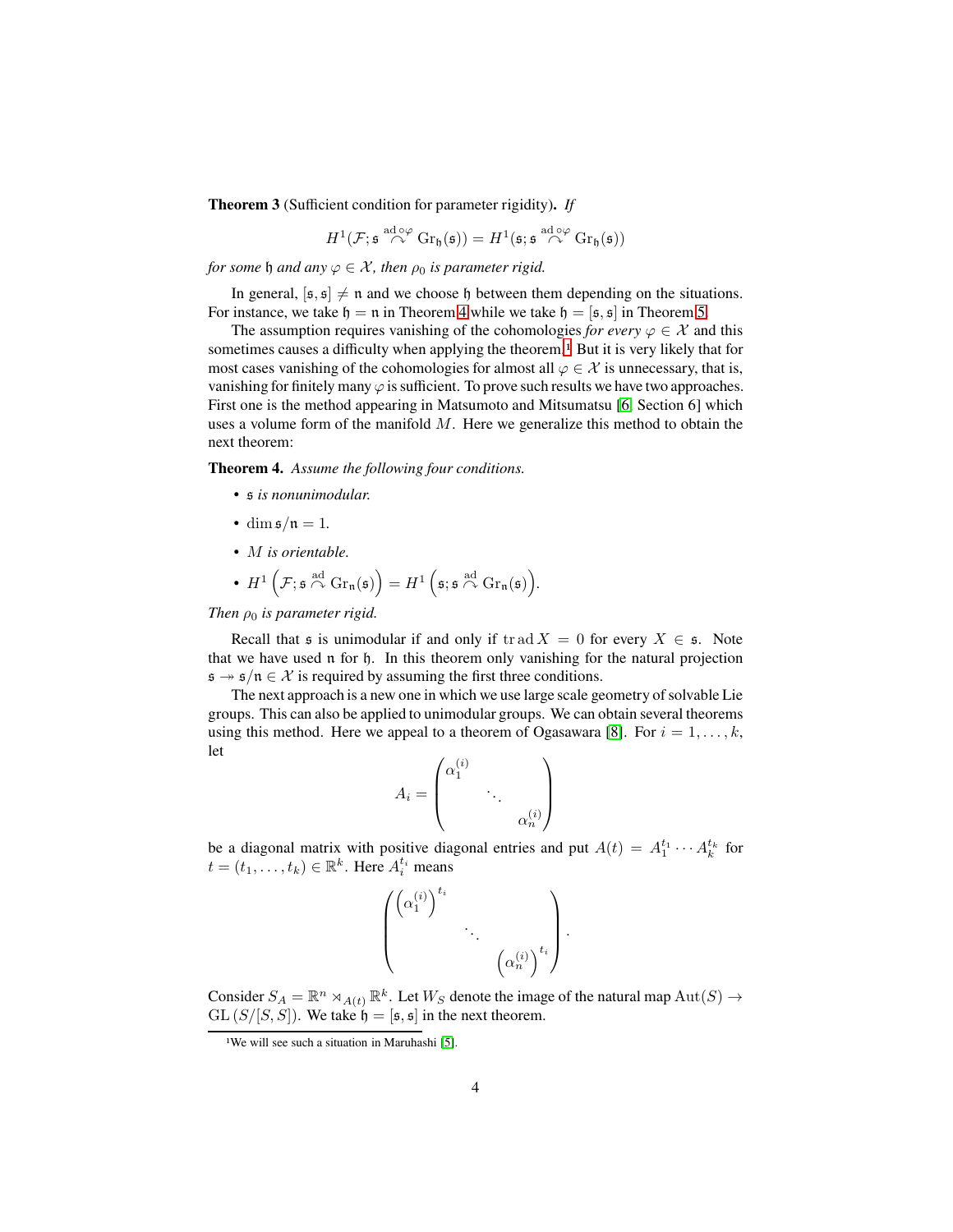<span id="page-3-0"></span>**Theorem 3** (Sufficient condition for parameter rigidity)**.** *If*

$$
H^1(\mathcal{F}; \mathfrak{s} \stackrel{\mathrm{ad} \circ \varphi}{\curvearrowright} \mathrm{Gr}_\mathfrak{h}(\mathfrak{s})) = H^1(\mathfrak{s}; \mathfrak{s} \stackrel{\mathrm{ad} \circ \varphi}{\curvearrowright} \mathrm{Gr}_\mathfrak{h}(\mathfrak{s}))
$$

*for some*  $\mathfrak h$  *and any*  $\varphi \in \mathcal X$ *, then*  $\rho_0$  *is parameter rigid.* 

In general,  $[s, s] \neq n$  and we choose h between them depending on the situations. For instance, we take  $h = n$  in Theorem [4](#page-3-1) while we take  $h = [s, s]$  in Theorem [5.](#page-4-0)

The assumption requires vanishing of the cohomologies *for every*  $\varphi \in \mathcal{X}$  and this sometimes causes a difficulty when applying the theorem.<sup>[1](#page-3-2)</sup> But it is very likely that for most cases vanishing of the cohomologies for almost all  $\varphi \in \mathcal{X}$  is unnecessary, that is, vanishing for finitely many  $\varphi$  is sufficient. To prove such results we have two approaches. First one is the method appearing in Matsumoto and Mitsumatsu [\[6,](#page-34-0) Section 6] which uses a volume form of the manifold  $M$ . Here we generalize this method to obtain the next theorem:

<span id="page-3-1"></span>**Theorem 4.** *Assume the following four conditions.*

- s *is nonunimodular.*
- dim  $\frac{\sin \frac{\pi}{n}}{n} = 1$ .
- M *is orientable.*
- $H^1\left(\mathcal{F}; \mathfrak{s} \stackrel{\text{ad}}{\curvearrowright} \text{Gr}_{\mathfrak{n}}(\mathfrak{s})\right) = H^1\left(\mathfrak{s}; \mathfrak{s} \stackrel{\text{ad}}{\curvearrowright} \text{Gr}_{\mathfrak{n}}(\mathfrak{s})\right).$

*Then*  $\rho_0$  *is parameter rigid.* 

Recall that  $\mathfrak s$  is unimodular if and only if tr ad  $X = 0$  for every  $X \in \mathfrak s$ . Note that we have used n for h. In this theorem only vanishing for the natural projection  $\mathfrak{s} \rightarrow \mathfrak{s}/\mathfrak{n} \in \mathcal{X}$  is required by assuming the first three conditions.

The next approach is a new one in which we use large scale geometry of solvable Lie groups. This can also be applied to unimodular groups. We can obtain several theorems using this method. Here we appeal to a theorem of Ogasawara [\[8\]](#page-34-3). For  $i = 1, \ldots, k$ , let

$$
A_i = \begin{pmatrix} \alpha_1^{(i)} & & \\ & \ddots & \\ & & \alpha_n^{(i)} \end{pmatrix}
$$

be a diagonal matrix with positive diagonal entries and put  $A(t) = A_1^{t_1} \cdots A_k^{t_k}$  for  $t = (t_1, \ldots, t_k) \in \mathbb{R}^k$ . Here  $A_i^{t_i}$  means

$$
\begin{pmatrix} \left(\alpha_1^{(i)}\right)^{t_i} & & \\ & \ddots & \\ & & \left(\alpha_n^{(i)}\right)^{t_i} \end{pmatrix}
$$

.

Consider  $S_A = \mathbb{R}^n \rtimes_{A(t)} \mathbb{R}^k$ . Let  $W_S$  denote the image of the natural map  $\mathrm{Aut}(S) \to$  $GL(S/[S, S])$ . We take  $\mathfrak{h} = [\mathfrak{s}, \mathfrak{s}]$  in the next theorem.

<span id="page-3-2"></span><sup>&</sup>lt;sup>1</sup>We will see such a situation in Maruhashi [\[5\]](#page-34-2).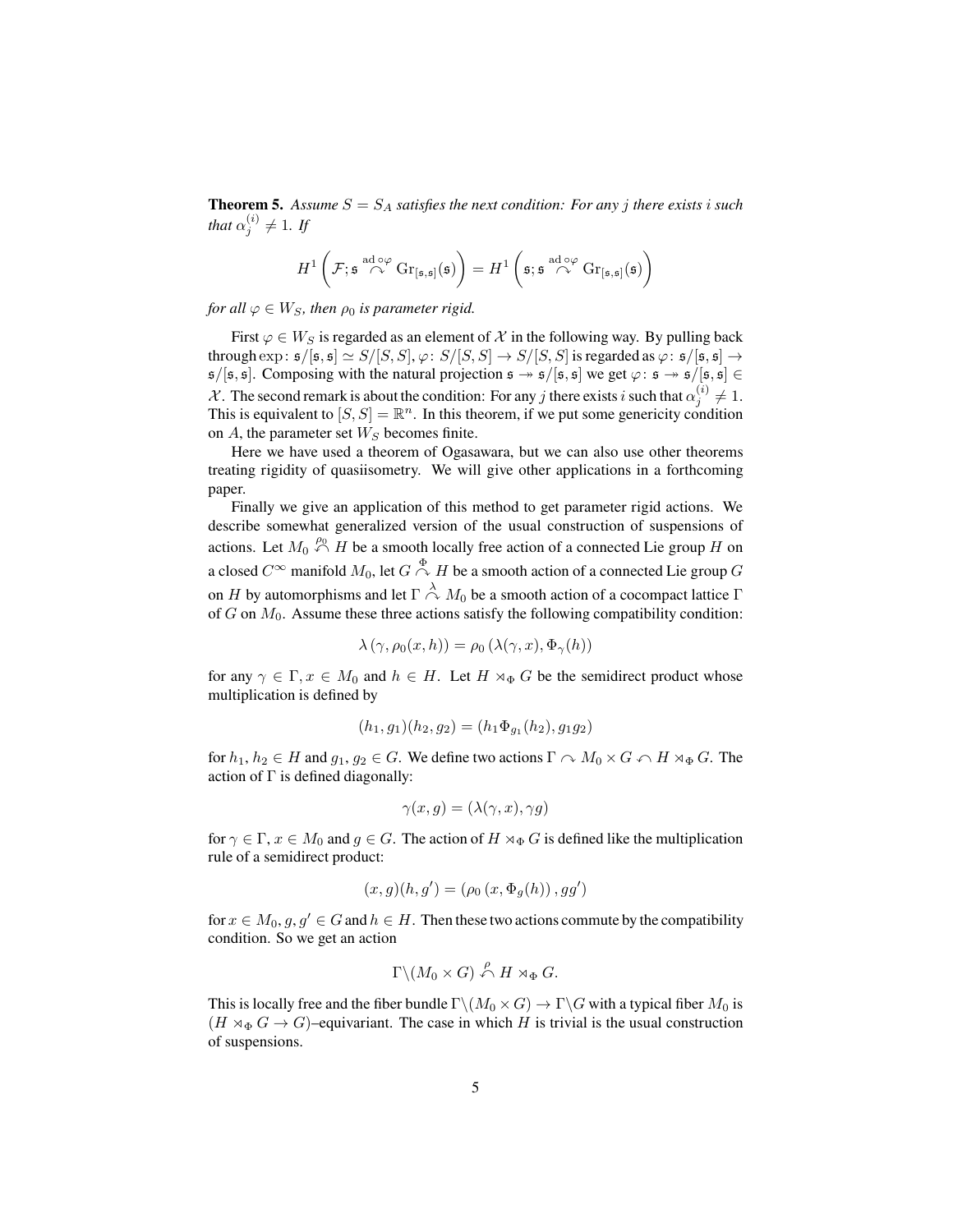<span id="page-4-0"></span>**Theorem 5.** Assume  $S = S_A$  satisfies the next condition: For any j there exists i such that  $\alpha_j^{(i)} \neq 1$ . If

$$
H^1\left(\mathcal{F}; \mathfrak{s} \stackrel{\mathrm{ad}\circ\varphi}{\curvearrowright} \mathrm{Gr}_{[\mathfrak{s},\mathfrak{s}]}(\mathfrak{s})\right) = H^1\left(\mathfrak{s}; \mathfrak{s} \stackrel{\mathrm{ad}\circ\varphi}{\curvearrowright} \mathrm{Gr}_{[\mathfrak{s},\mathfrak{s}]}(\mathfrak{s})\right)
$$

*for all*  $\varphi \in W_S$ *, then*  $\rho_0$  *is parameter rigid.* 

First  $\varphi \in W_S$  is regarded as an element of X in the following way. By pulling back through  $\exp: \mathfrak{s}/[\mathfrak{s}, \mathfrak{s}] \simeq S/[S, S], \varphi: S/[S, S] \rightarrow S/[S, S]$  is regarded as  $\varphi: \mathfrak{s}/[\mathfrak{s}, \mathfrak{s}] \rightarrow$  $\mathfrak{s}/[\mathfrak{s}, \mathfrak{s}]$ . Composing with the natural projection  $\mathfrak{s} \rightarrow \mathfrak{s}/[\mathfrak{s}, \mathfrak{s}]$  we get  $\varphi: \mathfrak{s} \rightarrow \mathfrak{s}/[\mathfrak{s}, \mathfrak{s}] \in$ X. The second remark is about the condition: For any j there exists i such that  $\alpha_j^{(i)} \neq 1$ . This is equivalent to  $[S, S] = \mathbb{R}^n$ . In this theorem, if we put some genericity condition on  $A$ , the parameter set  $W_S$  becomes finite.

Here we have used a theorem of Ogasawara, but we can also use other theorems treating rigidity of quasiisometry. We will give other applications in a forthcoming paper.

Finally we give an application of this method to get parameter rigid actions. We describe somewhat generalized version of the usual construction of suspensions of actions. Let  $M_0 \stackrel{\rho_0}{\curvearrowleft} H$  be a smooth locally free action of a connected Lie group H on a closed  $C^\infty$  manifold  $M_0$ , let  $G\stackrel{\Phi}{\curvearrowright}H$  be a smooth action of a connected Lie group  $G$ on H by automorphisms and let  $\Gamma \stackrel{\lambda}{\curvearrowright} M_0$  be a smooth action of a cocompact lattice  $\Gamma$ of  $G$  on  $M_0$ . Assume these three actions satisfy the following compatibility condition:

$$
\lambda(\gamma, \rho_0(x, h)) = \rho_0(\lambda(\gamma, x), \Phi_\gamma(h))
$$

for any  $\gamma \in \Gamma$ ,  $x \in M_0$  and  $h \in H$ . Let  $H \rtimes_{\Phi} G$  be the semidirect product whose multiplication is defined by

$$
(h_1, g_1)(h_2, g_2) = (h_1 \Phi_{g_1}(h_2), g_1 g_2)
$$

for  $h_1, h_2 \in H$  and  $g_1, g_2 \in G$ . We define two actions  $\Gamma \cap M_0 \times G \cap H \rtimes_{\Phi} G$ . The action of  $\Gamma$  is defined diagonally:

$$
\gamma(x, g) = (\lambda(\gamma, x), \gamma g)
$$

for  $\gamma \in \Gamma$ ,  $x \in M_0$  and  $g \in G$ . The action of  $H \rtimes_{\Phi} G$  is defined like the multiplication rule of a semidirect product:

$$
(x, g)(h, g') = (\rho_0(x, \Phi_g(h)), gg')
$$

for  $x \in M_0, g, g' \in G$  and  $h \in H$ . Then these two actions commute by the compatibility condition. So we get an action

$$
\Gamma \backslash (M_0 \times G) \stackrel{\rho}{\curvearrowleft} H \rtimes_{\Phi} G.
$$

This is locally free and the fiber bundle  $\Gamma \backslash (M_0 \times G) \to \Gamma \backslash G$  with a typical fiber  $M_0$  is  $(H \rtimes_{\Phi} G \rightarrow G)$ –equivariant. The case in which H is trivial is the usual construction of suspensions.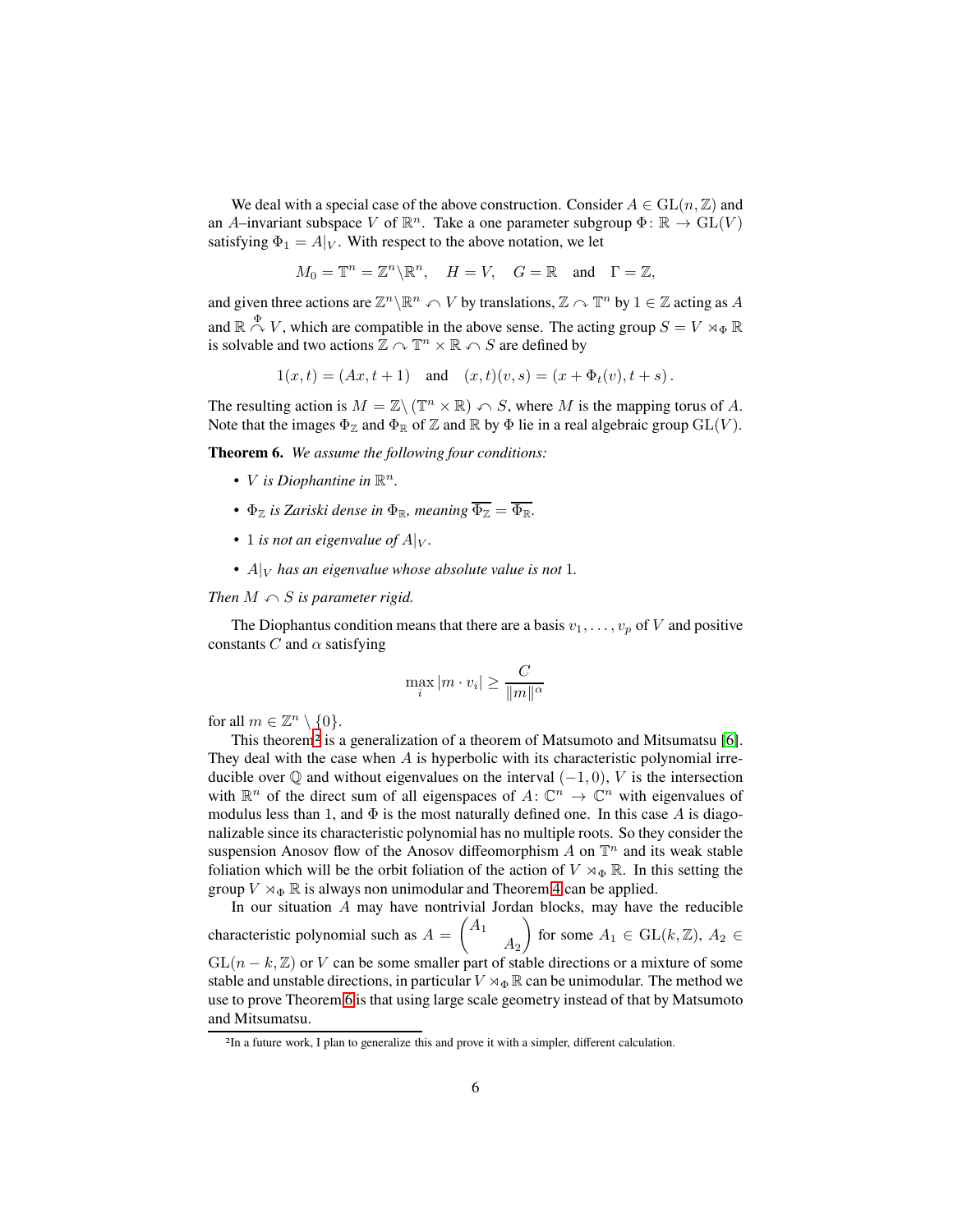We deal with a special case of the above construction. Consider  $A \in GL(n, \mathbb{Z})$  and an A-invariant subspace V of  $\mathbb{R}^n$ . Take a one parameter subgroup  $\Phi \colon \mathbb{R} \to GL(V)$ satisfying  $\Phi_1 = A|_V$ . With respect to the above notation, we let

 $M_0 = \mathbb{T}^n = \mathbb{Z}^n \backslash \mathbb{R}^n$ ,  $H = V$ ,  $G = \mathbb{R}$  and  $\Gamma = \mathbb{Z}$ ,

and given three actions are  $\mathbb{Z}^n \setminus \mathbb{R}^n \curvearrowleft V$  by translations,  $\mathbb{Z} \curvearrowright \mathbb{T}^n$  by  $1 \in \mathbb{Z}$  acting as  $A$ and  $\mathbb{R} \stackrel{\Phi}{\curvearrowright} V$ , which are compatible in the above sense. The acting group  $S = V \rtimes_{\Phi} \mathbb{R}$ is solvable and two actions  $\mathbb{Z} \curvearrowright \mathbb{T}^n \times \mathbb{R} \curvearrowleft S$  are defined by

 $1(x, t) = (Ax, t + 1)$  and  $(x, t)(v, s) = (x + \Phi_t(v), t + s)$ .

The resulting action is  $M = \mathbb{Z} \setminus (\mathbb{T}^n \times \mathbb{R}) \curvearrowleft S$ , where M is the mapping torus of A. Note that the images  $\Phi_{\mathbb{Z}}$  and  $\Phi_{\mathbb{R}}$  of  $\mathbb{Z}$  and  $\mathbb{R}$  by  $\Phi$  lie in a real algebraic group  $GL(V)$ .

<span id="page-5-1"></span>**Theorem 6.** *We assume the following four conditions:*

- *V* is Diophantine in  $\mathbb{R}^n$ .
- $\Phi_{\mathbb{Z}}$  *is Zariski dense in*  $\Phi_{\mathbb{R}}$ *, meaning*  $\overline{\Phi_{\mathbb{Z}}} = \overline{\Phi_{\mathbb{R}}}$ *.*
- 1 *is not an eigenvalue of*  $A|_V$ *.*
- $A|_V$  *has an eigenvalue whose absolute value is not* 1.

#### *Then*  $M \cap S$  *is parameter rigid.*

The Diophantus condition means that there are a basis  $v_1, \ldots, v_n$  of V and positive constants C and  $\alpha$  satisfying

$$
\max_{i} |m \cdot v_i| \ge \frac{C}{\|m\|^{\alpha}}
$$

for all  $m \in \mathbb{Z}^n \setminus \{0\}.$ 

This theorem<sup>[2](#page-5-0)</sup> is a generalization of a theorem of Matsumoto and Mitsumatsu [\[6\]](#page-34-0). They deal with the case when  $A$  is hyperbolic with its characteristic polynomial irreducible over  $\mathbb Q$  and without eigenvalues on the interval  $(-1, 0)$ , V is the intersection with  $\mathbb{R}^n$  of the direct sum of all eigenspaces of  $A: \mathbb{C}^n \to \mathbb{C}^n$  with eigenvalues of modulus less than 1, and  $\Phi$  is the most naturally defined one. In this case A is diagonalizable since its characteristic polynomial has no multiple roots. So they consider the suspension Anosov flow of the Anosov diffeomorphism  $A$  on  $\mathbb{T}^n$  and its weak stable foliation which will be the orbit foliation of the action of  $V \rtimes_{\Phi} \mathbb{R}$ . In this setting the group  $V \rtimes_{\Phi} \mathbb{R}$  is always non unimodular and Theorem [4](#page-3-1) can be applied.

In our situation A may have nontrivial Jordan blocks, may have the reducible characteristic polynomial such as  $A = \begin{pmatrix} A_1 \\ A_2 \end{pmatrix}$  $A_2$ for some  $A_1 \in GL(k, \mathbb{Z}), A_2 \in$  $GL(n - k, \mathbb{Z})$  or V can be some smaller part of stable directions or a mixture of some stable and unstable directions, in particular  $V \rtimes_{\Phi} \mathbb{R}$  can be unimodular. The method we use to prove Theorem [6](#page-5-1) is that using large scale geometry instead of that by Matsumoto and Mitsumatsu.

<span id="page-5-0"></span><sup>2</sup>In a future work, I plan to generalize this and prove it with a simpler, different calculation.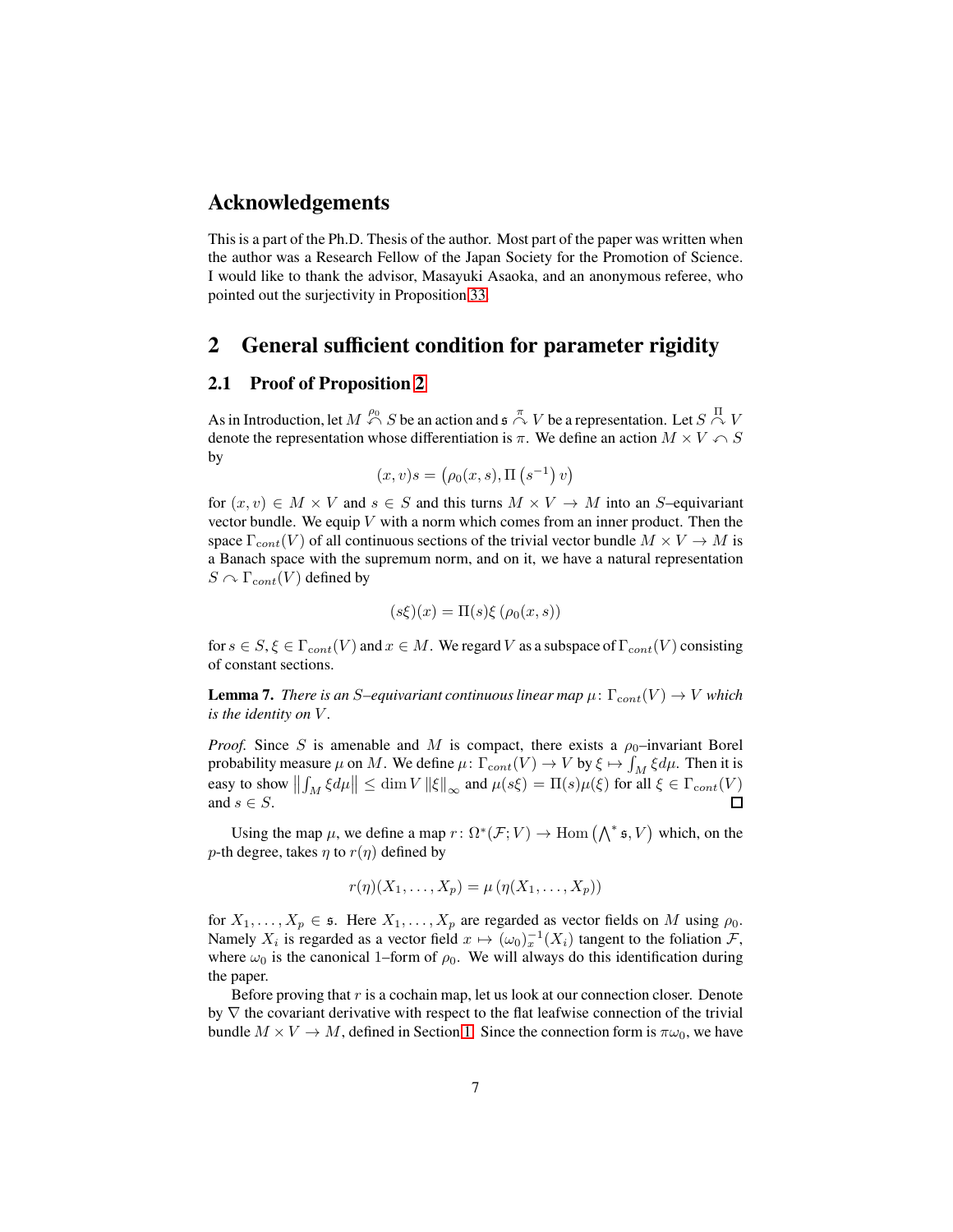### **Acknowledgements**

This is a part of the Ph.D. Thesis of the author. Most part of the paper was written when the author was a Research Fellow of the Japan Society for the Promotion of Science. I would like to thank the advisor, Masayuki Asaoka, and an anonymous referee, who pointed out the surjectivity in Proposition [33.](#page-30-2)

## <span id="page-6-0"></span>**2 General sufficient condition for parameter rigidity**

### <span id="page-6-1"></span>**2.1 Proof of Proposition [2](#page-2-0)**

As in Introduction, let  $M \stackrel{\rho_0}{\curvearrowleft} S$  be an action and  $\mathfrak{s} \stackrel{\pi}{\curvearrowright} V$  be a representation. Let  $S \stackrel{\Pi}{\curvearrowright} V$ denote the representation whose differentiation is  $\pi$ . We define an action  $M \times V \cap S$ by

$$
(x,v)s = (\rho_0(x,s), \Pi(s^{-1})v)
$$

for  $(x, v) \in M \times V$  and  $s \in S$  and this turns  $M \times V \to M$  into an S-equivariant vector bundle. We equip  $V$  with a norm which comes from an inner product. Then the space  $\Gamma_{cont}(V)$  of all continuous sections of the trivial vector bundle  $M \times V \to M$  is a Banach space with the supremum norm, and on it, we have a natural representation  $S \cap \Gamma_{cont}(V)$  defined by

$$
(s\xi)(x) = \Pi(s)\xi(\rho_0(x,s))
$$

for  $s \in S, \xi \in \Gamma_{cont}(V)$  and  $x \in M$ . We regard V as a subspace of  $\Gamma_{cont}(V)$  consisting of constant sections.

**Lemma 7.** *There is an S–equivariant continuous linear map*  $\mu$ :  $\Gamma_{cont}(V) \to V$  *which is the identity on* V *.*

*Proof.* Since S is amenable and M is compact, there exists a  $\rho_0$ -invariant Borel probability measure  $\mu$  on M. We define  $\mu \colon \Gamma_{cont}(V) \to V$  by  $\xi \mapsto \int_M \xi d\mu$ . Then it is easy to show  $\left\| \int_M \xi d\mu \right\| \leq \dim V \left\| \xi \right\|_{\infty}$  and  $\mu(s\xi) = \Pi(s)\mu(\xi)$  for all  $\xi \in \Gamma_{cont}(V)$ and  $s \in S$ .

Using the map  $\mu$ , we define a map  $r: \Omega^*(\mathcal{F}; V) \to \text{Hom}(\bigwedge^* \mathfrak{s}, V)$  which, on the p-th degree, takes  $\eta$  to  $r(\eta)$  defined by

$$
r(\eta)(X_1,\ldots,X_p)=\mu(\eta(X_1,\ldots,X_p))
$$

for  $X_1, \ldots, X_p \in \mathfrak{s}$ . Here  $X_1, \ldots, X_p$  are regarded as vector fields on M using  $\rho_0$ . Namely  $X_i$  is regarded as a vector field  $x \mapsto (\omega_0)_x^{-1}(X_i)$  tangent to the foliation  $\mathcal{F}$ , where  $\omega_0$  is the canonical 1–form of  $\rho_0$ . We will always do this identification during the paper.

Before proving that  $r$  is a cochain map, let us look at our connection closer. Denote by  $\nabla$  the covariant derivative with respect to the flat leafwise connection of the trivial bundle  $M \times V \to M$ , defined in Section [1.](#page-1-0) Since the connection form is  $\pi \omega_0$ , we have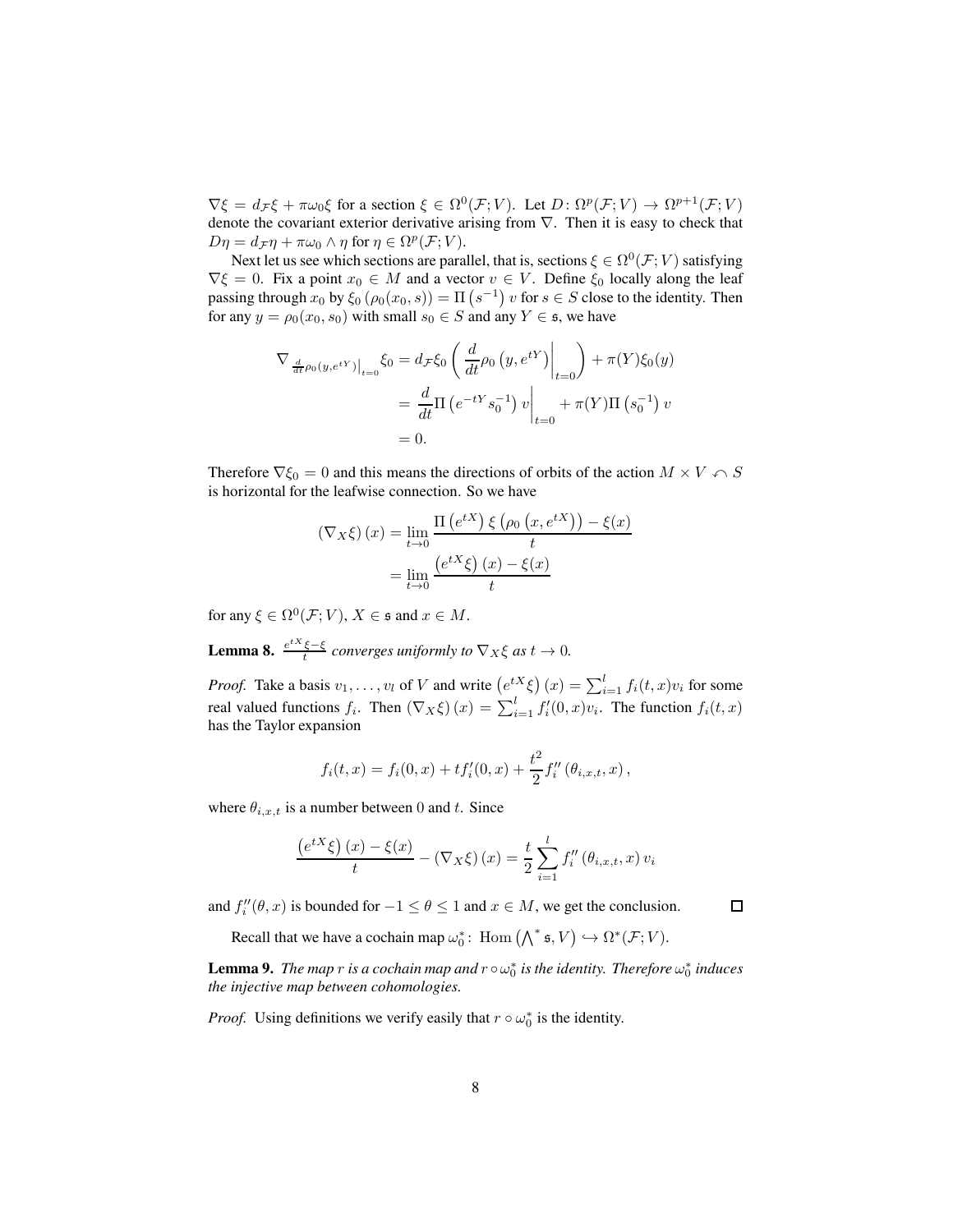$\nabla \xi = d_{\mathcal{F}} \xi + \pi \omega_0 \xi$  for a section  $\xi \in \Omega^0(\mathcal{F}; V)$ . Let  $D \colon \Omega^p(\mathcal{F}; V) \to \Omega^{p+1}(\mathcal{F}; V)$ denote the covariant exterior derivative arising from ∇. Then it is easy to check that  $D\eta = d_{\mathcal{F}}\eta + \pi\omega_0 \wedge \eta$  for  $\eta \in \Omega^p(\mathcal{F};V)$ .

Next let us see which sections are parallel, that is, sections  $\xi \in \Omega^0(\mathcal{F};V)$  satisfying  $\nabla \xi = 0$ . Fix a point  $x_0 \in M$  and a vector  $v \in V$ . Define  $\xi_0$  locally along the leaf passing through  $x_0$  by  $\xi_0 (\rho_0(x_0, s)) = \Pi (s^{-1}) v$  for  $s \in S$  close to the identity. Then for any  $y = \rho_0(x_0, s_0)$  with small  $s_0 \in S$  and any  $Y \in \mathfrak{s}$ , we have

$$
\nabla_{\frac{d}{dt}\rho_0(y,e^{tY})|_{t=0}}\xi_0 = d_{\mathcal{F}}\xi_0 \left(\frac{d}{dt}\rho_0(y,e^{tY})\Big|_{t=0}\right) + \pi(Y)\xi_0(y)
$$
  
=  $\frac{d}{dt}\Pi(e^{-tY}s_0^{-1})v\Big|_{t=0} + \pi(Y)\Pi(s_0^{-1})v$   
= 0.

Therefore  $\nabla \xi_0 = 0$  and this means the directions of orbits of the action  $M \times V \cap S$ is horizontal for the leafwise connection. So we have

$$
\left(\nabla_X \xi\right)(x) = \lim_{t \to 0} \frac{\Pi\left(e^{tX}\right)\xi\left(\rho_0\left(x, e^{tX}\right)\right) - \xi(x)}{t}
$$

$$
= \lim_{t \to 0} \frac{\left(e^{tX}\xi\right)(x) - \xi(x)}{t}
$$

for any  $\xi \in \Omega^0(\mathcal{F};V)$ ,  $X \in \mathfrak{s}$  and  $x \in M$ .

<span id="page-7-0"></span>**Lemma 8.**  $\frac{e^{tX}\xi-\xi}{t}$  converges uniformly to  $\nabla_X\xi$  as  $t\to 0$ .

*Proof.* Take a basis  $v_1, \ldots, v_l$  of V and write  $(e^{tX} \xi)(x) = \sum_{i=1}^l f_i(t, x)v_i$  for some real valued functions  $f_i$ . Then  $(\nabla_X \xi)(x) = \sum_{i=1}^l f'_i(0, x)v_i$ . The function  $f_i(t, x)$ has the Taylor expansion

$$
f_i(t,x) = f_i(0,x) + t f'_i(0,x) + \frac{t^2}{2} f''_i(\theta_{i,x,t},x) ,
$$

where  $\theta_{i,x,t}$  is a number between 0 and t. Since

$$
\frac{\left(e^{tX}\xi\right)(x) - \xi(x)}{t} - \left(\nabla_X\xi\right)(x) = \frac{t}{2}\sum_{i=1}^l f''_i\left(\theta_{i,x,t}, x\right)v_i
$$

and  $f''_i(\theta, x)$  is bounded for  $-1 \le \theta \le 1$  and  $x \in M$ , we get the conclusion.

Recall that we have a cochain map  $\omega_0^*$ : Hom  $(\bigwedge^* \mathfrak{s}, V) \hookrightarrow \Omega^*(\mathcal{F}; V)$ .

**Lemma 9.** The map  $r$  is a cochain map and  $r \circ \omega_0^*$  is the identity. Therefore  $\omega_0^*$  induces *the injective map between cohomologies.*

*Proof.* Using definitions we verify easily that  $r \circ \omega_0^*$  is the identity.

 $\Box$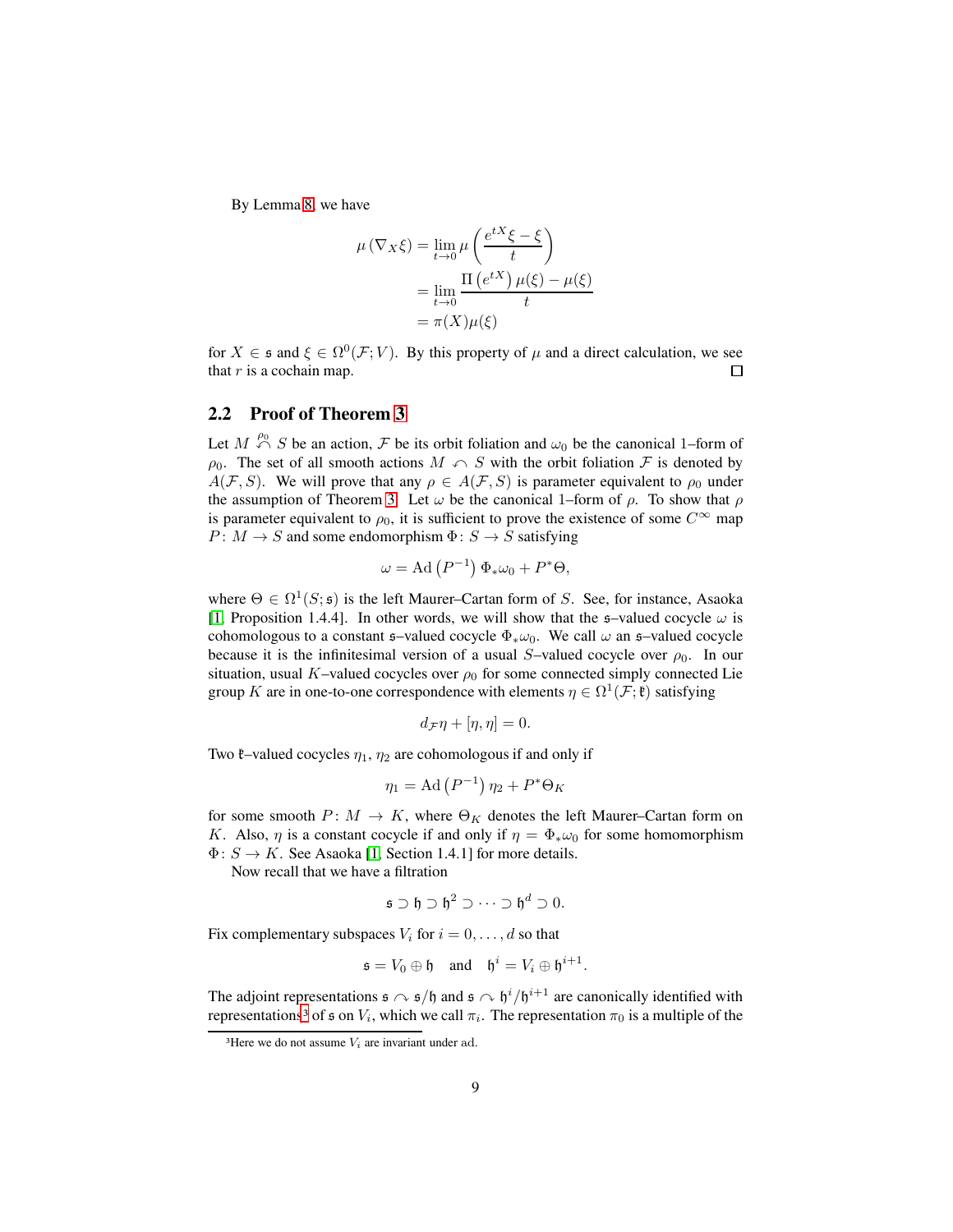By Lemma [8,](#page-7-0) we have

$$
\mu(\nabla_X \xi) = \lim_{t \to 0} \mu\left(\frac{e^{tX}\xi - \xi}{t}\right)
$$

$$
= \lim_{t \to 0} \frac{\Pi(e^{tX})\mu(\xi) - \mu(\xi)}{t}
$$

$$
= \pi(X)\mu(\xi)
$$

for  $X \in \mathfrak{s}$  and  $\xi \in \Omega^0(\mathcal{F}; V)$ . By this property of  $\mu$  and a direct calculation, we see that  $r$  is a cochain map.  $\Box$ 

### <span id="page-8-0"></span>**2.2 Proof of Theorem [3](#page-3-0)**

Let  $M \stackrel{\rho_0}{\curvearrowleft} S$  be an action,  $\mathcal F$  be its orbit foliation and  $\omega_0$  be the canonical 1–form of  $\rho_0$ . The set of all smooth actions  $M \cap S$  with the orbit foliation  $\mathcal F$  is denoted by  $A(F, S)$ . We will prove that any  $\rho \in A(F, S)$  is parameter equivalent to  $\rho_0$  under the assumption of Theorem [3.](#page-3-0) Let  $\omega$  be the canonical 1–form of  $\rho$ . To show that  $\rho$ is parameter equivalent to  $\rho_0$ , it is sufficient to prove the existence of some  $C^{\infty}$  map  $P: M \to S$  and some endomorphism  $\Phi: S \to S$  satisfying

$$
\omega = \mathrm{Ad}(P^{-1}) \, \Phi_* \omega_0 + P^* \Theta,
$$

where  $\Theta \in \Omega^1(S; \mathfrak{s})$  is the left Maurer–Cartan form of S. See, for instance, Asaoka [\[1,](#page-34-4) Proposition 1.4.4]. In other words, we will show that the  $\mathfrak{s}-$ valued cocycle  $\omega$  is cohomologous to a constant  $\mathfrak{s}-$ -valued cocycle  $\Phi_*\omega_0$ . We call  $\omega$  an  $\mathfrak{s}-$ valued cocycle because it is the infinitesimal version of a usual S–valued cocycle over  $\rho_0$ . In our situation, usual K–valued cocycles over  $\rho_0$  for some connected simply connected Lie group K are in one-to-one correspondence with elements  $\eta \in \Omega^1(\mathcal{F}; \mathfrak{k})$  satisfying

$$
d_{\mathcal{F}}\eta + [\eta, \eta] = 0.
$$

Two  $\ell$ –valued cocycles  $\eta_1$ ,  $\eta_2$  are cohomologous if and only if

$$
\eta_1 = \mathrm{Ad}\left(P^{-1}\right)\eta_2 + P^*\Theta_K
$$

for some smooth  $P: M \to K$ , where  $\Theta_K$  denotes the left Maurer–Cartan form on K. Also,  $\eta$  is a constant cocycle if and only if  $\eta = \Phi_* \omega_0$  for some homomorphism  $\Phi: S \to K$ . See Asaoka [\[1,](#page-34-4) Section 1.4.1] for more details.

Now recall that we have a filtration

$$
\mathfrak{s}\supset\mathfrak{h}\supset\mathfrak{h}^2\supset\cdots\supset\mathfrak{h}^d\supset 0.
$$

Fix complementary subspaces  $V_i$  for  $i = 0, \ldots, d$  so that

$$
\mathfrak{s} = V_0 \oplus \mathfrak{h} \quad \text{and} \quad \mathfrak{h}^i = V_i \oplus \mathfrak{h}^{i+1}.
$$

The adjoint representations  $\mathfrak{s} \curvearrowright \mathfrak{s}/\mathfrak{h}$  and  $\mathfrak{s} \curvearrowright \mathfrak{h}^i/\mathfrak{h}^{i+1}$  are canonically identified with representations<sup>[3](#page-8-1)</sup> of  $\mathfrak s$  on  $V_i$ , which we call  $\pi_i$ . The representation  $\pi_0$  is a multiple of the

<span id="page-8-1"></span><sup>&</sup>lt;sup>3</sup>Here we do not assume  $V_i$  are invariant under ad.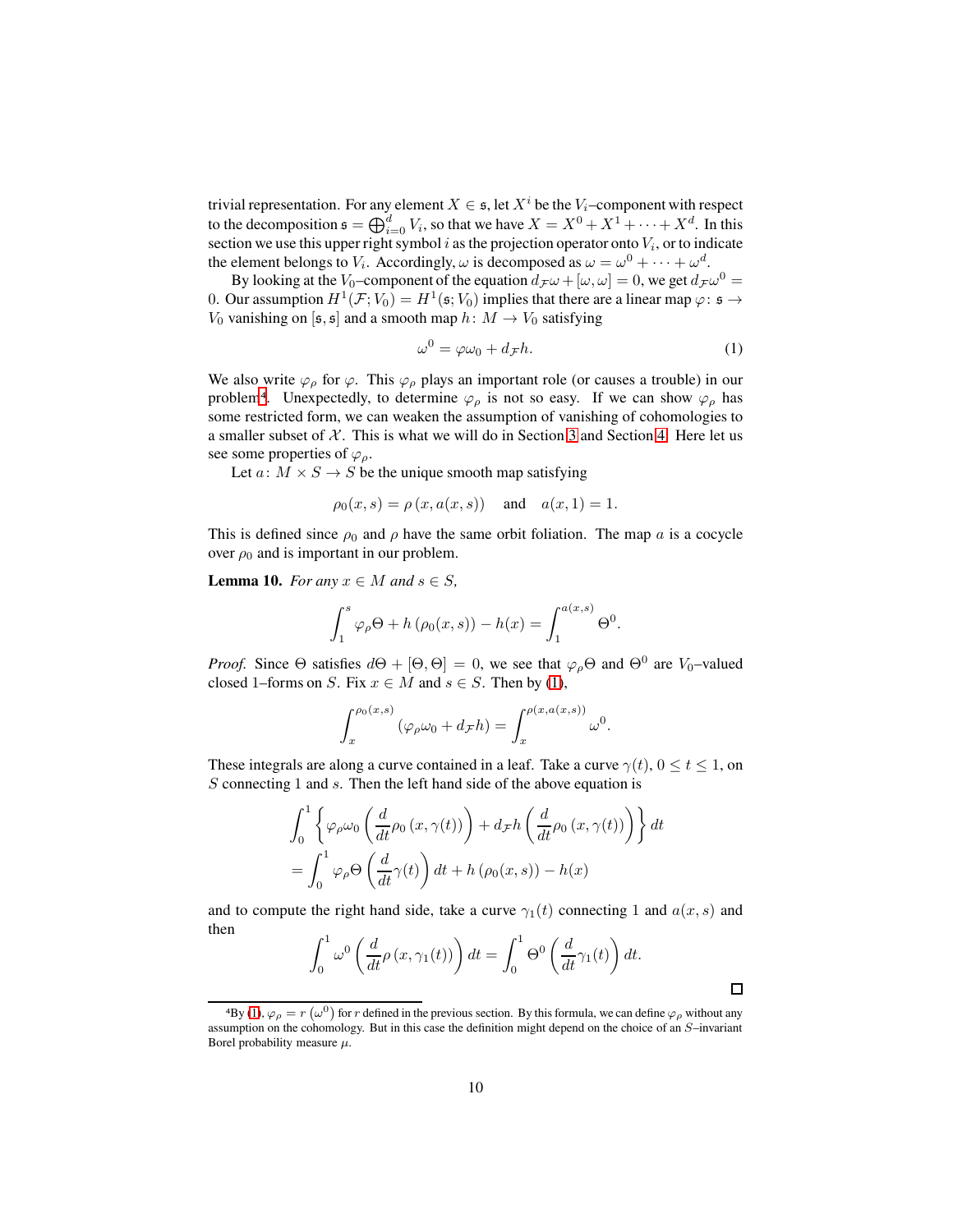trivial representation. For any element  $X \in \mathfrak{s}$ , let  $X^i$  be the  $V_i$ -component with respect to the decomposition  $\mathfrak{s} = \bigoplus_{i=0}^d V_i$ , so that we have  $X = X^0 + X^1 + \cdots + X^d$ . In this section we use this upper right symbol  $i$  as the projection operator onto  $V_i$ , or to indicate the element belongs to  $V_i$ . Accordingly,  $\omega$  is decomposed as  $\omega = \omega^0 + \cdots + \omega^d$ .

By looking at the V<sub>0</sub>-component of the equation  $d_{\mathcal{F}}\omega + [\omega, \omega] = 0$ , we get  $d_{\mathcal{F}}\omega^0 =$ 0. Our assumption  $H^1(\mathcal{F};V_0) = H^1(\mathfrak{s};V_0)$  implies that there are a linear map  $\varphi\colon \mathfrak{s} \to$  $V_0$  vanishing on [ $\mathfrak{s}, \mathfrak{s}$ ] and a smooth map  $h: M \to V_0$  satisfying

<span id="page-9-1"></span>
$$
\omega^0 = \varphi \omega_0 + d_{\mathcal{F}} h. \tag{1}
$$

We also write  $\varphi_{\rho}$  for  $\varphi$ . This  $\varphi_{\rho}$  plays an important role (or causes a trouble) in our problem<sup>[4](#page-9-0)</sup>. Unexpectedly, to determine  $\varphi_{\rho}$  is not so easy. If we can show  $\varphi_{\rho}$  has some restricted form, we can weaken the assumption of vanishing of cohomologies to a smaller subset of  $X$ . This is what we will do in Section [3](#page-12-0) and Section [4.](#page-16-0) Here let us see some properties of  $\varphi$ <sub>ρ</sub>.

Let  $a: M \times S \rightarrow S$  be the unique smooth map satisfying

$$
\rho_0(x, s) = \rho(x, a(x, s))
$$
 and  $a(x, 1) = 1$ .

This is defined since  $\rho_0$  and  $\rho$  have the same orbit foliation. The map a is a cocycle over  $\rho_0$  and is important in our problem.

<span id="page-9-2"></span>**Lemma 10.** *For any*  $x \in M$  *and*  $s \in S$ *,* 

$$
\int_{1}^{s} \varphi_{\rho} \Theta + h(\rho_{0}(x, s)) - h(x) = \int_{1}^{a(x, s)} \Theta^{0}.
$$

*Proof.* Since  $\Theta$  satisfies  $d\Theta + [\Theta, \Theta] = 0$ , we see that  $\varphi_{\rho} \Theta$  and  $\Theta^0$  are  $V_0$ -valued closed 1–forms on S. Fix  $x \in M$  and  $s \in S$ . Then by [\(1\)](#page-9-1),

$$
\int_x^{\rho_0(x,s)} (\varphi_\rho \omega_0 + d_\mathcal{F} h) = \int_x^{\rho(x,a(x,s))} \omega^0.
$$

These integrals are along a curve contained in a leaf. Take a curve  $\gamma(t)$ ,  $0 \le t \le 1$ , on S connecting 1 and s. Then the left hand side of the above equation is

$$
\int_0^1 \left\{ \varphi_\rho \omega_0 \left( \frac{d}{dt} \rho_0 \left( x, \gamma(t) \right) \right) + d\tau h \left( \frac{d}{dt} \rho_0 \left( x, \gamma(t) \right) \right) \right\} dt
$$

$$
= \int_0^1 \varphi_\rho \Theta \left( \frac{d}{dt} \gamma(t) \right) dt + h \left( \rho_0(x, s) \right) - h(x)
$$

and to compute the right hand side, take a curve  $\gamma_1(t)$  connecting 1 and  $a(x, s)$  and then

$$
\int_0^1 \omega^0 \left( \frac{d}{dt} \rho(x, \gamma_1(t)) \right) dt = \int_0^1 \Theta^0 \left( \frac{d}{dt} \gamma_1(t) \right) dt.
$$

 $\Box$ 

<span id="page-9-0"></span><sup>&</sup>lt;sup>4</sup>By [\(1\)](#page-9-1),  $\varphi_{\rho} = r(\omega^0)$  for r defined in the previous section. By this formula, we can define  $\varphi_{\rho}$  without any assumption on the cohomology. But in this case the definition might depend on the choice of an S–invariant Borel probability measure  $\mu$ .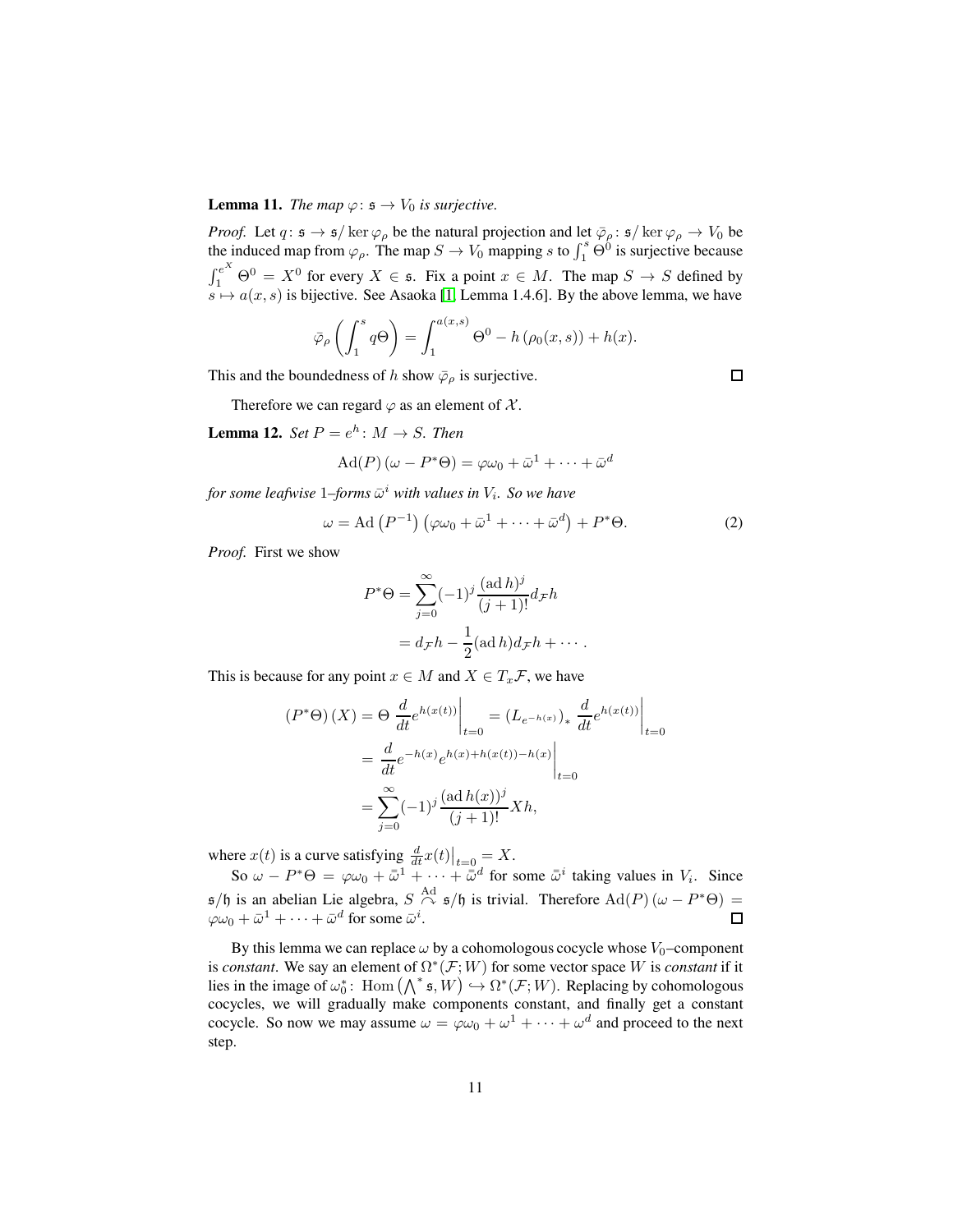#### <span id="page-10-0"></span>**Lemma 11.** *The map*  $\varphi$ :  $\mathfrak{s} \to V_0$  *is surjective.*

*Proof.* Let  $q: \mathfrak{s} \to \mathfrak{s}/\ker \varphi_{\rho}$  be the natural projection and let  $\bar{\varphi}_{\rho}: \mathfrak{s}/\ker \varphi_{\rho} \to V_0$  be the induced map from  $\varphi_{\rho}$ . The map  $S \to V_0$  mapping s to  $\int_1^s \dot{\Theta}^0$  is surjective because  $\int_1^{e^X} \Theta^0 = X^0$  for every  $X \in \mathfrak{s}$ . Fix a point  $x \in M$ . The map  $S \to S$  defined by  $s \mapsto a(x, s)$  is bijective. See Asaoka [\[1,](#page-34-4) Lemma 1.4.6]. By the above lemma, we have

$$
\bar{\varphi}_{\rho}\left(\int_{1}^{s}q\Theta\right)=\int_{1}^{a(x,s)}\Theta^{0}-h\left(\rho_{0}(x,s)\right)+h(x).
$$

This and the boundedness of h show  $\bar{\varphi}_{\rho}$  is surjective.

Therefore we can regard  $\varphi$  as an element of X.

**Lemma 12.** *Set*  $P = e^h$ :  $M \rightarrow S$ *. Then* 

$$
\operatorname{Ad}(P)(\omega - P^* \Theta) = \varphi \omega_0 + \bar{\omega}^1 + \dots + \bar{\omega}^d
$$

for some leafwise  $1$ –forms  $\bar{\omega}^i$  with values in  $V_i$ . So we have

$$
\omega = \text{Ad}(P^{-1})\left(\varphi\omega_0 + \bar{\omega}^1 + \dots + \bar{\omega}^d\right) + P^*\Theta. \tag{2}
$$

*Proof.* First we show

$$
P^*\Theta = \sum_{j=0}^{\infty} (-1)^j \frac{(\text{ad }h)^j}{(j+1)!} d_{\mathcal{F}} h
$$
  
=  $d_{\mathcal{F}} h - \frac{1}{2} (\text{ad }h) d_{\mathcal{F}} h + \cdots$ .

This is because for any point  $x \in M$  and  $X \in T_x \mathcal{F}$ , we have

$$
(P^*\Theta)(X) = \Theta \left. \frac{d}{dt} e^{h(x(t))} \right|_{t=0} = (L_{e^{-h(x)}})_* \left. \frac{d}{dt} e^{h(x(t))} \right|_{t=0}
$$

$$
= \left. \frac{d}{dt} e^{-h(x)} e^{h(x) + h(x(t)) - h(x)} \right|_{t=0}
$$

$$
= \sum_{j=0}^{\infty} (-1)^j \frac{(\text{ad } h(x))^j}{(j+1)!} Xh,
$$

where  $x(t)$  is a curve satisfying  $\frac{d}{dt}x(t)\big|_{t=0} = X$ .

So  $\omega - P^* \Theta = \varphi \omega_0 + \bar{\omega}^1 + \cdots + \bar{\omega}^d$  for some  $\bar{\omega}^i$  taking values in  $V_i$ . Since  $\mathfrak{s}/\mathfrak{h}$  is an abelian Lie algebra,  $S \overset{\text{Ad}}{\curvearrowright} \mathfrak{s}/\mathfrak{h}$  is trivial. Therefore  $\text{Ad}(P)(\omega - P^* \Theta) =$  $\varphi\omega_0 + \bar{\omega}^1 + \cdots + \bar{\omega}^d$  for some  $\bar{\omega}^i$ .

By this lemma we can replace  $\omega$  by a cohomologous cocycle whose  $V_0$ –component is *constant*. We say an element of  $\Omega^*(\mathcal{F}; W)$  for some vector space W is *constant* if it lies in the image of  $\omega_0^*$ : Hom  $(\bigwedge^* \mathfrak{s}, W) \hookrightarrow \Omega^*(\mathcal{F}; W)$ . Replacing by cohomologous cocycles, we will gradually make components constant, and finally get a constant cocycle. So now we may assume  $\omega = \varphi \omega_0 + \omega^1 + \cdots + \omega^d$  and proceed to the next step.

 $\Box$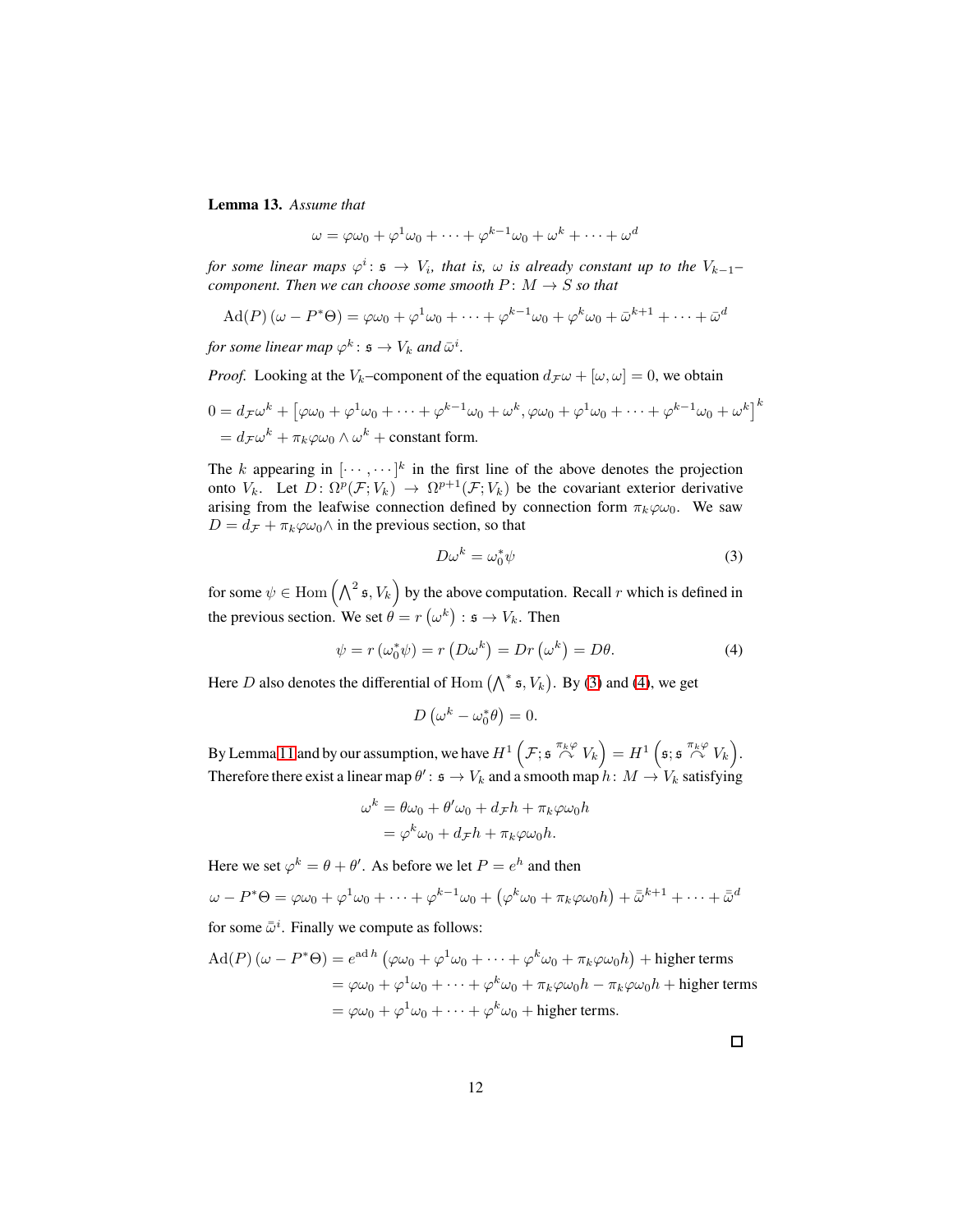**Lemma 13.** *Assume that*

$$
\omega = \varphi \omega_0 + \varphi^1 \omega_0 + \dots + \varphi^{k-1} \omega_0 + \omega^k + \dots + \omega^d
$$

*for some linear maps*  $\varphi^i$ :  $\mathfrak{s} \to V_i$ , that is,  $\omega$  is already constant up to the  $V_{k-1}$ *component. Then we can choose some smooth*  $P: M \rightarrow S$  *so that* 

$$
\mathrm{Ad}(P)(\omega - P^*\Theta) = \varphi\omega_0 + \varphi^1\omega_0 + \dots + \varphi^{k-1}\omega_0 + \varphi^k\omega_0 + \bar{\omega}^{k+1} + \dots + \bar{\omega}^d
$$

for some linear map  $\varphi^k \colon \mathfrak{s} \to V_k$  and  $\bar{\omega}^i$ .

*Proof.* Looking at the V<sub>k</sub>–component of the equation  $d_{\mathcal{F}}\omega + [\omega, \omega] = 0$ , we obtain

$$
0 = d_{\mathcal{F}}\omega^k + \left[\varphi\omega_0 + \varphi^1\omega_0 + \dots + \varphi^{k-1}\omega_0 + \omega^k, \varphi\omega_0 + \varphi^1\omega_0 + \dots + \varphi^{k-1}\omega_0 + \omega^k\right]^k
$$
  
=  $d_{\mathcal{F}}\omega^k + \pi_k\varphi\omega_0 \wedge \omega^k$  + constant form.

The k appearing in  $[\cdots, \cdots]^k$  in the first line of the above denotes the projection onto  $V_k$ . Let  $D \colon \Omega^p(\mathcal{F}; V_k) \to \Omega^{p+1}(\mathcal{F}; V_k)$  be the covariant exterior derivative arising from the leafwise connection defined by connection form  $\pi_k \varphi \omega_0$ . We saw  $D = d_{\mathcal{F}} + \pi_k \varphi \omega_0 \wedge$  in the previous section, so that

<span id="page-11-0"></span>
$$
D\omega^k = \omega_0^* \psi \tag{3}
$$

for some  $\psi \in \text{Hom}\left(\bigwedge^2 \mathfrak{s}, V_k\right)$  by the above computation. Recall r which is defined in the previous section. We set  $\theta = r(\omega^k) : \mathfrak{s} \to V_k$ . Then

<span id="page-11-1"></span>
$$
\psi = r(\omega_0^* \psi) = r(D\omega^k) = Dr(\omega^k) = D\theta.
$$
\n(4)

Here D also denotes the differential of Hom  $(\bigwedge^* \mathfrak{s}, V_k)$ . By [\(3\)](#page-11-0) and [\(4\)](#page-11-1), we get

$$
D\left(\omega^k - \omega_0^*\theta\right) = 0.
$$

By Lemma [11](#page-10-0) and by our assumption, we have  $H^1(\mathcal{F}; \mathfrak{s} \stackrel{\pi_k \varphi}{\curvearrowright} V_k) = H^1(\mathfrak{s}; \mathfrak{s} \stackrel{\pi_k \varphi}{\curvearrowright} V_k)$ . Therefore there exist a linear map  $\theta' \colon \mathfrak{s} \to V_k$  and a smooth map  $h \colon M \to V_k$  satisfying

$$
\omega^k = \theta \omega_0 + \theta' \omega_0 + d_{\mathcal{F}} h + \pi_k \varphi \omega_0 h
$$
  
=  $\varphi^k \omega_0 + d_{\mathcal{F}} h + \pi_k \varphi \omega_0 h.$ 

Here we set  $\varphi^k = \theta + \theta'$ . As before we let  $P = e^h$  and then

$$
\omega - P^* \Theta = \varphi \omega_0 + \varphi^1 \omega_0 + \dots + \varphi^{k-1} \omega_0 + (\varphi^k \omega_0 + \pi_k \varphi \omega_0 h) + \bar{\omega}^{k+1} + \dots + \bar{\omega}^d
$$

for some  $\bar{\bar{\omega}}^i$ . Finally we compute as follows:

$$
\begin{aligned} \text{Ad}(P) \left( \omega - P^* \Theta \right) &= e^{\text{ad}\,h} \left( \varphi \omega_0 + \varphi^1 \omega_0 + \dots + \varphi^k \omega_0 + \pi_k \varphi \omega_0 h \right) + \text{higher terms} \\ &= \varphi \omega_0 + \varphi^1 \omega_0 + \dots + \varphi^k \omega_0 + \pi_k \varphi \omega_0 h - \pi_k \varphi \omega_0 h + \text{higher terms} \\ &= \varphi \omega_0 + \varphi^1 \omega_0 + \dots + \varphi^k \omega_0 + \text{higher terms.} \end{aligned}
$$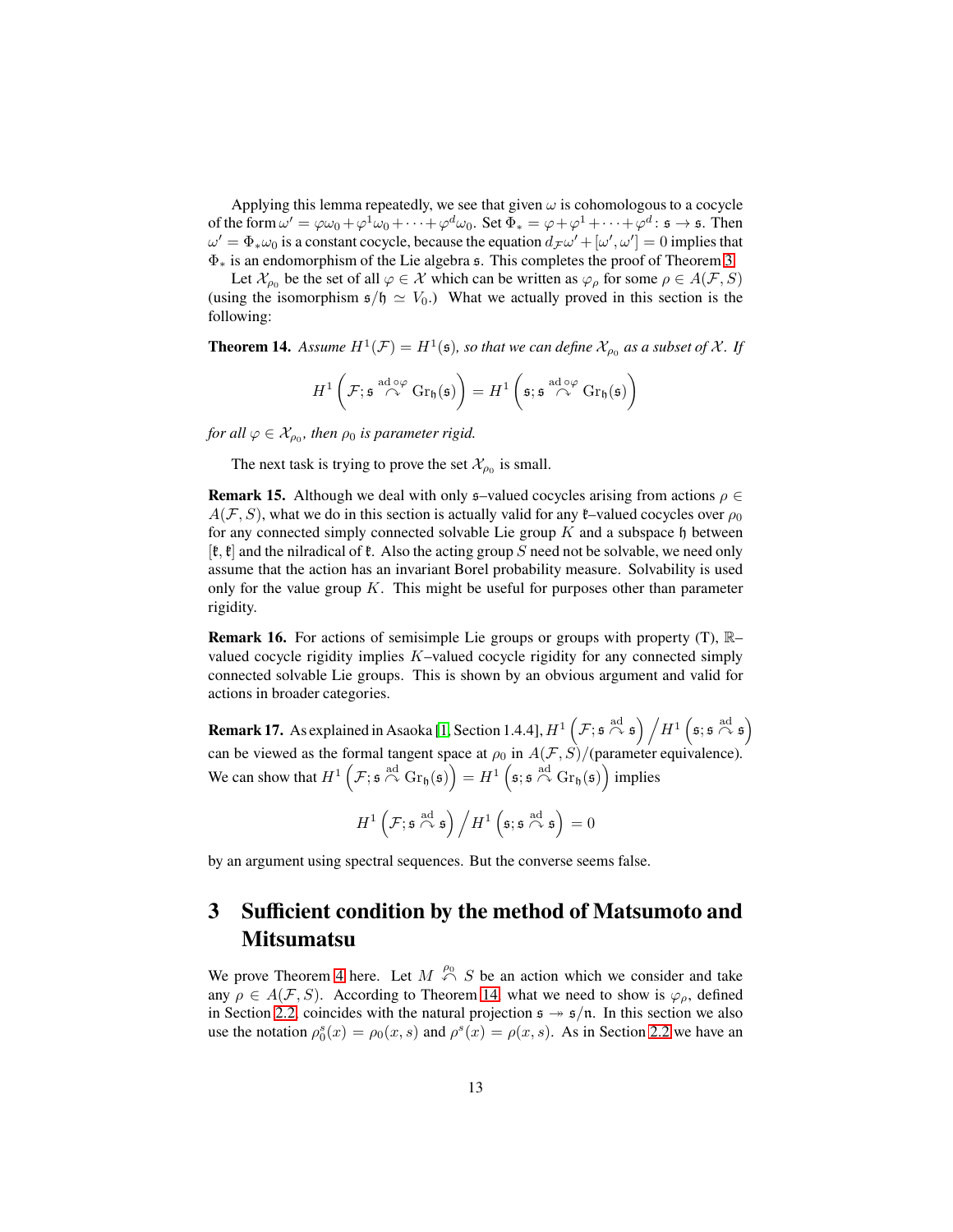Applying this lemma repeatedly, we see that given  $\omega$  is cohomologous to a cocycle of the form  $\omega' = \varphi \omega_0 + \varphi^1 \omega_0 + \cdots + \varphi^d \omega_0$ . Set  $\Phi_* = \varphi + \varphi^1 + \cdots + \varphi^d$ :  $\mathfrak{s} \to \mathfrak{s}$ . Then  $\omega' = \Phi_* \omega_0$  is a constant cocycle, because the equation  $d_{\mathcal{F}} \omega' + [\omega', \omega'] = 0$  implies that Φ<sup>∗</sup> is an endomorphism of the Lie algebra s. This completes the proof of Theorem [3.](#page-3-0)

Let  $\mathcal{X}_{\rho_0}$  be the set of all  $\varphi \in \mathcal{X}$  which can be written as  $\varphi_\rho$  for some  $\rho \in A(\mathcal{F}, S)$ (using the isomorphism  $\epsilon/\epsilon \simeq V_0$ .) What we actually proved in this section is the following:

<span id="page-12-1"></span>**Theorem 14.** Assume  $H^1(\mathcal{F}) = H^1(\mathfrak{s})$ , so that we can define  $\mathcal{X}_{\rho_0}$  as a subset of  $\mathcal{X}$ . If

$$
H^1\left(\mathcal{F}; \mathfrak{s} \stackrel{\mathrm{ad} \circ \varphi}{\curvearrowright} \mathrm{Gr}_{\mathfrak{h}}(\mathfrak{s})\right) = H^1\left(\mathfrak{s}; \mathfrak{s} \stackrel{\mathrm{ad} \circ \varphi}{\curvearrowright} \mathrm{Gr}_{\mathfrak{h}}(\mathfrak{s})\right)
$$

*for all*  $\varphi \in \mathcal{X}_{\rho_0}$ , then  $\rho_0$  is parameter rigid.

The next task is trying to prove the set  $\mathcal{X}_{\rho_0}$  is small.

**Remark 15.** Although we deal with only  $\mathfrak{s}-$ -valued cocycles arising from actions  $\rho \in$  $A(F, S)$ , what we do in this section is actually valid for any  $\ell$ -valued cocycles over  $\rho_0$ for any connected simply connected solvable Lie group  $K$  and a subspace h between  $[\mathfrak{k},\mathfrak{k}]$  and the nilradical of  $\mathfrak{k}$ . Also the acting group S need not be solvable, we need only assume that the action has an invariant Borel probability measure. Solvability is used only for the value group  $K$ . This might be useful for purposes other than parameter rigidity.

**Remark 16.** For actions of semisimple Lie groups or groups with property (T),  $\mathbb{R}$ – valued cocycle rigidity implies K–valued cocycle rigidity for any connected simply connected solvable Lie groups. This is shown by an obvious argument and valid for actions in broader categories.

**Remark 17.** As explained in Asaoka [\[1,](#page-34-4) Section 1.4.4],  $H^1\left(\mathcal{F}; \mathfrak{s} \overset{\text{ad}}{\curvearrowright} \mathfrak{s}\right) / H^1\left(\mathfrak{s}; \mathfrak{s} \overset{\text{ad}}{\curvearrowright} \mathfrak{s}\right)$ can be viewed as the formal tangent space at  $\rho_0$  in  $A(F, S)/(p$ arameter equivalence). We can show that  $H^1\left(\mathcal{F}; \mathfrak{s} \stackrel{\text{ad}}{\curvearrowright} \text{Gr}_{\mathfrak{h}}(\mathfrak{s})\right) = H^1\left(\mathfrak{s}; \mathfrak{s} \stackrel{\text{ad}}{\curvearrowright} \text{Gr}_{\mathfrak{h}}(\mathfrak{s})\right)$  implies

$$
H^1\left(\mathcal{F};\mathfrak{s}\stackrel{\mathrm{ad}}{\curvearrowright}\mathfrak{s}\right)\Big/H^1\left(\mathfrak{s};\mathfrak{s}\stackrel{\mathrm{ad}}{\curvearrowright}\mathfrak{s}\right)=0
$$

by an argument using spectral sequences. But the converse seems false.

## <span id="page-12-0"></span>**3 Sufficient condition by the method of Matsumoto and Mitsumatsu**

We prove Theorem [4](#page-3-1) here. Let  $M \stackrel{\rho_0}{\curvearrowleft} S$  be an action which we consider and take any  $\rho \in A(\mathcal{F}, S)$ . According to Theorem [14,](#page-12-1) what we need to show is  $\varphi_{\rho}$ , defined in Section [2.2,](#page-8-0) coincides with the natural projection  $\mathfrak{s} \rightarrow \mathfrak{s}/\mathfrak{n}$ . In this section we also use the notation  $\rho_0^s(x) = \rho_0(x, s)$  and  $\rho^s(x) = \rho(x, s)$ . As in Section [2.2](#page-8-0) we have an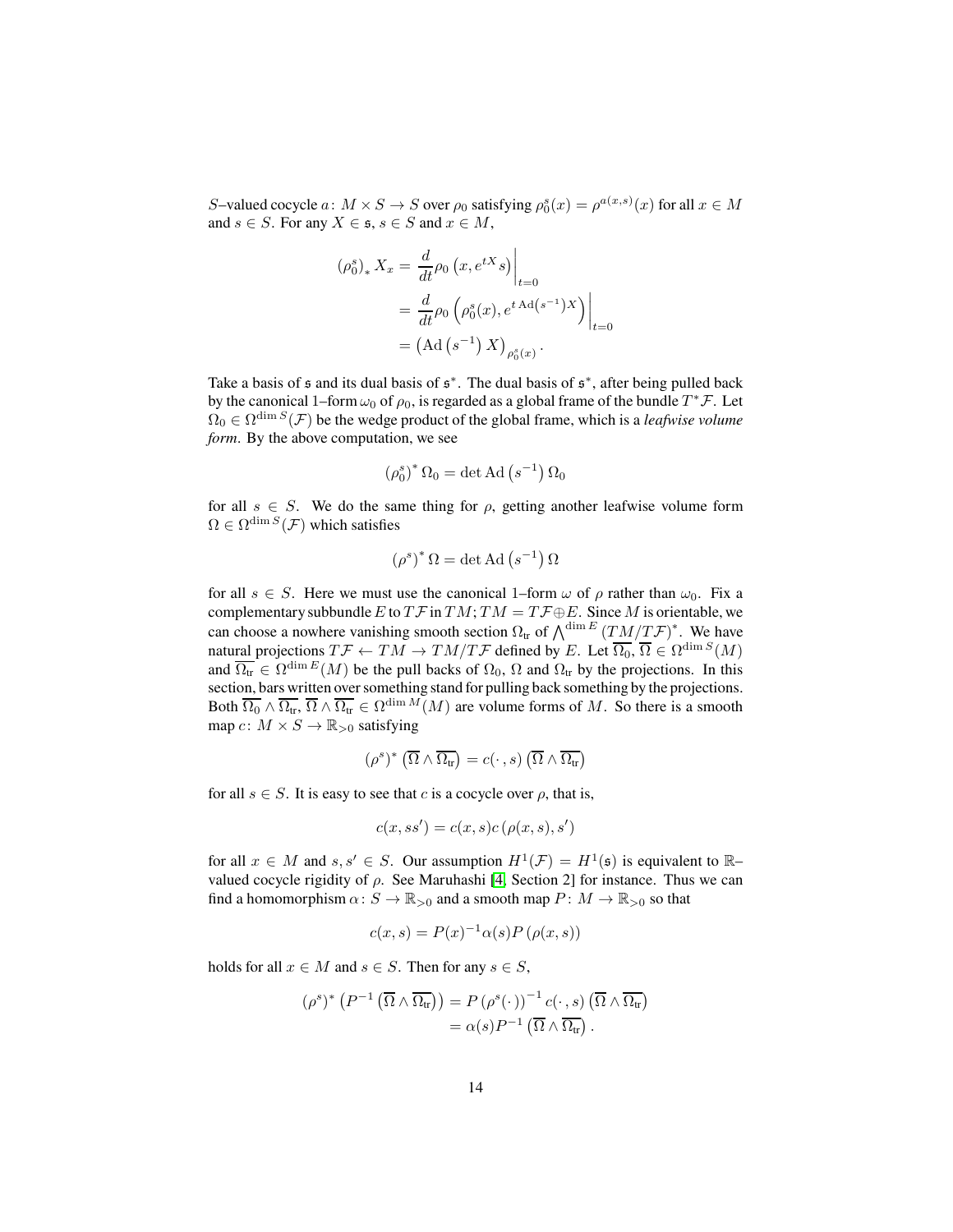S–valued cocycle  $a: M \times S \to S$  over  $\rho_0$  satisfying  $\rho_0^s(x) = \rho^{a(x,s)}(x)$  for all  $x \in M$ and  $s \in S$ . For any  $X \in \mathfrak{s}$ ,  $s \in S$  and  $x \in M$ ,

$$
(\rho_0^s)_* X_x = \frac{d}{dt} \rho_0 \left( x, e^{tX} s \right) \Big|_{t=0}
$$
  
= 
$$
\frac{d}{dt} \rho_0 \left( \rho_0^s(x), e^{t \operatorname{Ad}(s^{-1})X} \right) \Big|_{t=0}
$$
  
= 
$$
(\operatorname{Ad}(s^{-1}) X)_{\rho_0^s(x)}.
$$

Take a basis of  $\mathfrak s$  and its dual basis of  $\mathfrak s^*$ . The dual basis of  $\mathfrak s^*$ , after being pulled back by the canonical 1–form  $\omega_0$  of  $\rho_0$ , is regarded as a global frame of the bundle  $T^*\mathcal{F}.$  Let  $\Omega_0 \in \Omega^{\dim S}(\mathcal{F})$  be the wedge product of the global frame, which is a *leafwise volume form*. By the above computation, we see

$$
\left(\rho_0^s\right)^* \Omega_0 = \det \mathrm{Ad}\left(s^{-1}\right) \Omega_0
$$

for all  $s \in S$ . We do the same thing for  $\rho$ , getting another leafwise volume form  $\Omega \in \Omega^{\dim S}(\mathcal{F})$  which satisfies

$$
(\rho^s)^* \Omega = \det \operatorname{Ad} \left( s^{-1} \right) \Omega
$$

for all  $s \in S$ . Here we must use the canonical 1–form  $\omega$  of  $\rho$  rather than  $\omega_0$ . Fix a complementary subbundle E to  $T\mathcal{F}$  in  $TM$ ;  $TM = T\mathcal{F} \oplus E$ . Since M is orientable, we can choose a nowhere vanishing smooth section  $\Omega_{tr}$  of  $\bigwedge^{\dim E}(TM/T\mathcal{F})^*$ . We have natural projections  $T\mathcal{F} \leftarrow TM \rightarrow TM/T\mathcal{F}$  defined by E. Let  $\overline{\Omega_0}, \overline{\Omega} \in \Omega^{\dim S}(M)$ and  $\overline{\Omega_{tr}} \in \Omega^{\dim E}(M)$  be the pull backs of  $\Omega_0$ ,  $\Omega$  and  $\Omega_{tr}$  by the projections. In this section, bars written over something stand for pulling back something by the projections. Both  $\overline{\Omega_0} \wedge \overline{\Omega_{tr}}, \overline{\Omega} \wedge \overline{\Omega_{tr}} \in \Omega^{\dim M}(M)$  are volume forms of M. So there is a smooth map  $c: M \times S \to \mathbb{R}_{>0}$  satisfying

$$
(\rho^s)^* \left( \overline{\Omega} \wedge \overline{\Omega_{tr}} \right) = c(\cdot \, ,s) \left( \overline{\Omega} \wedge \overline{\Omega_{tr}} \right)
$$

for all  $s \in S$ . It is easy to see that c is a cocycle over  $\rho$ , that is,

$$
c(x,ss') = c(x,s)c(\rho(x,s),s')
$$

for all  $x \in M$  and  $s, s' \in S$ . Our assumption  $H^1(\mathcal{F}) = H^1(\mathfrak{s})$  is equivalent to  $\mathbb{R}$ valued cocycle rigidity of  $\rho$ . See Maruhashi [\[4,](#page-34-1) Section 2] for instance. Thus we can find a homomorphism  $\alpha: S \to \mathbb{R}_{>0}$  and a smooth map  $P: M \to \mathbb{R}_{>0}$  so that

$$
c(x,s) = P(x)^{-1} \alpha(s) P(\rho(x,s))
$$

holds for all  $x \in M$  and  $s \in S$ . Then for any  $s \in S$ ,

$$
(\rho^s)^* \left( P^{-1} \left( \overline{\Omega} \wedge \overline{\Omega_{tr}} \right) \right) = P \left( \rho^s(\cdot) \right)^{-1} c(\cdot, s) \left( \overline{\Omega} \wedge \overline{\Omega_{tr}} \right) = \alpha(s) P^{-1} \left( \overline{\Omega} \wedge \overline{\Omega_{tr}} \right).
$$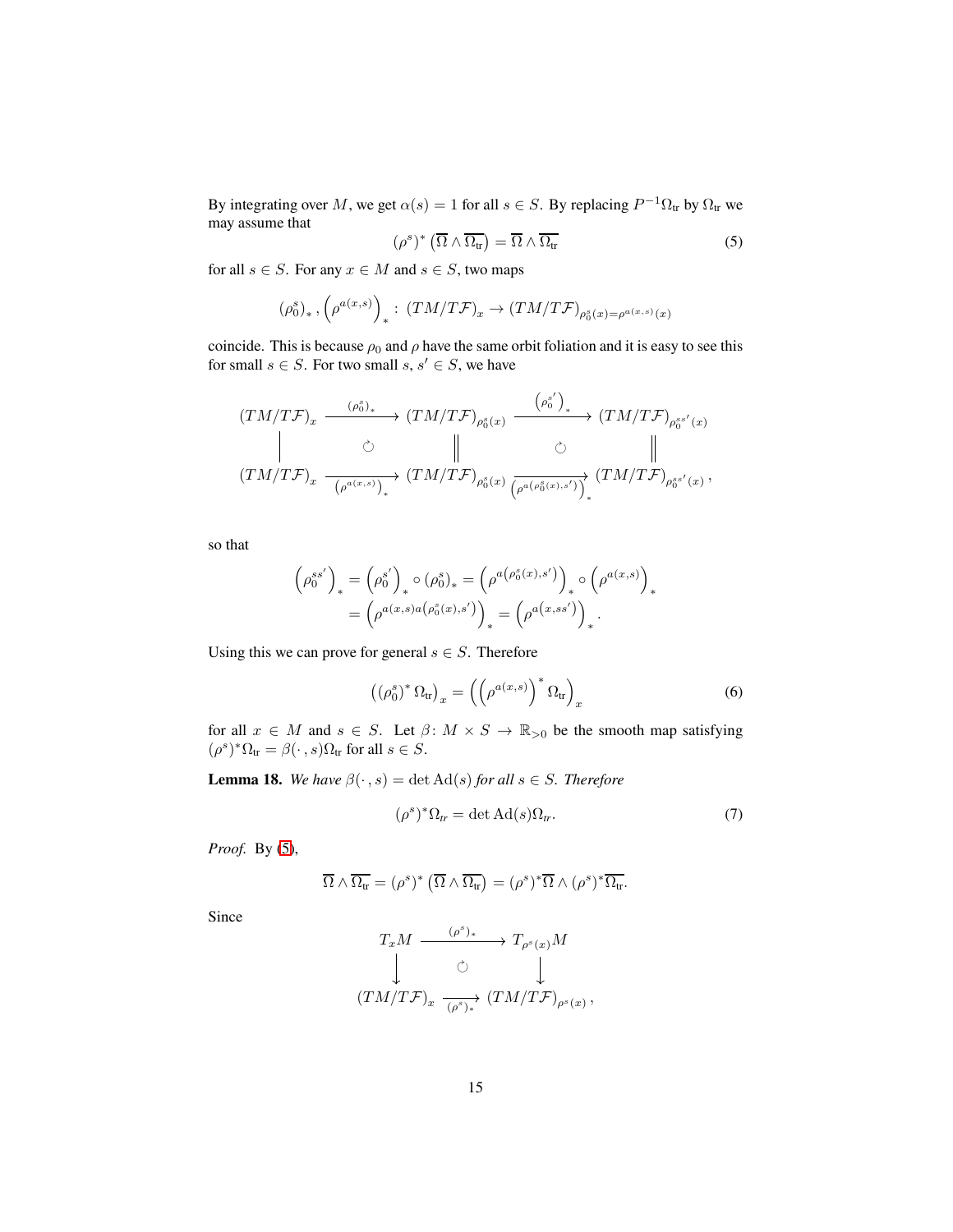By integrating over M, we get  $\alpha(s) = 1$  for all  $s \in S$ . By replacing  $P^{-1}\Omega_{tr}$  by  $\Omega_{tr}$  we may assume that

<span id="page-14-0"></span>
$$
(\rho^s)^* \left(\overline{\Omega} \wedge \overline{\Omega_{tr}}\right) = \overline{\Omega} \wedge \overline{\Omega_{tr}} \tag{5}
$$

for all  $s \in S$ . For any  $x \in M$  and  $s \in S$ , two maps

$$
(\rho^s_0)_*,\left(\rho^{a(x,s)}\right)_*: \left(TM/T\mathcal{F}\right)_x\to \left(TM/T\mathcal{F}\right)_{\rho^s_0(x)=\rho^{a(x,s)}(x)}
$$

coincide. This is because  $\rho_0$  and  $\rho$  have the same orbit foliation and it is easy to see this for small  $s \in S$ . For two small  $s, s' \in S$ , we have

$$
\begin{array}{ccc} (TM/T{\mathcal F})_x \stackrel{(\rho_0^s)_{*}}{\xrightarrow{\hspace*{1cm}}} (TM/T{\mathcal F})_{\rho_0^s(x)} \stackrel{\left(\rho_0^{s'}\right)_{*}}{\xrightarrow{\hspace*{1cm}}} (TM/T{\mathcal F})_{\rho_0^{ss'}(x)}\\ \parallel & \circlearrowright & \parallel & \circlearrowright & \parallel\\ (TM/T{\mathcal F})_x \stackrel{\cdot}{\xrightarrow{\hspace*{1cm}} \left(\rho^{a(x,s)}\right)_{*}} (TM/T{\mathcal F})_{\rho_0^s(x)} \stackrel{\cdot}{\xrightarrow{\hspace*{1cm}} \left(\rho^{a\left(\rho_0^s(x),s'\right)}\right)_{*}} (TM/T{\mathcal F})_{\rho_0^{ss'}(x)}\,, \end{array}
$$

so that

$$
\begin{aligned} \left(\rho_0^{ss'}\right)_* &= \left(\rho_0^{s'}\right)_*\circ (\rho_0^s)_* = \left(\rho^{a\left(\rho_0^s(x),s'\right)}\right)_*\circ \left(\rho^{a(x,s)}\right)_*\\ &= \left(\rho^{a(x,s)a\left(\rho_0^s(x),s'\right)}\right)_* = \left(\rho^{a\left(x,ss'\right)}\right)_*.\end{aligned}
$$

Using this we can prove for general  $s \in S$ . Therefore

<span id="page-14-1"></span>
$$
\left(\left(\rho_0^s\right)^* \Omega_{\text{tr}}\right)_x = \left(\left(\rho^{a(x,s)}\right)^* \Omega_{\text{tr}}\right)_x \tag{6}
$$

for all  $x \in M$  and  $s \in S$ . Let  $\beta \colon M \times S \to \mathbb{R}_{>0}$  be the smooth map satisfying  $(\rho^s)^*\Omega_{tr} = \beta(\cdot \, , s)\Omega_{tr}$  for all  $s \in S$ .

**Lemma 18.** *We have*  $\beta(\cdot, s) = \det \text{Ad}(s)$  *for all*  $s \in S$ *. Therefore* 

<span id="page-14-2"></span>
$$
(\rho^s)^* \Omega_{tr} = \det \mathrm{Ad}(s) \Omega_{tr}.
$$
 (7)

*Proof.* By [\(5\)](#page-14-0),

$$
\overline{\Omega} \wedge \overline{\Omega_{tr}} = (\rho^s)^* \left( \overline{\Omega} \wedge \overline{\Omega_{tr}} \right) = (\rho^s)^* \overline{\Omega} \wedge (\rho^s)^* \overline{\Omega_{tr}}.
$$

Since

$$
T_x M \xrightarrow{(\rho^s)_*} T_{\rho^s(x)} M
$$
  

$$
\downarrow \qquad \circlearrowright \qquad \downarrow
$$
  

$$
(TM/T\mathcal{F})_x \xrightarrow{(\rho^s)_*} (TM/T\mathcal{F})_{\rho^s(x)},
$$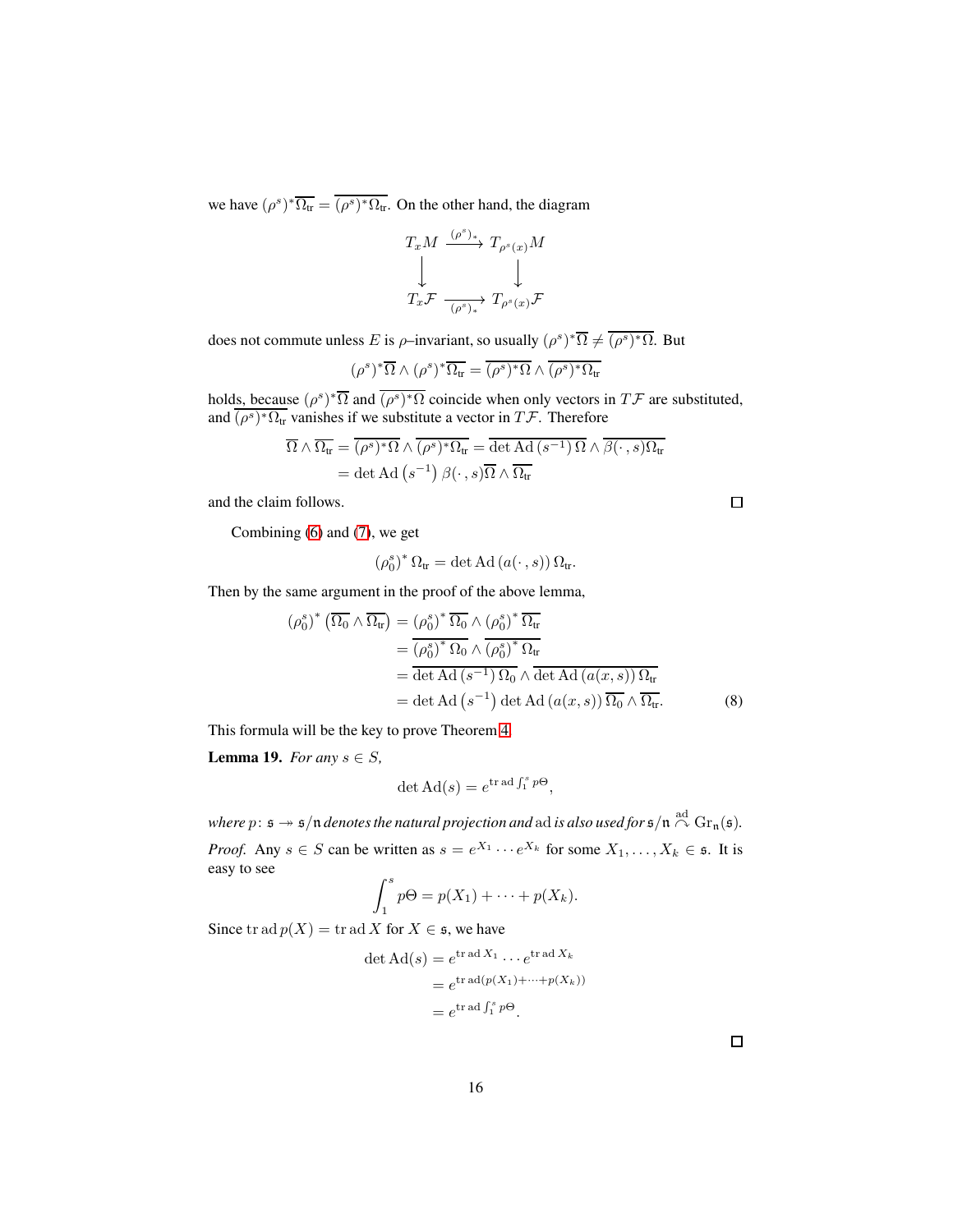we have  $(\rho^s)^* \overline{\Omega_{tr}} = \overline{(\rho^s)^* \Omega_{tr}}$ . On the other hand, the diagram

$$
\begin{array}{ccc}\nT_x M & \xrightarrow{(\rho^s)_*} & T_{\rho^s(x)} M \\
\downarrow & & \downarrow \\
T_x \mathcal{F} & \xrightarrow{(\rho^s)_*} & T_{\rho^s(x)} \mathcal{F}\n\end{array}
$$

does not commute unless E is  $\rho$ -invariant, so usually  $(\rho^s)^* \overline{\Omega} \neq \overline{(\rho^s)^* \Omega}$ . But

$$
(\rho^s)^*\overline{\Omega}\wedge (\rho^s)^*\overline{\Omega_{tr}} = \overline{(\rho^s)^*\Omega}\wedge \overline{(\rho^s)^*\Omega_{tr}}
$$

holds, because  $(\rho^s)^*\overline{\Omega}$  and  $\overline{(\rho^s)^*\Omega}$  coincide when only vectors in  $T\mathcal{F}$  are substituted, and  $(\rho^s)^*\Omega_{tr}$  vanishes if we substitute a vector in  $T\mathcal{F}$ . Therefore

$$
\overline{\Omega} \wedge \overline{\Omega_{tr}} = \overline{(\rho^s)^* \Omega} \wedge \overline{(\rho^s)^* \Omega_{tr}} = \overline{\det \mathrm{Ad} (s^{-1}) \Omega} \wedge \overline{\beta(\cdot, s) \Omega_{tr}}
$$

$$
= \det \mathrm{Ad} (s^{-1}) \beta(\cdot, s) \overline{\Omega} \wedge \overline{\Omega_{tr}}
$$

and the claim follows.

Combining [\(6\)](#page-14-1) and [\(7\)](#page-14-2), we get

$$
(\rho_0^s)^* \Omega_{tr} = \det \mathrm{Ad} \left( a(\cdot \, , s) \right) \Omega_{tr}.
$$

Then by the same argument in the proof of the above lemma,

$$
(\rho_0^s)^* (\overline{\Omega_0} \wedge \overline{\Omega_{tr}}) = (\rho_0^s)^* \overline{\Omega_0} \wedge (\rho_0^s)^* \overline{\Omega_{tr}}
$$
  
= 
$$
\overline{(\rho_0^s)^* \Omega_0} \wedge \overline{(\rho_0^s)^* \Omega_{tr}}
$$
  
= 
$$
\overline{\det \mathrm{Ad} (s^{-1}) \Omega_0} \wedge \overline{\det \mathrm{Ad} (a(x, s)) \Omega_{tr}}
$$
  
= 
$$
\det \mathrm{Ad} (s^{-1}) \det \mathrm{Ad} (a(x, s)) \overline{\Omega_0} \wedge \overline{\Omega_{tr}}.
$$
 (8)

This formula will be the key to prove Theorem [4.](#page-3-1)

**Lemma 19.** *For any*  $s \in S$ *,* 

$$
\det \mathrm{Ad}(s) = e^{\mathrm{tr}\,\mathrm{ad}\int_1^s p\Theta},
$$

where  $p\colon \mathfrak{s} \twoheadrightarrow \mathfrak{s}/\mathfrak{n}$  denotes the natural projection and  $\operatorname{ad}$  is also used for  $\mathfrak{s}/\mathfrak{n} \stackrel{\operatorname{ad}}{\curvearrowright} \operatorname{Gr}_{\mathfrak{n}}(\mathfrak{s}).$ *Proof.* Any  $s \in S$  can be written as  $s = e^{X_1} \cdots e^{X_k}$  for some  $X_1, \ldots, X_k \in \mathfrak{s}$ . It is easy to see

$$
\int_1^s p\Theta = p(X_1) + \cdots + p(X_k).
$$

Since  $\text{tr} \text{ad } p(X) = \text{tr} \text{ad } X \text{ for } X \in \mathfrak{s}$ , we have

$$
\det \mathrm{Ad}(s) = e^{\mathrm{tr}\,\mathrm{ad}\,X_1} \cdots e^{\mathrm{tr}\,\mathrm{ad}\,X_k}
$$

$$
= e^{\mathrm{tr}\,\mathrm{ad}(p(X_1) + \cdots + p(X_k))}
$$

$$
= e^{\mathrm{tr}\,\mathrm{ad}\int_1^s p\Theta}.
$$

 $\Box$ 

<span id="page-15-0"></span> $\Box$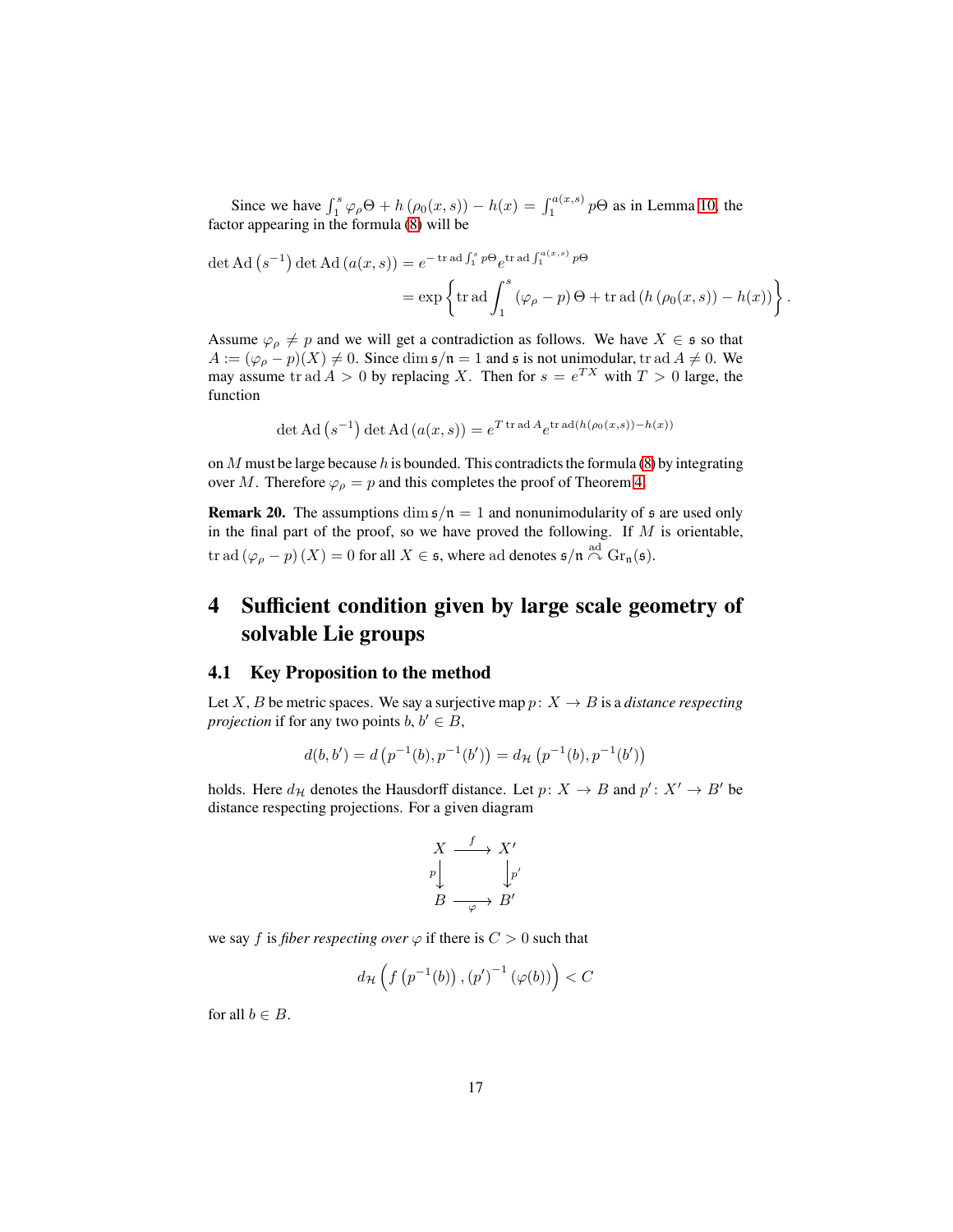Since we have  $\int_1^s \varphi_\rho \Theta + h(\rho_0(x, s)) - h(x) = \int_1^{a(x, s)} p\Theta$  as in Lemma [10,](#page-9-2) the factor appearing in the formula [\(8\)](#page-15-0) will be

$$
\det \mathrm{Ad}(s^{-1}) \det \mathrm{Ad}(a(x,s)) = e^{-\operatorname{tr} \mathrm{ad} \int_1^s p\Theta} e^{\operatorname{tr} \mathrm{ad} \int_1^{a(x,s)} p\Theta}
$$
  
= 
$$
\exp\left\{\operatorname{tr} \mathrm{ad} \int_1^s (\varphi_\rho - p)\Theta + \operatorname{tr} \mathrm{ad}(h(\rho_0(x,s)) - h(x))\right\}.
$$

Assume  $\varphi_{\rho} \neq p$  and we will get a contradiction as follows. We have  $X \in \mathfrak{s}$  so that  $A := (\varphi_{\rho} - p)(X) \neq 0$ . Since dim  $\mathfrak{s}/\mathfrak{n} = 1$  and  $\mathfrak{s}$  is not unimodular, tr ad  $A \neq 0$ . We may assume tr ad  $A > 0$  by replacing X. Then for  $s = e^{TX}$  with  $T > 0$  large, the function

$$
\det \mathrm{Ad}(s^{-1}) \det \mathrm{Ad}(a(x,s)) = e^{T \mathrm{tr} \mathrm{ad} A} e^{\mathrm{tr} \mathrm{ad}(h(\rho_0(x,s)) - h(x))}
$$

on  $M$  must be large because  $h$  is bounded. This contradicts the formula [\(8\)](#page-15-0) by integrating over M. Therefore  $\varphi$ <sub> $\rho$ </sub> = p and this completes the proof of Theorem [4.](#page-3-1)

**Remark 20.** The assumptions dim  $\mathfrak{s}/\mathfrak{n} = 1$  and nonunimodularity of  $\mathfrak{s}$  are used only in the final part of the proof, so we have proved the following. If  $M$  is orientable, tr ad  $(\varphi_{\rho}-p)\left(X\right)=0$  for all  $X\in\mathfrak{s},$  where ad denotes  $\mathfrak{s}/\mathfrak{n}\stackrel{\mathrm{ad}}{\curvearrowright}\mathrm{Gr}_{\mathfrak{n}}(\mathfrak{s}).$ 

## <span id="page-16-0"></span>**4 Sufficient condition given by large scale geometry of solvable Lie groups**

#### <span id="page-16-1"></span>**4.1 Key Proposition to the method**

Let X, B be metric spaces. We say a surjective map  $p: X \to B$  is a *distance respecting projection* if for any two points  $b, b' \in B$ ,

$$
d(b, b') = d\left(p^{-1}(b), p^{-1}(b')\right) = d_{\mathcal{H}}\left(p^{-1}(b), p^{-1}(b')\right)
$$

holds. Here  $d_{\mathcal{H}}$  denotes the Hausdorff distance. Let  $p: X \to B$  and  $p': X' \to B'$  be distance respecting projections. For a given diagram

$$
\begin{array}{ccc}\nX & \xrightarrow{f} & X' \\
\downarrow{p} & & \downarrow{p'} \\
B & \xrightarrow{\varphi} & B'\n\end{array}
$$

we say f is *fiber respecting over*  $\varphi$  if there is  $C > 0$  such that

$$
d_{\mathcal{H}}\left(f\left(p^{-1}(b)\right),\left(p'\right)^{-1}\left(\varphi(b)\right)\right)< C
$$

for all  $b \in B$ .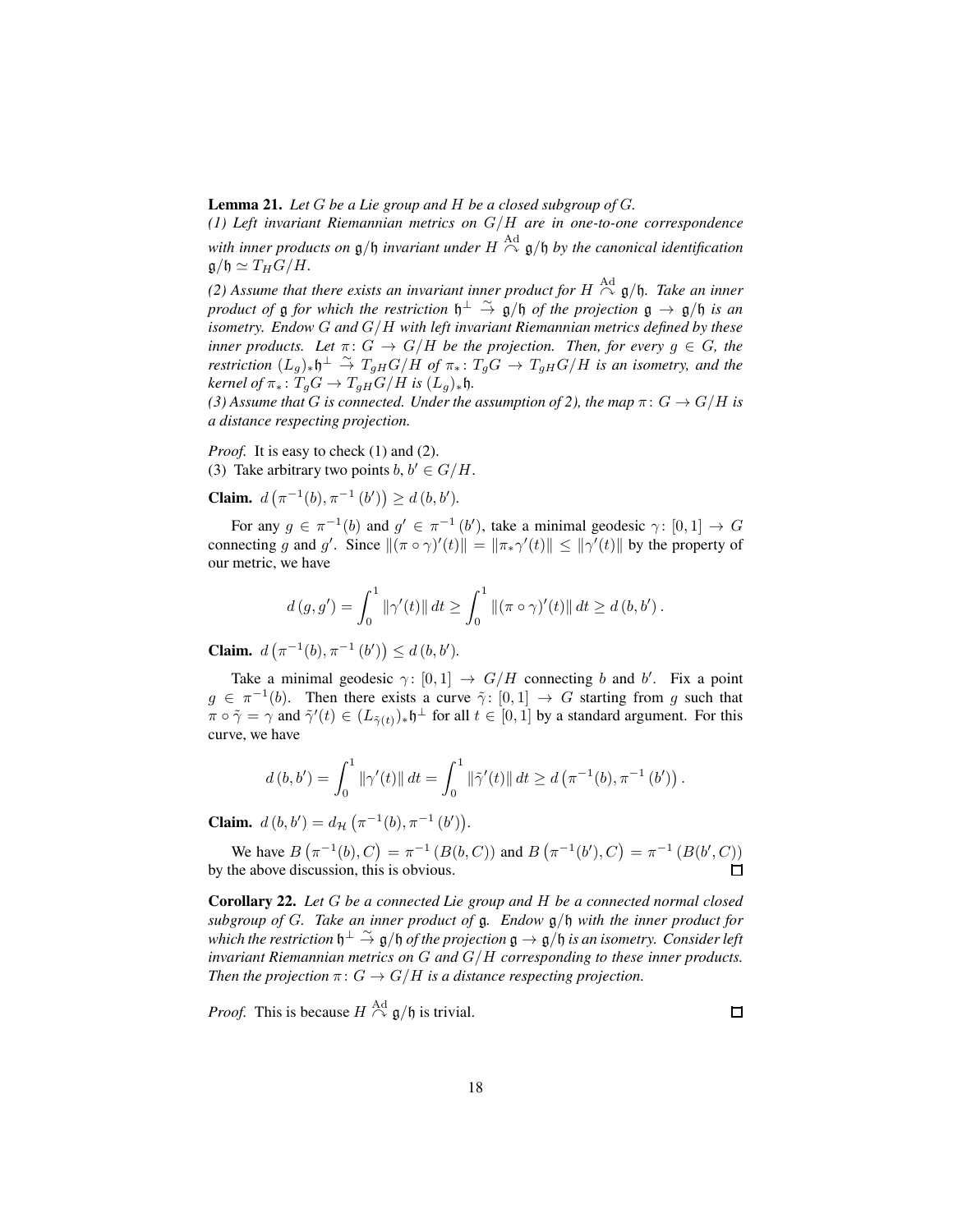**Lemma 21.** *Let* G *be a Lie group and* H *be a closed subgroup of* G*.*

*(1) Left invariant Riemannian metrics on* G/H *are in one-to-one correspondence* with inner products on  $\mathfrak{g}/\mathfrak{h}$  invariant under  $H \stackrel{\text{Ad}}{\curvearrowright} \mathfrak{g}/\mathfrak{h}$  by the canonical identification  $\mathfrak{g}/\mathfrak{h} \simeq T_H G/H.$ 

(2) Assume that there exists an invariant inner product for  $H \stackrel{\text{Ad}}{\curvearrowright} \mathfrak{g}/\mathfrak{h}$ . Take an inner *product of*  $\frak{g}$  *for which the restriction*  $\frak{h}^{\perp} \stackrel{\sim}{\to} \frak{g}/\frak{h}$  *of the projection*  $\frak{g} \to \frak{g}/\frak{h}$  *is an isometry. Endow* G *and* G/H *with left invariant Riemannian metrics defined by these inner products. Let*  $\pi: G \to G/H$  *be the projection. Then, for every*  $g \in G$ *, the*  $\pi$ estriction  $(L_g)_{*}\mathfrak{h}^{\perp}$   $\stackrel{\sim}{\to}$   $T_{gH}G/H$  *of*  $\pi_{*}: T_gG \to T_{gH}G/H$  *is an isometry, and the*  $\text{kernel of } \pi_* \colon T_qG \to T_{qH}G/H \text{ is } (L_q)_*\mathfrak{h}.$ 

*(3) Assume that G is connected. Under the assumption of 2), the map*  $\pi$ :  $G \rightarrow G/H$  *is a distance respecting projection.*

*Proof.* It is easy to check (1) and (2). (3) Take arbitrary two points  $b, b' \in G/H$ .

**Claim.**  $d(\pi^{-1}(b), \pi^{-1}(b')) \geq d(b, b').$ 

For any  $g \in \pi^{-1}(b)$  and  $g' \in \pi^{-1}(b')$ , take a minimal geodesic  $\gamma: [0,1] \to G$ connecting g and g'. Since  $\|(\pi \circ \gamma)'(t)\| = \|\pi_* \gamma'(t)\| \leq \|\gamma'(t)\|$  by the property of our metric, we have

$$
d(g, g') = \int_0^1 \|\gamma'(t)\| dt \ge \int_0^1 \|(\pi \circ \gamma)'(t)\| dt \ge d(b, b').
$$

**Claim.**  $d(\pi^{-1}(b), \pi^{-1}(b')) \leq d(b, b').$ 

Take a minimal geodesic  $\gamma: [0,1] \to G/H$  connecting b and b'. Fix a point  $g \in \pi^{-1}(b)$ . Then there exists a curve  $\tilde{\gamma}$ :  $[0,1] \to G$  starting from g such that  $\pi \circ \tilde{\gamma} = \gamma$  and  $\tilde{\gamma}'(t) \in (L_{\tilde{\gamma}(t)})_* \mathfrak{h}^{\perp}$  for all  $t \in [0,1]$  by a standard argument. For this curve, we have

$$
d(b,b') = \int_0^1 \|\gamma'(t)\| dt = \int_0^1 \|\tilde{\gamma}'(t)\| dt \ge d\left(\pi^{-1}(b), \pi^{-1}(b')\right).
$$

**Claim.**  $d(b, b') = d_{\mathcal{H}}(\pi^{-1}(b), \pi^{-1}(b')).$ 

We have  $B(\pi^{-1}(b), C) = \pi^{-1}(B(b, C))$  and  $B(\pi^{-1}(b'), C) = \pi^{-1}(B(b', C))$  $\Box$ by the above discussion, this is obvious.

<span id="page-17-0"></span>**Corollary 22.** *Let* G *be a connected Lie group and* H *be a connected normal closed subgroup of* G*. Take an inner product of* g*. Endow* g/h *with the inner product for* which the restriction  $\mathfrak{h}^{\perp} \stackrel{\sim}{\to} \mathfrak{g}/\mathfrak{h}$  of the projection  $\mathfrak{g} \to \mathfrak{g}/\mathfrak{h}$  is an isometry. Consider left *invariant Riemannian metrics on* G *and* G/H *corresponding to these inner products. Then the projection*  $\pi: G \to G/H$  *is a distance respecting projection.* 

*Proof.* This is because  $H \stackrel{\text{Ad}}{\curvearrowright} \mathfrak{g}/\mathfrak{h}$  is trivial.

 $\Box$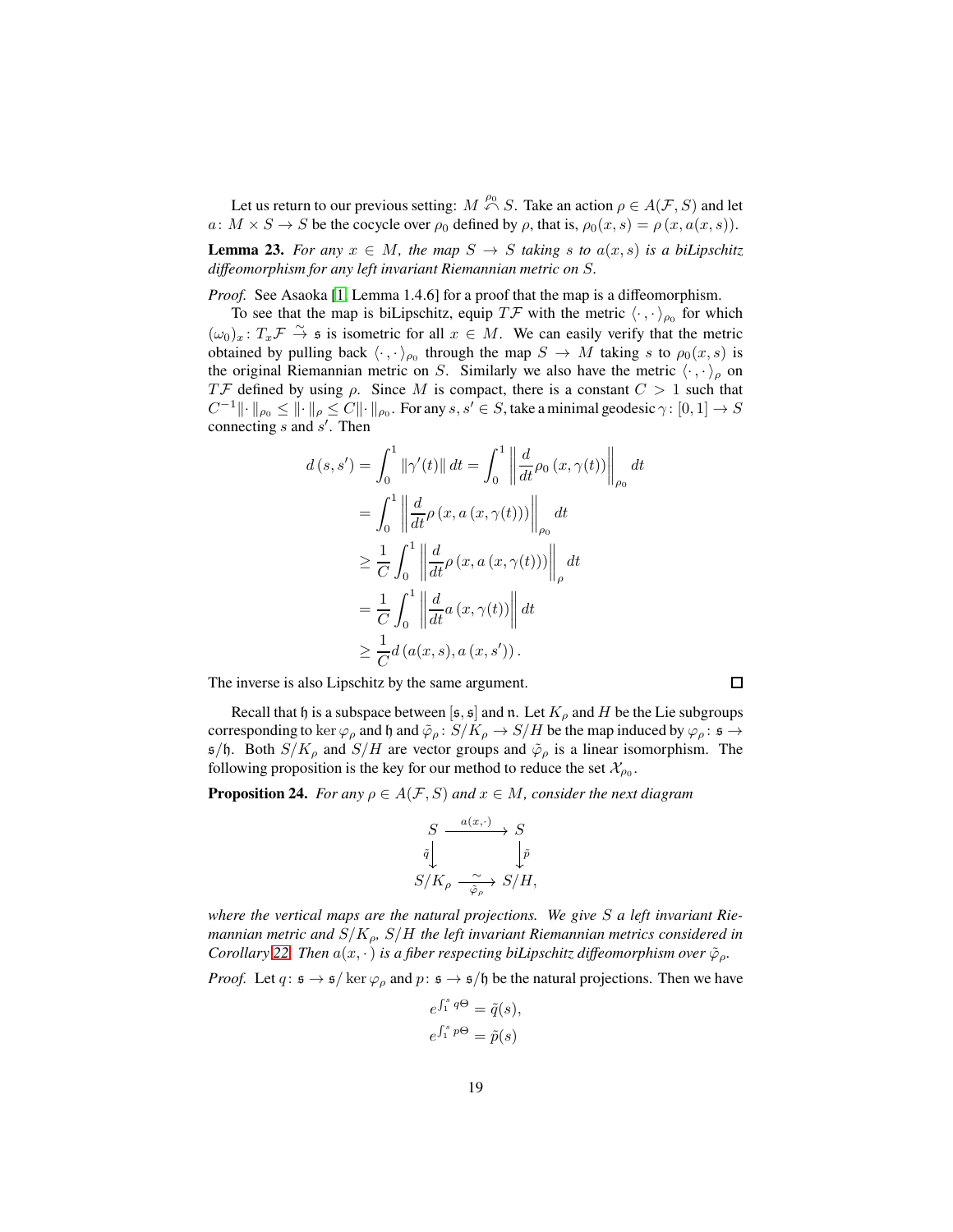Let us return to our previous setting:  $M \stackrel{\rho_0}{\curvearrowleft} S$ . Take an action  $\rho \in A(\mathcal{F}, S)$  and let  $a: M \times S \to S$  be the cocycle over  $\rho_0$  defined by  $\rho$ , that is,  $\rho_0(x, s) = \rho(x, a(x, s))$ .

**Lemma 23.** *For any*  $x \in M$ *, the map*  $S \to S$  *taking* s *to*  $a(x, s)$  *is a biLipschitz diffeomorphism for any left invariant Riemannian metric on* S*.*

*Proof.* See Asaoka [\[1,](#page-34-4) Lemma 1.4.6] for a proof that the map is a diffeomorphism.

To see that the map is biLipschitz, equip  $T\mathcal{F}$  with the metric  $\langle \cdot, \cdot \rangle_{\rho_0}$  for which  $(\omega_0)_x: T_x \to \tilde{\rightarrow}$  is isometric for all  $x \in M$ . We can easily verify that the metric obtained by pulling back  $\langle \cdot, \cdot \rangle_{\rho_0}$  through the map  $S \to M$  taking s to  $\rho_0(x, s)$  is the original Riemannian metric on S. Similarly we also have the metric  $\langle \cdot, \cdot \rangle_{\rho}$  on TF defined by using  $\rho$ . Since M is compact, there is a constant  $C > 1$  such that  $C^{-1} \| \cdot \|_{\rho_0} \leq \| \cdot \|_\rho \leq C \| \cdot \|_{\rho_0}$ . For any  $s,s' \in S$ , take a minimal geodesic  $\gamma: [0,1] \to S$ connecting  $s$  and  $s'$ . Then

$$
d(s, s') = \int_0^1 \|\gamma'(t)\| dt = \int_0^1 \left\| \frac{d}{dt} \rho_0(x, \gamma(t)) \right\|_{\rho_0} dt
$$
  
\n
$$
= \int_0^1 \left\| \frac{d}{dt} \rho(x, a(x, \gamma(t))) \right\|_{\rho_0} dt
$$
  
\n
$$
\geq \frac{1}{C} \int_0^1 \left\| \frac{d}{dt} \rho(x, a(x, \gamma(t))) \right\|_{\rho} dt
$$
  
\n
$$
= \frac{1}{C} \int_0^1 \left\| \frac{d}{dt} a(x, \gamma(t)) \right\| dt
$$
  
\n
$$
\geq \frac{1}{C} d(a(x, s), a(x, s')).
$$

The inverse is also Lipschitz by the same argument.

Recall that h is a subspace between [s, s] and n. Let  $K_{\rho}$  and H be the Lie subgroups corresponding to ker  $\varphi_\rho$  and h and  $\tilde{\varphi}_\rho\colon S/K_\rho\to S/H$  be the map induced by  $\varphi_\rho\colon \mathfrak{s}\to \mathfrak{g}$  $s/b$ . Both  $S/K_\rho$  and  $S/H$  are vector groups and  $\tilde{\varphi}_\rho$  is a linear isomorphism. The following proposition is the key for our method to reduce the set  $\mathcal{X}_{\rho_0}$ .

<span id="page-18-0"></span>**Proposition 24.** *For any*  $\rho \in A(\mathcal{F}, S)$  *and*  $x \in M$ *, consider the next diagram* 

$$
S \xrightarrow{a(x,\cdot)} S
$$
  
\n
$$
\bar{q} \downarrow \qquad \qquad \downarrow \bar{p}
$$
  
\n
$$
S/K_{\rho} \xrightarrow{\sim} S/H,
$$

*where the vertical maps are the natural projections. We give* S *a left invariant Riemannian metric and* S/Kρ*,* S/H *the left invariant Riemannian metrics considered in Corollary* [22.](#page-17-0) *Then*  $a(x, \cdot)$  *is a fiber respecting biLipschitz diffeomorphism over*  $\tilde{\varphi}_\rho$ *.* 

*Proof.* Let  $q: \mathfrak{s} \to \mathfrak{s}/\ker \varphi_{\rho}$  and  $p: \mathfrak{s} \to \mathfrak{s}/\mathfrak{h}$  be the natural projections. Then we have

$$
e^{\int_1^s q\Theta} = \tilde{q}(s),
$$
  

$$
e^{\int_1^s p\Theta} = \tilde{p}(s)
$$

 $\Box$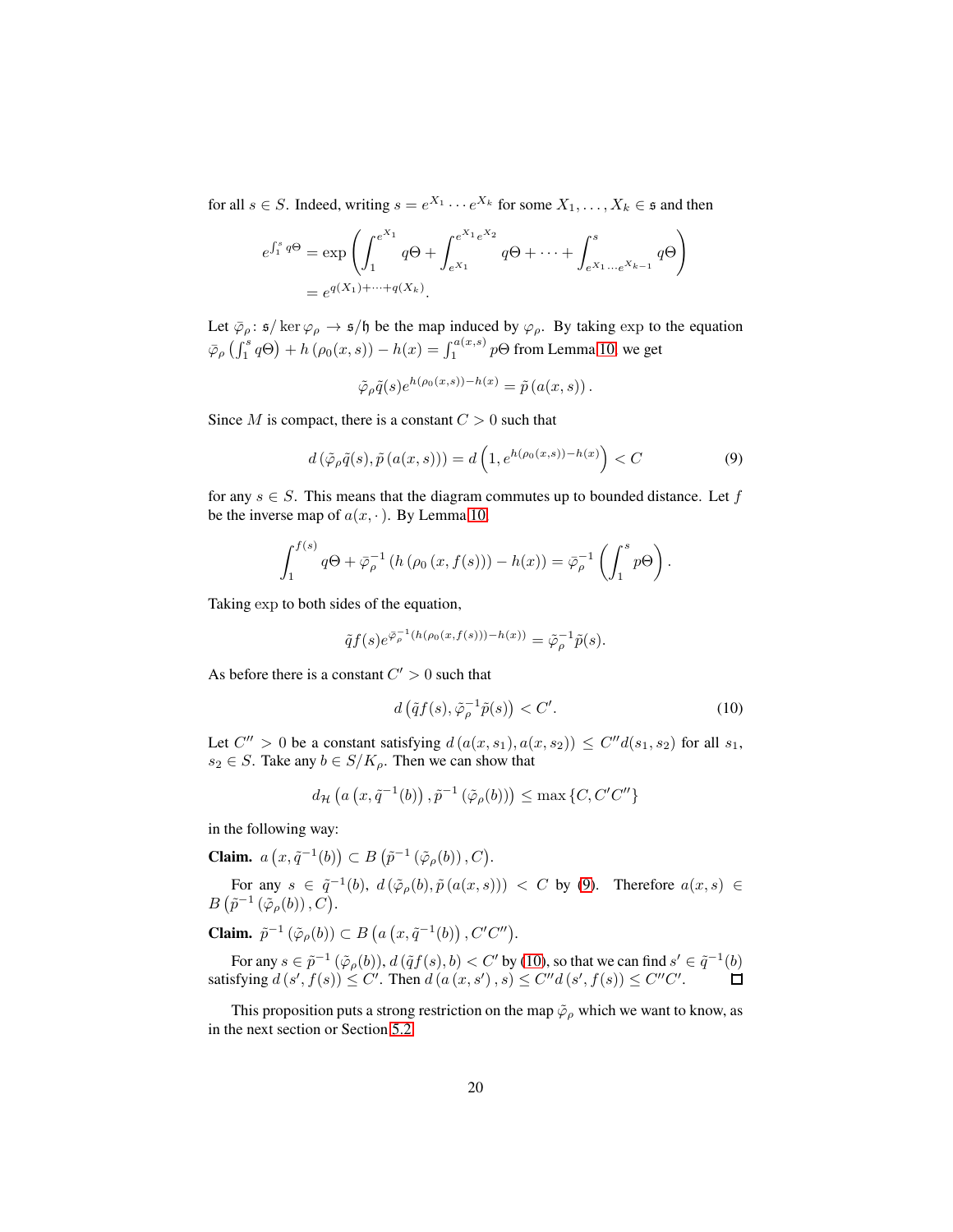for all  $s \in S$ . Indeed, writing  $s = e^{X_1} \cdots e^{X_k}$  for some  $X_1, \ldots, X_k \in \mathfrak{s}$  and then

$$
e^{\int_1^s q \Theta} = \exp \left( \int_1^{e^{X_1}} q \Theta + \int_{e^{X_1}}^{e^{X_1} e^{X_2}} q \Theta + \dots + \int_{e^{X_1} \dots e^{X_{k-1}}}^{s} q \Theta \right)
$$
  
=  $e^{q(X_1) + \dots + q(X_k)}$ .

Let  $\overline{\varphi}_{\rho}$ :  $\mathfrak{s}/\ker \varphi_{\rho} \to \mathfrak{s}/\mathfrak{h}$  be the map induced by  $\varphi_{\rho}$ . By taking exp to the equation  $\bar{\varphi}_{\rho}\left(\int_{1}^{s}q\Theta\right)+h\left(\rho_{0}(x,s)\right)-h(x)=\int_{1}^{a(x,s)}p\Theta$  from Lemma [10,](#page-9-2) we get

$$
\tilde{\varphi}_{\rho}\tilde{q}(s)e^{h(\rho_0(x,s))-h(x)} = \tilde{p}(a(x,s)).
$$

Since M is compact, there is a constant  $C > 0$  such that

<span id="page-19-0"></span>
$$
d\left(\tilde{\varphi}_{\rho}\tilde{q}(s),\tilde{p}\left(a(x,s)\right)\right) = d\left(1,e^{h(\rho_0(x,s))-h(x)}\right) < C\tag{9}
$$

for any  $s \in S$ . This means that the diagram commutes up to bounded distance. Let f be the inverse map of  $a(x, \cdot)$ . By Lemma [10,](#page-9-2)

$$
\int_1^{f(s)} q\Theta + \bar{\varphi}_{\rho}^{-1} \left( h \left( \rho_0 \left( x, f(s) \right) \right) - h(x) \right) = \bar{\varphi}_{\rho}^{-1} \left( \int_1^s p\Theta \right).
$$

Taking exp to both sides of the equation,

$$
\tilde{q}f(s)e^{\bar{\varphi}_{\rho}^{-1}(h(\rho_0(x,f(s))) - h(x))} = \tilde{\varphi}_{\rho}^{-1}\tilde{p}(s).
$$

As before there is a constant  $C' > 0$  such that

<span id="page-19-1"></span>
$$
d\left(\tilde{q}f(s),\tilde{\varphi}_{\rho}^{-1}\tilde{p}(s)\right) < C'.\tag{10}
$$

Let  $C'' > 0$  be a constant satisfying  $d(a(x, s_1), a(x, s_2)) \le C'' d(s_1, s_2)$  for all  $s_1$ ,  $s_2 \in S$ . Take any  $b \in S/K_\rho$ . Then we can show that

$$
d_{\mathcal{H}}\left(a\left(x,\tilde{q}^{-1}(b)\right),\tilde{p}^{-1}\left(\tilde{\varphi}_{\rho}(b)\right)\right)\leq \max\left\{C,C'C''\right\}
$$

in the following way:

**Claim.**  $a(x, \tilde{q}^{-1}(b)) \subset B(\tilde{p}^{-1}(\tilde{\varphi}_{\rho}(b)), C)$ .

For any  $s \in \tilde{q}^{-1}(b)$ ,  $d(\tilde{\varphi}_{\rho}(b), \tilde{p}(a(x, s))) < C$  by [\(9\)](#page-19-0). Therefore  $a(x, s) \in$  $B\left(\tilde{p}^{-1}\left(\tilde{\varphi}_{\rho}(b)\right), C\right)$ .

**Claim.**  $\tilde{p}^{-1}(\tilde{\varphi}_{\rho}(b)) \subset B(a(x, \tilde{q}^{-1}(b)), C'C'').$ 

For any  $s \in \tilde{p}^{-1}(\tilde{\varphi}_{\rho}(b)), d(\tilde{q}f(s), b) < C'$  by [\(10\)](#page-19-1), so that we can find  $s' \in \tilde{q}^{-1}(b)$ satisfying  $d(s', f(s)) \leq C'$ . Then  $d(a(x, s'), s) \leq C''d(s', f(s)) \leq C''C'$ .

This proposition puts a strong restriction on the map  $\tilde{\varphi}_\rho$  which we want to know, as in the next section or Section [5.2.](#page-22-0)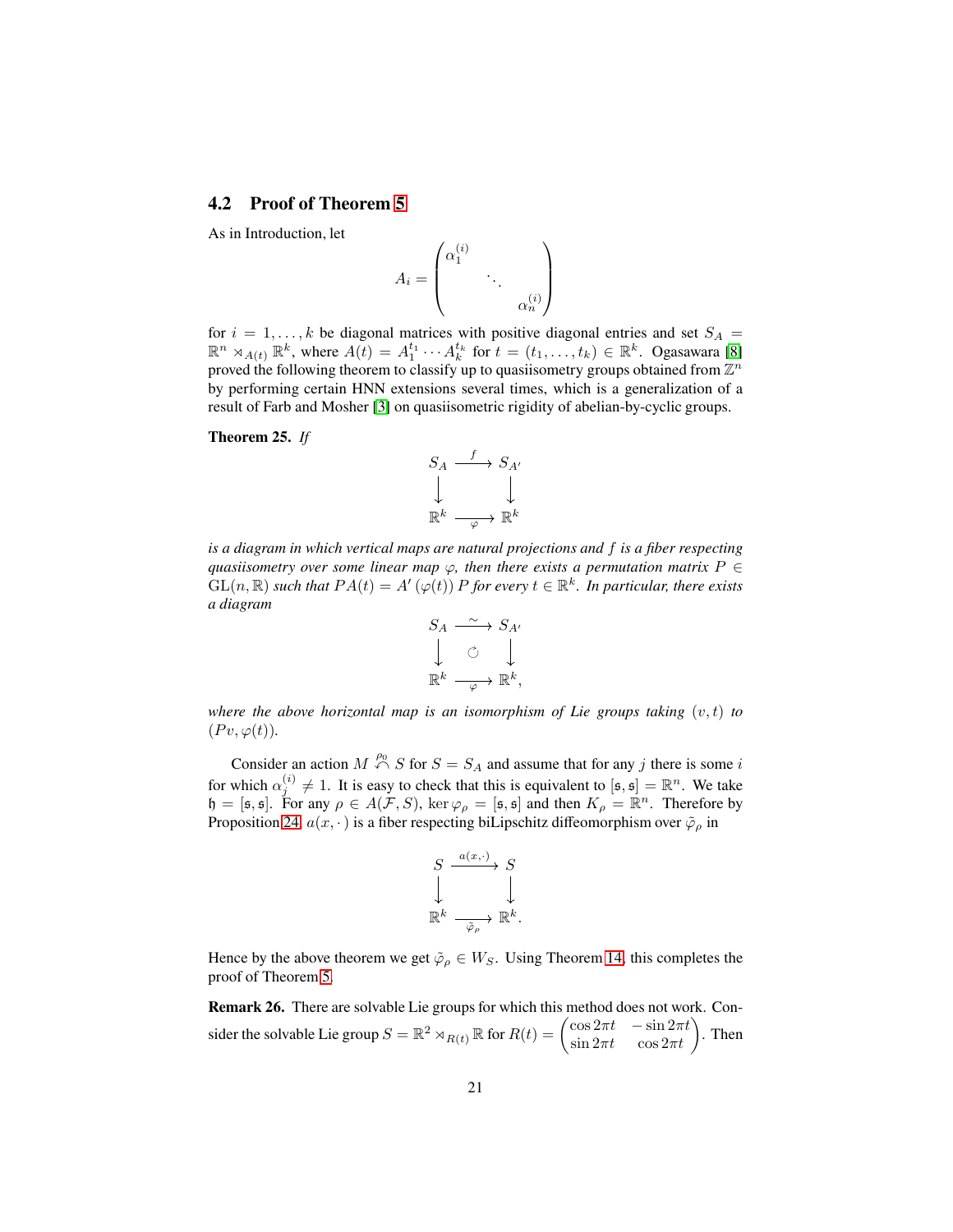#### <span id="page-20-0"></span>**4.2 Proof of Theorem [5](#page-4-0)**

As in Introduction, let

$$
A_i = \begin{pmatrix} \alpha_1^{(i)} & & \\ & \ddots & \\ & & \alpha_n^{(i)} \end{pmatrix}
$$

for  $i = 1, ..., k$  be diagonal matrices with positive diagonal entries and set  $S_A$  =  $\mathbb{R}^n \rtimes_{A(t)} \mathbb{R}^k$ , where  $A(t) = A_1^{t_1} \cdots A_k^{t_k}$  for  $t = (t_1, \ldots, t_k) \in \mathbb{R}^k$ . Ogasawara [\[8\]](#page-34-3) proved the following theorem to classify up to quasiisometry groups obtained from  $\mathbb{Z}^n$ by performing certain HNN extensions several times, which is a generalization of a result of Farb and Mosher [\[3\]](#page-34-5) on quasiisometric rigidity of abelian-by-cyclic groups.

#### **Theorem 25.** *If*



*is a diagram in which vertical maps are natural projections and* f *is a fiber respecting quasiisometry over some linear map*  $\varphi$ *, then there exists a permutation matrix*  $P \in$  $GL(n,\mathbb{R})$  such that  $PA(t) = A'(\varphi(t)) P$  for every  $t \in \mathbb{R}^k$ . In particular, there exists *a diagram*

$$
S_A \xrightarrow{\sim} S_{A'}
$$
  

$$
\downarrow \circ \qquad \downarrow
$$
  

$$
\mathbb{R}^k \xrightarrow{\sim} \mathbb{R}^k,
$$

*where the above horizontal map is an isomorphism of Lie groups taking*  $(v, t)$  *to*  $(Pv, \varphi(t)).$ 

Consider an action  $M \stackrel{\rho_0}{\curvearrowleft} S$  for  $S = S_A$  and assume that for any j there is some i for which  $\alpha_j^{(i)} \neq 1$ . It is easy to check that this is equivalent to  $[\mathfrak{s}, \mathfrak{s}] = \mathbb{R}^n$ . We take b which  $\alpha_j \neq 1$ . It is easy to check that this is equivalent to  $[\mathfrak{s}, \mathfrak{s}] = \mathbb{R}$ . We take<br>  $\mathfrak{h} = [\mathfrak{s}, \mathfrak{s}]$ . For any  $\rho \in A(\mathcal{F}, S)$ , ker  $\varphi_{\rho} = [\mathfrak{s}, \mathfrak{s}]$  and then  $K_{\rho} = \mathbb{R}^n$ . Therefore by Proposition [24,](#page-18-0)  $a(x, \cdot)$  is a fiber respecting biLipschitz diffeomorphism over  $\tilde{\varphi}_\rho$  in

$$
\begin{array}{ccc}\nS & \xrightarrow{a(x,\cdot)} & S \\
\downarrow & & \downarrow \\
\mathbb{R}^k & \xrightarrow{\bar{\varphi}_{\rho}} & \mathbb{R}^k.\n\end{array}
$$

Hence by the above theorem we get  $\tilde{\varphi}_{\rho} \in W_S$ . Using Theorem [14,](#page-12-1) this completes the proof of Theorem [5.](#page-4-0)

**Remark 26.** There are solvable Lie groups for which this method does not work. Consider the solvable Lie group  $S = \mathbb{R}^2 \rtimes_{R(t)} \mathbb{R}$  for  $R(t) = \begin{pmatrix} \cos 2\pi t & -\sin 2\pi t \\ \sin 2\pi t & \cos 2\pi t \end{pmatrix}$ . Then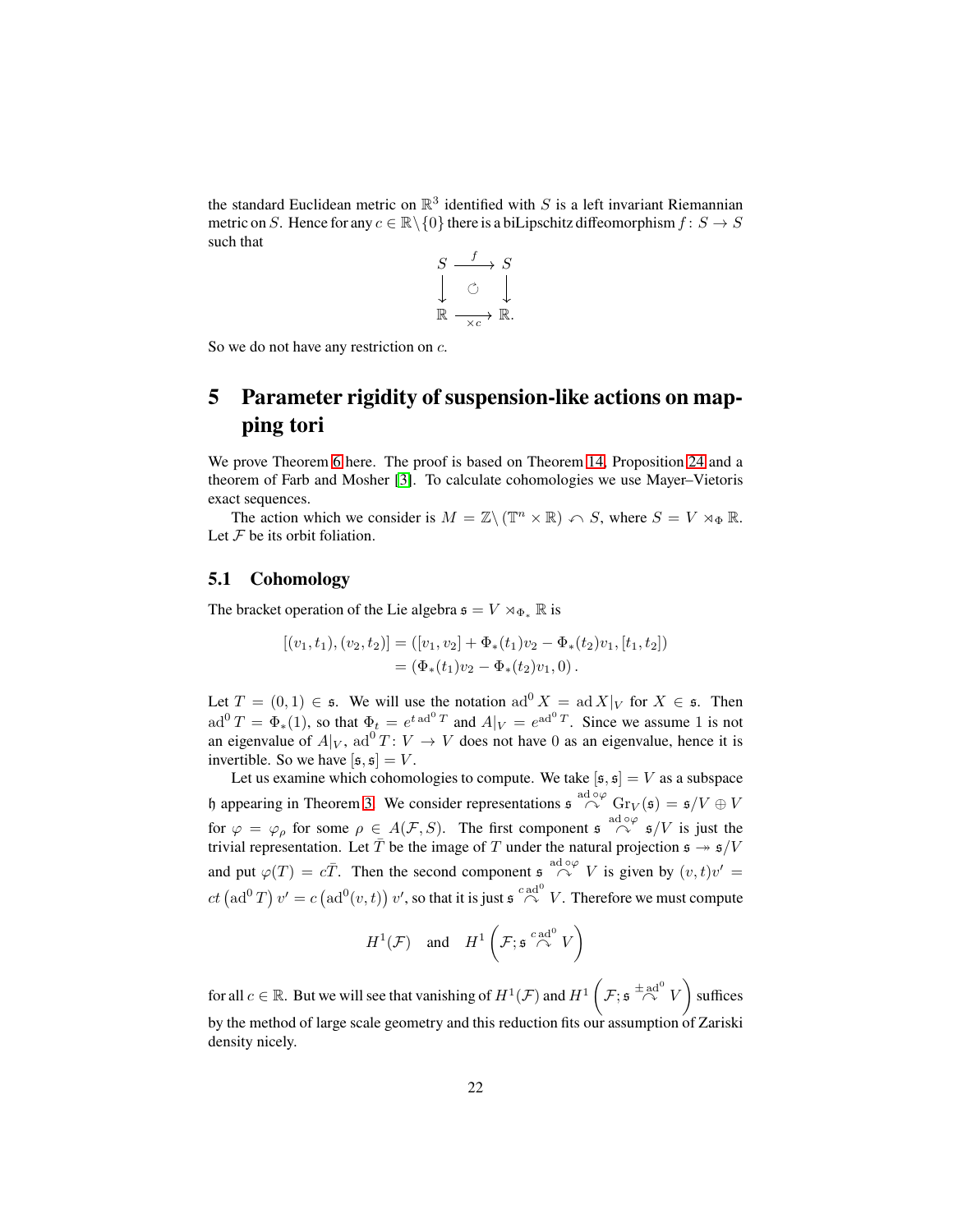the standard Euclidean metric on  $\mathbb{R}^3$  identified with S is a left invariant Riemannian metric on S. Hence for any  $c \in \mathbb{R} \setminus \{0\}$  there is a biLipschitz diffeomorphism  $f: S \to S$ such that

$$
S \xrightarrow{f} S
$$
  

$$
\downarrow \circlearrowleft \downarrow
$$
  

$$
\mathbb{R} \xrightarrow{f} \mathbb{R}.
$$

<span id="page-21-0"></span>So we do not have any restriction on c.

## **5 Parameter rigidity of suspension-like actions on mapping tori**

We prove Theorem [6](#page-5-1) here. The proof is based on Theorem [14,](#page-12-1) Proposition [24](#page-18-0) and a theorem of Farb and Mosher [\[3\]](#page-34-5). To calculate cohomologies we use Mayer–Vietoris exact sequences.

The action which we consider is  $M = \mathbb{Z} \setminus (\mathbb{T}^n \times \mathbb{R}) \curvearrowleft S$ , where  $S = V \rtimes_{\Phi} \mathbb{R}$ . Let  $F$  be its orbit foliation.

#### <span id="page-21-1"></span>**5.1 Cohomology**

The bracket operation of the Lie algebra  $\mathfrak{s} = V \rtimes_{\Phi_*} \mathbb{R}$  is

$$
[(v_1, t_1), (v_2, t_2)] = ([v_1, v_2] + \Phi_*(t_1)v_2 - \Phi_*(t_2)v_1, [t_1, t_2])
$$
  
=  $(\Phi_*(t_1)v_2 - \Phi_*(t_2)v_1, 0).$ 

Let  $T = (0, 1) \in \mathfrak{s}$ . We will use the notation  $\mathrm{ad}^0 X = \mathrm{ad} X|_V$  for  $X \in \mathfrak{s}$ . Then  $ad^0T = \Phi_*(1)$ , so that  $\Phi_t = e^{t \cdot ad^0T}$  and  $A|_V = e^{ad^0T}$ . Since we assume 1 is not an eigenvalue of  $A|_V$ , ad<sup>0</sup>  $T: V \to V$  does not have 0 as an eigenvalue, hence it is invertible. So we have  $[s, s] = V$ .

Let us examine which cohomologies to compute. We take  $[s, s] = V$  as a subspace h appearing in Theorem [3.](#page-3-0) We consider representations  $\oint_{0}^{\text{ad}\phi\varphi} G r_V(\mathfrak{s}) = \mathfrak{s}/V \oplus V$ for  $\varphi = \varphi_{\rho}$  for some  $\rho \in A(\mathcal{F}, S)$ . The first component  $\mathfrak{s} \stackrel{\text{ad } \circ \varphi}{\curvearrowright} \mathfrak{s}/V$  is just the trivial representation. Let  $\bar{T}$  be the image of T under the natural projection  $\mathfrak{s} \twoheadrightarrow \mathfrak{s}/V$ and put  $\varphi(T) = c\overline{T}$ . Then the second component  $\oint_{-\infty}^{\text{ad } \circ \varphi} V$  is given by  $(v, t)v' =$  $ct (\text{ad}^0 T) v' = c (\text{ad}^0(v,t)) v'$ , so that it is just  $\mathfrak{s} \overset{c \text{ ad}^0}{\curvearrowright} V$ . Therefore we must compute

$$
H^1(\mathcal{F}) \quad \text{and} \quad H^1\left(\mathcal{F}; \mathfrak{s} \stackrel{c \text{ad}^0}{\curvearrowright} V\right)
$$

for all  $c \in \mathbb{R}$ . But we will see that vanishing of  $H^1(\mathcal{F})$  and  $H^1\left(\mathcal{F}; \mathfrak{s} \stackrel{\pm \text{ad}^0}{\curvearrowright} V\right)$  suffices by the method of large scale geometry and this reduction fits our assumption of Zariski density nicely.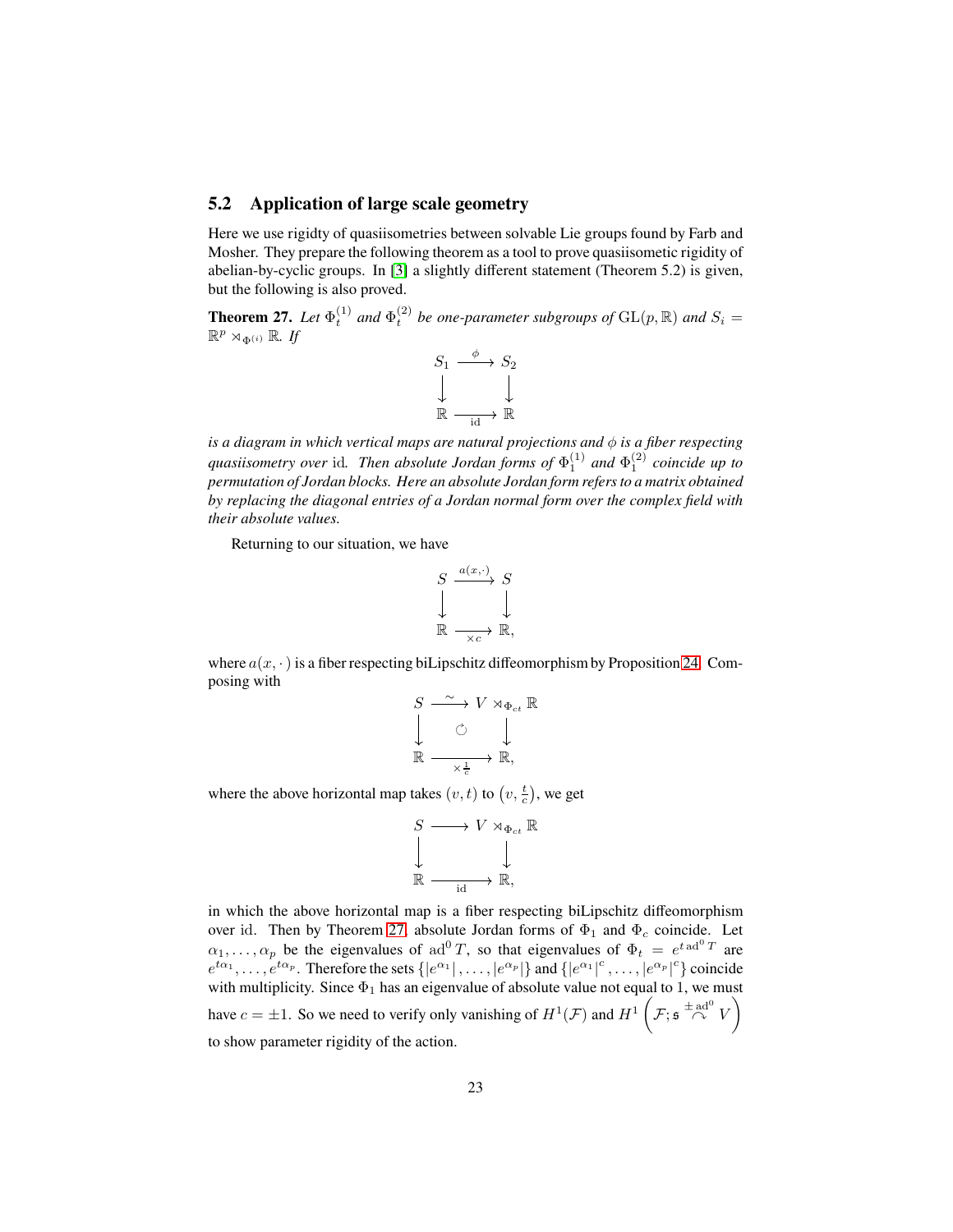#### <span id="page-22-0"></span>**5.2 Application of large scale geometry**

Here we use rigidty of quasiisometries between solvable Lie groups found by Farb and Mosher. They prepare the following theorem as a tool to prove quasiisometic rigidity of abelian-by-cyclic groups. In [\[3\]](#page-34-5) a slightly different statement (Theorem 5.2) is given, but the following is also proved.

<span id="page-22-1"></span>**Theorem 27.** Let  $\Phi_t^{(1)}$  and  $\Phi_t^{(2)}$  be one-parameter subgroups of  $GL(p, \mathbb{R})$  and  $S_i =$  $\mathbb{R}^p \rtimes_{\Phi^{(i)}} \mathbb{R}$ . If



*is a diagram in which vertical maps are natural projections and* φ *is a fiber respecting quasiisometry over* id. Then absolute Jordan forms of  $\Phi_1^{(1)}$  and  $\Phi_1^{(2)}$  coincide up to *permutation of Jordan blocks. Here an absolute Jordan form refers to a matrix obtained by replacing the diagonal entries of a Jordan normal form over the complex field with their absolute values.*

Returning to our situation, we have

$$
S \xrightarrow{a(x, \cdot)} S
$$
  
\n
$$
\downarrow \qquad \qquad \downarrow
$$
  
\n
$$
\mathbb{R} \xrightarrow{\sim_{\times c}} \mathbb{R},
$$

where  $a(x, \cdot)$  is a fiber respecting biLipschitz diffeomorphism by Proposition [24.](#page-18-0) Composing with

$$
S \xrightarrow{\sim} V \rtimes_{\Phi_{ct}} \mathbb{R}
$$
  

$$
\downarrow \qquad \circlearrowright
$$
  

$$
\mathbb{R} \xrightarrow{\sim} \frac{1}{\times \frac{1}{c}} \mathbb{R},
$$

where the above horizontal map takes  $(v, t)$  to  $(v, \frac{t}{c})$ , we get

$$
\begin{array}{ccc}\nS & \longrightarrow & V \rtimes_{\Phi_{ct}} \mathbb{R} \\
\downarrow & & \downarrow \\
\mathbb{R} & \xrightarrow{\mathrm{id}} & \mathbb{R},\n\end{array}
$$

in which the above horizontal map is a fiber respecting biLipschitz diffeomorphism over id. Then by Theorem [27,](#page-22-1) absolute Jordan forms of  $\Phi_1$  and  $\Phi_c$  coincide. Let  $\alpha_1, \dots, \alpha_p$  be the eigenvalues of ad<sup>0</sup> T, so that eigenvalues of  $\Phi_t = e^{t \operatorname{ad}^0 T}$  are  $e^{t\alpha_1}, \ldots, e^{t\alpha_p}$ . Therefore the sets  $\{|e^{\alpha_1}|, \ldots, |e^{\alpha_p}|\}$  and  $\{|e^{\alpha_1}|^c, \ldots, |e^{\alpha_p}|^c\}$  coincide with multiplicity. Since  $\Phi_1$  has an eigenvalue of absolute value not equal to 1, we must have  $c = \pm 1$ . So we need to verify only vanishing of  $H^1(\mathcal{F})$  and  $H^1(\mathcal{F}; \mathfrak{s} \stackrel{\pm \text{ad}^0}{\curvearrowright} V)$ to show parameter rigidity of the action.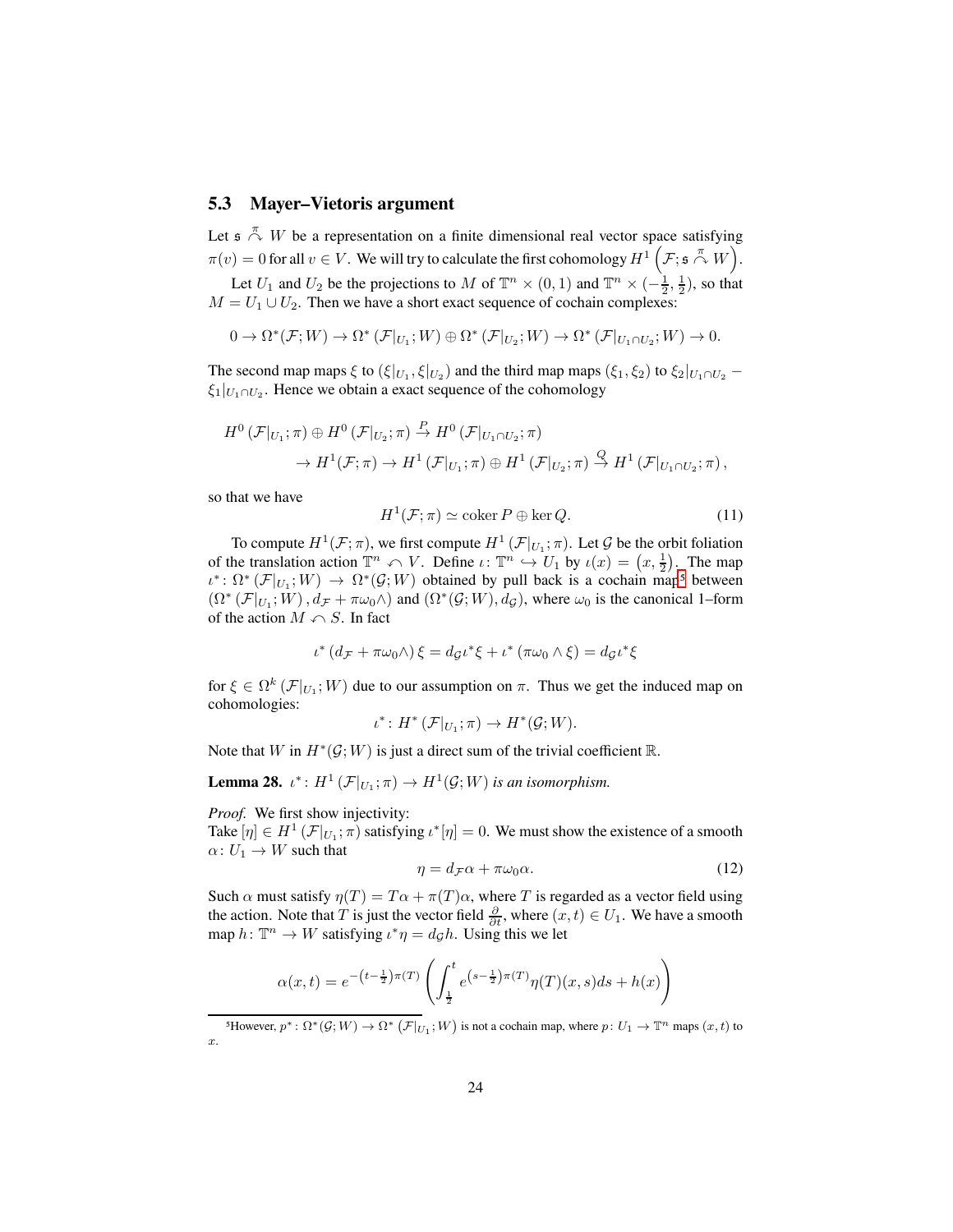#### <span id="page-23-0"></span>**5.3 Mayer–Vietoris argument**

Let  $\mathfrak{s} \stackrel{\pi}{\curvearrowright} W$  be a representation on a finite dimensional real vector space satisfying  $\pi(v) = 0$  for all  $v \in V$ . We will try to calculate the first cohomology  $H^1\left(\mathcal{F}; \mathfrak{s} \stackrel{\pi}{\curvearrowright} W\right)$ . Let  $U_1$  and  $U_2$  be the projections to M of  $\mathbb{T}^n \times (0,1)$  and  $\mathbb{T}^n \times (-\frac{1}{2},\frac{1}{2})$ , so that  $M = U_1 \cup U_2$ . Then we have a short exact sequence of cochain complexes:

$$
0 \to \Omega^*(\mathcal{F};W) \to \Omega^*\left(\mathcal{F}|_{U_1};W\right)\oplus \Omega^*\left(\mathcal{F}|_{U_2};W\right) \to \Omega^*\left(\mathcal{F}|_{U_1\cap U_2};W\right) \to 0.
$$

The second map maps  $\xi$  to  $(\xi|_{U_1}, \xi|_{U_2})$  and the third map maps  $(\xi_1, \xi_2)$  to  $\xi_2|_{U_1 \cap U_2}$  –  $\xi_1|_{U_1 \cap U_2}$ . Hence we obtain a exact sequence of the cohomology

$$
H^0(\mathcal{F}|_{U_1};\pi) \oplus H^0(\mathcal{F}|_{U_2};\pi) \stackrel{P}{\to} H^0(\mathcal{F}|_{U_1 \cap U_2};\pi)
$$
  

$$
\to H^1(\mathcal{F};\pi) \to H^1(\mathcal{F}|_{U_1};\pi) \oplus H^1(\mathcal{F}|_{U_2};\pi) \stackrel{Q}{\to} H^1(\mathcal{F}|_{U_1 \cap U_2};\pi),
$$

so that we have

<span id="page-23-4"></span>
$$
H^{1}(\mathcal{F};\pi) \simeq \text{coker } P \oplus \text{ker } Q. \tag{11}
$$

To compute  $H^1(\mathcal{F}; \pi)$ , we first compute  $H^1(\mathcal{F}|_{U_1}; \pi)$ . Let  $\mathcal G$  be the orbit foliation of the translation action  $\mathbb{T}^n \curvearrowleft V$ . Define  $\iota: \mathbb{T}^n \hookrightarrow U_1$  by  $\iota(x) = (x, \frac{1}{2})$ . The map  $\iota^* \colon \Omega^* (\mathcal{F}|_{U_1}; W) \to \Omega^* (\mathcal{G}; W)$  obtained by pull back is a cochain map<sup>[5](#page-23-1)</sup> between  $(\Omega^*(\mathcal{F}|_{U_1}; W), d_{\mathcal{F}} + \pi \omega_0 \wedge)$  and  $(\Omega^*(\mathcal{G}; W), d_{\mathcal{G}})$ , where  $\omega_0$  is the canonical 1–form of the action  $M \cap S$ . In fact

$$
\iota^* (d_{\mathcal{F}} + \pi \omega_0 \wedge) \xi = d_{\mathcal{G}} \iota^* \xi + \iota^* (\pi \omega_0 \wedge \xi) = d_{\mathcal{G}} \iota^* \xi
$$

for  $\xi \in \Omega^k(\mathcal{F}|_{U_1}; W)$  due to our assumption on  $\pi$ . Thus we get the induced map on cohomologies:

$$
\iota^* \colon H^* \left( \mathcal{F} |_{U_1}; \pi \right) \to H^* \left( \mathcal{G}; W \right).
$$

Note that W in  $H^*(\mathcal{G}; W)$  is just a direct sum of the trivial coefficient R.

<span id="page-23-3"></span>**Lemma 28.**  $\iota^*$ :  $H^1(\mathcal{F}|_{U_1}; \pi) \to H^1(\mathcal{G}; W)$  *is an isomorphism.* 

*Proof.* We first show injectivity:

Take  $[\eta] \in H^1(\mathcal{F}|_{U_1}; \pi)$  satisfying  $\iota^*[\eta] = 0$ . We must show the existence of a smooth  $\alpha\colon U_1\to W$  such that

<span id="page-23-2"></span>
$$
\eta = d_{\mathcal{F}}\alpha + \pi\omega_0\alpha. \tag{12}
$$

Such  $\alpha$  must satisfy  $\eta(T) = T\alpha + \pi(T)\alpha$ , where T is regarded as a vector field using the action. Note that T is just the vector field  $\frac{\partial}{\partial t}$ , where  $(x, t) \in U_1$ . We have a smooth map  $h \colon \mathbb{T}^n \to W$  satisfying  $\iota^* \eta = d^c g h$ . Using this we let

$$
\alpha(x,t) = e^{-\left(t - \frac{1}{2}\right)\pi(T)} \left( \int_{\frac{1}{2}}^{t} e^{\left(s - \frac{1}{2}\right)\pi(T)} \eta(T)(x,s)ds + h(x) \right)
$$

<span id="page-23-1"></span><sup>&</sup>lt;sup>5</sup>However,  $p^* \colon \Omega^*(\mathcal{G}; W) \to \Omega^* (\mathcal{F}|_{U_1}; W)$  is not a cochain map, where  $p: U_1 \to \mathbb{T}^n$  maps  $(x, t)$  to  $\boldsymbol{x}$ .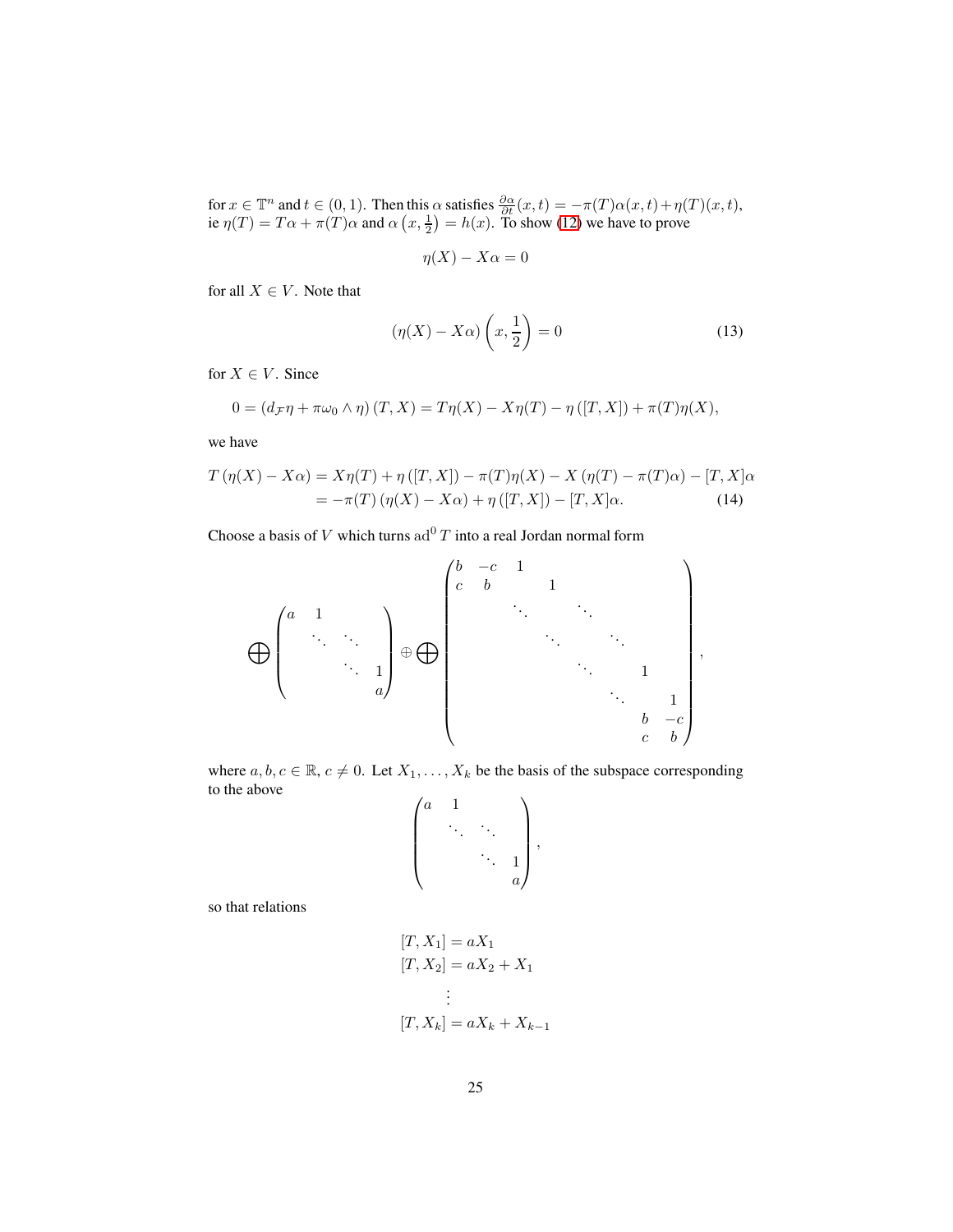for  $x \in \mathbb{T}^n$  and  $t \in (0, 1)$ . Then this  $\alpha$  satisfies  $\frac{\partial \alpha}{\partial t}(x, t) = -\pi(T)\alpha(x, t) + \eta(T)(x, t)$ , ie  $\eta(T) = T\alpha + \pi(T)\alpha$  and  $\alpha(x, \frac{1}{2}) = h(x)$ . To show [\(12\)](#page-23-2) we have to prove

$$
\eta(X) - X\alpha = 0
$$

for all  $X \in V$ . Note that

<span id="page-24-1"></span>
$$
(\eta(X) - X\alpha) \left(x, \frac{1}{2}\right) = 0 \tag{13}
$$

<span id="page-24-0"></span>,

for  $X \in V$ . Since

$$
0 = (d_{\mathcal{F}}\eta + \pi\omega_0 \wedge \eta) (T, X) = T\eta(X) - X\eta(T) - \eta ([T, X]) + \pi(T)\eta(X),
$$

we have

$$
T(\eta(X) - X\alpha) = X\eta(T) + \eta([T, X]) - \pi(T)\eta(X) - X(\eta(T) - \pi(T)\alpha) - [T, X]\alpha
$$
  
= 
$$
-\pi(T)(\eta(X) - X\alpha) + \eta([T, X]) - [T, X]\alpha.
$$
 (14)

Choose a basis of V which turns  $ad^0T$  into a real Jordan normal form

$$
\bigoplus \begin{pmatrix} a & 1 & & & \\ & \ddots & \ddots & \\ & & \ddots & 1 \\ & & & a \end{pmatrix} \oplus \bigoplus \begin{pmatrix} b & -c & 1 & & & & \\ & b & & 1 & & & \\ & & \ddots & & \ddots & & \\ & & & & \ddots & & \\ & & & & & \ddots & 1 \\ & & & & & & 1 \\ & & & & & & b & -c \\ & & & & & & & c & b \end{pmatrix}
$$

where  $a, b, c \in \mathbb{R}, c \neq 0$ . Let  $X_1, \ldots, X_k$  be the basis of the subspace corresponding to the above

$$
\begin{pmatrix} a & 1 & & \\ & \ddots & \ddots & \\ & & \ddots & 1 \\ & & & a \end{pmatrix},
$$

so that relations

$$
[T, X_1] = aX_1
$$
  
\n
$$
[T, X_2] = aX_2 + X_1
$$
  
\n
$$
\vdots
$$
  
\n
$$
[T, X_k] = aX_k + X_{k-1}
$$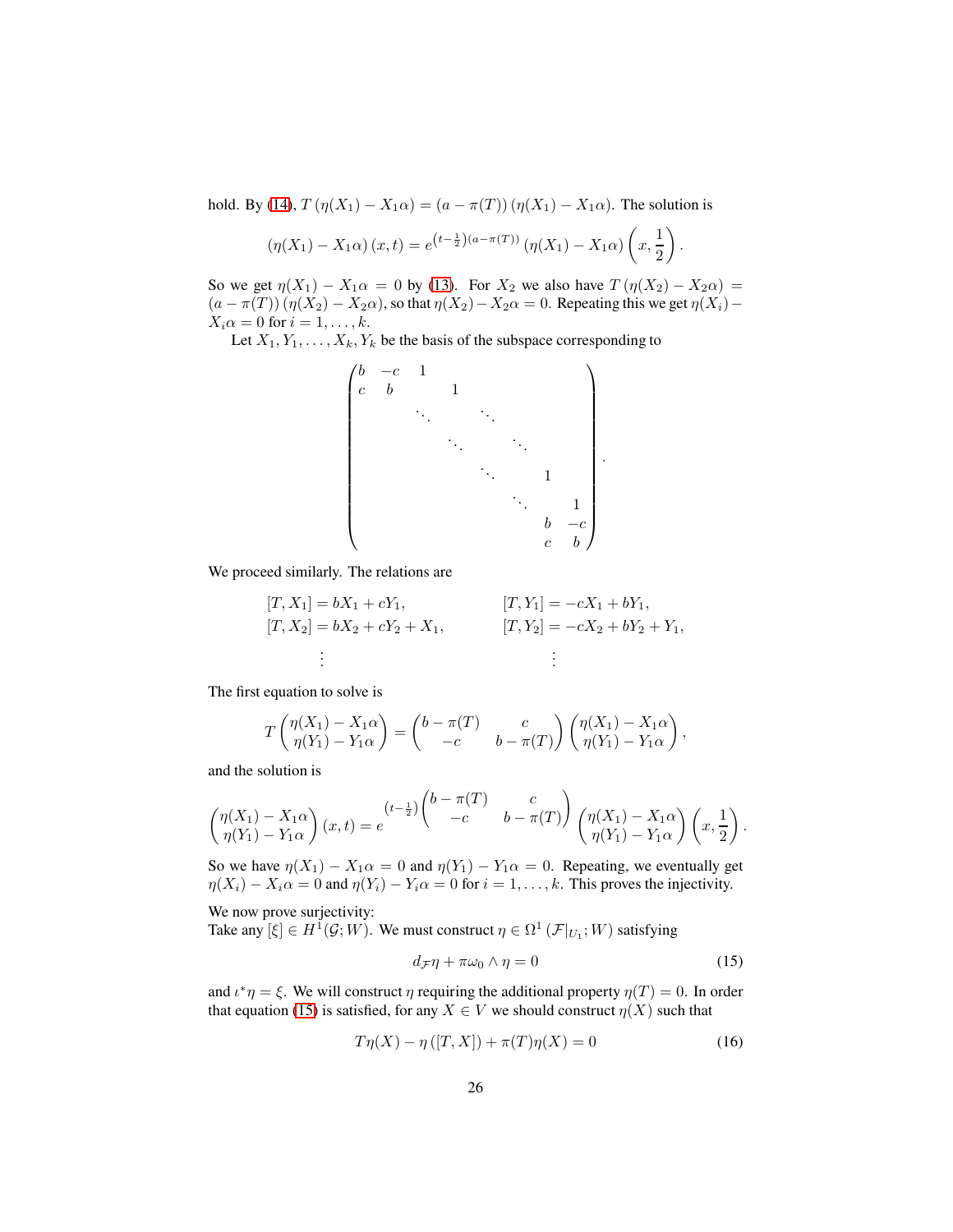hold. By [\(14\)](#page-24-0),  $T(\eta(X_1) - X_1\alpha) = (a - \pi(T))(\eta(X_1) - X_1\alpha)$ . The solution is

$$
(\eta(X_1) - X_1\alpha)(x,t) = e^{(t-\frac{1}{2})(a-\pi(T))} (\eta(X_1) - X_1\alpha) \left(x, \frac{1}{2}\right).
$$

So we get  $\eta(X_1) - X_1 \alpha = 0$  by [\(13\)](#page-24-1). For  $X_2$  we also have  $T(\eta(X_2) - X_2 \alpha) =$  $(a - \pi(T))(\eta(X_2) - X_2\alpha)$ , so that  $\eta(X_2) - X_2\alpha = 0$ . Repeating this we get  $\eta(X_i)$  –  $X_i \alpha = 0$  for  $i = 1, \ldots, k$ .

Let  $X_1, Y_1, \ldots, X_k, Y_k$  be the basis of the subspace corresponding to

$$
\begin{pmatrix} b & -c & 1 & & & & & \\ c & b & & 1 & & & & \\ & & \ddots & & \ddots & & & \\ & & & \ddots & & & & \\ & & & & \ddots & & & \\ & & & & & & 1 & \\ & & & & & & & 1 \\ & & & & & & & & b \\ & & & & & & & & c \end{pmatrix}
$$

We proceed similarly. The relations are

$$
[T, X_1] = bX_1 + cY_1,
$$
  
\n
$$
[T, X_2] = bX_2 + cY_2 + X_1,
$$
  
\n
$$
[T, Y_2] = -cX_1 + bY_1,
$$
  
\n
$$
[T, Y_2] = -cX_2 + bY_2 + Y_1,
$$
  
\n
$$
\vdots
$$

The first equation to solve is

$$
T\begin{pmatrix} \eta(X_1)-X_1\alpha \\ \eta(Y_1)-Y_1\alpha \end{pmatrix} = \begin{pmatrix} b-\pi(T) & c \\ -c & b-\pi(T) \end{pmatrix} \begin{pmatrix} \eta(X_1)-X_1\alpha \\ \eta(Y_1)-Y_1\alpha \end{pmatrix},
$$

and the solution is

$$
\begin{pmatrix}\n\eta(X_1) - X_1\alpha \\
\eta(Y_1) - Y_1\alpha\n\end{pmatrix}\n\begin{pmatrix}\nx, t\n\end{pmatrix} = e^{\begin{pmatrix}\nt - \frac{1}{2}\n\end{pmatrix}\n\begin{pmatrix}\nb - \pi(T) & c \\
-c & b - \pi(T)\n\end{pmatrix}\n\begin{pmatrix}\n\eta(X_1) - X_1\alpha \\
\eta(Y_1) - Y_1\alpha\n\end{pmatrix}\n\begin{pmatrix}\nx, \frac{1}{2}\n\end{pmatrix}
$$

So we have  $\eta(X_1) - X_1 \alpha = 0$  and  $\eta(Y_1) - Y_1 \alpha = 0$ . Repeating, we eventually get  $\eta(X_i) - X_i \alpha = 0$  and  $\eta(Y_i) - Y_i \alpha = 0$  for  $i = 1, ..., k$ . This proves the injectivity.

We now prove surjectivity:

Take any  $[\xi] \in H^1(\mathcal{G}; W)$ . We must construct  $\eta \in \Omega^1(\mathcal{F}|_{U_1}; W)$  satisfying

<span id="page-25-0"></span>
$$
d_{\mathcal{F}}\eta + \pi\omega_0 \wedge \eta = 0 \tag{15}
$$

.

.

and  $\iota^* \eta = \xi$ . We will construct  $\eta$  requiring the additional property  $\eta(T) = 0$ . In order that equation [\(15\)](#page-25-0) is satisfied, for any  $X \in V$  we should construct  $\eta(X)$  such that

<span id="page-25-1"></span>
$$
T\eta(X) - \eta([T, X]) + \pi(T)\eta(X) = 0
$$
\n(16)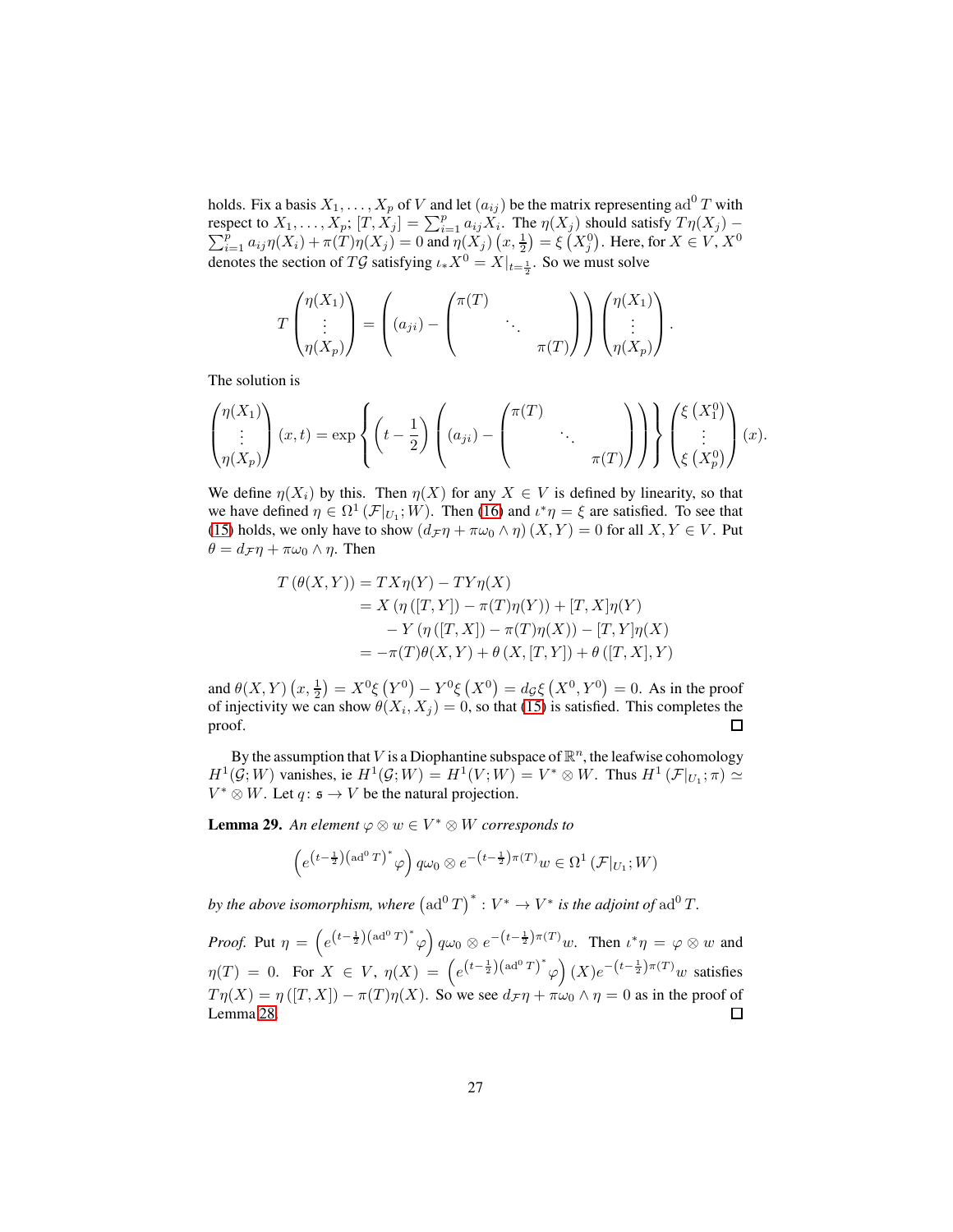holds. Fix a basis  $X_1, \ldots, X_p$  of V and let  $(a_{ij})$  be the matrix representing ad<sup>0</sup> T with respect to  $X_1, \ldots, X_p; [T, X_j] = \sum_{i=1}^p a_{ij} X_i$  $\sum$ spect to  $X_1, \ldots, X_p$ ;  $[T, X_j] = \sum_{i=1}^p a_{ij} X_i$ . The  $\eta(X_j)$  should satisfy  $T\eta(X_j) -$ <br> $\frac{p}{i=1} a_{ij}\eta(X_i) + \pi(T)\eta(X_j) = 0$  and  $\eta(X_j)$   $(x, \frac{1}{2}) = \xi(X_j^0)$ . Here, for  $X \in V, X^0$ denotes the section of TG satisfying  $\iota_* X^0 = X|_{t=\frac{1}{2}}$ . So we must solve

$$
T\begin{pmatrix} \eta(X_1) \\ \vdots \\ \eta(X_p) \end{pmatrix} = \left( (a_{ji}) - \begin{pmatrix} \pi(T) \\ & \ddots \\ & & \pi(T) \end{pmatrix} \right) \begin{pmatrix} \eta(X_1) \\ \vdots \\ \eta(X_p) \end{pmatrix}.
$$

The solution is

$$
\begin{pmatrix} \eta(X_1) \\ \vdots \\ \eta(X_p) \end{pmatrix} (x,t) = \exp \left\{ \left( t - \frac{1}{2} \right) \left( (a_{ji}) - \begin{pmatrix} \pi(T) \\ & \ddots \\ & & \pi(T) \end{pmatrix} \right) \right\} \begin{pmatrix} \xi(X_1^0) \\ \vdots \\ \xi(X_p^0) \end{pmatrix} (x).
$$

We define  $\eta(X_i)$  by this. Then  $\eta(X)$  for any  $X \in V$  is defined by linearity, so that we have defined  $\eta \in \Omega^1(\mathcal{F}|_{U_1}; W)$ . Then [\(16\)](#page-25-1) and  $\iota^* \eta = \xi$  are satisfied. To see that [\(15\)](#page-25-0) holds, we only have to show  $(d_{\mathcal{F}} \eta + \pi \omega_0 \wedge \eta) (X, Y) = 0$  for all  $X, Y \in V$ . Put  $\theta = d_{\mathcal{F}} \eta + \pi \omega_0 \wedge \eta$ . Then

$$
T(\theta(X, Y)) = TX\eta(Y) - TY\eta(X)
$$
  
=  $X(\eta([T, Y]) - \pi(T)\eta(Y)) + [T, X]\eta(Y)$   
 $- Y(\eta([T, X]) - \pi(T)\eta(X)) - [T, Y]\eta(X)$   
=  $-\pi(T)\theta(X, Y) + \theta(X, [T, Y]) + \theta([T, X], Y)$ 

and  $\theta(X,Y)(x,\frac{1}{2}) = X^0 \xi(Y^0) - Y^0 \xi(X^0) = d_{\mathcal{G}} \xi(Y^0, Y^0) = 0$ . As in the proof of injectivity we can show  $\theta(X_i, X_j) = 0$ , so that [\(15\)](#page-25-0) is satisfied. This completes the proof.  $\Box$ 

By the assumption that V is a Diophantine subspace of  $\mathbb{R}^n$ , the leafwise cohomology  $H^1(\mathcal{G}; W)$  vanishes, ie  $H^1(\mathcal{G}; W) = H^1(V; W) = V^* \otimes W$ . Thus  $H^1(\mathcal{F}|_{U_1}; \pi) \simeq$  $V^* \otimes W$ . Let  $q: \mathfrak{s} \to V$  be the natural projection.

**Lemma 29.** An element  $\varphi \otimes w \in V^* \otimes W$  corresponds to

$$
\left(e^{\left(t-\frac{1}{2}\right)\left(\mathrm{ad}^{0}T\right)^{*}}\varphi\right)q\omega_{0}\otimes e^{-\left(t-\frac{1}{2}\right)\pi(T)}w\in\Omega^{1}\left(\mathcal{F}|_{U_{1}};W\right)
$$

*by the above isomorphism, where*  ${\left(\text{ad}^0 T\right)}^* : V^* \to V^*$  *is the adjoint of*  $\text{ad}^0 T$ *.* 

*Proof.* Put  $\eta = \left( e^{(t-\frac{1}{2})(ad^0T)^*} \varphi \right) q \omega_0 \otimes e^{-(t-\frac{1}{2})\pi(T)} w$ . Then  $\iota^* \eta = \varphi \otimes w$  and  $\eta(T) = 0$ . For  $X \in V$ ,  $\eta(X) = (e^{(t-\frac{1}{2})(ad^0T)^*}\varphi)(X)e^{-(t-\frac{1}{2})\pi(T)}w$  satisfies  $T\eta(X) = \eta([T, X]) - \pi(T)\eta(X)$ . So we see  $d_{\mathcal{F}}\eta + \pi\omega_0 \wedge \eta = 0$  as in the proof of Lemma 28. Lemma [28.](#page-23-3)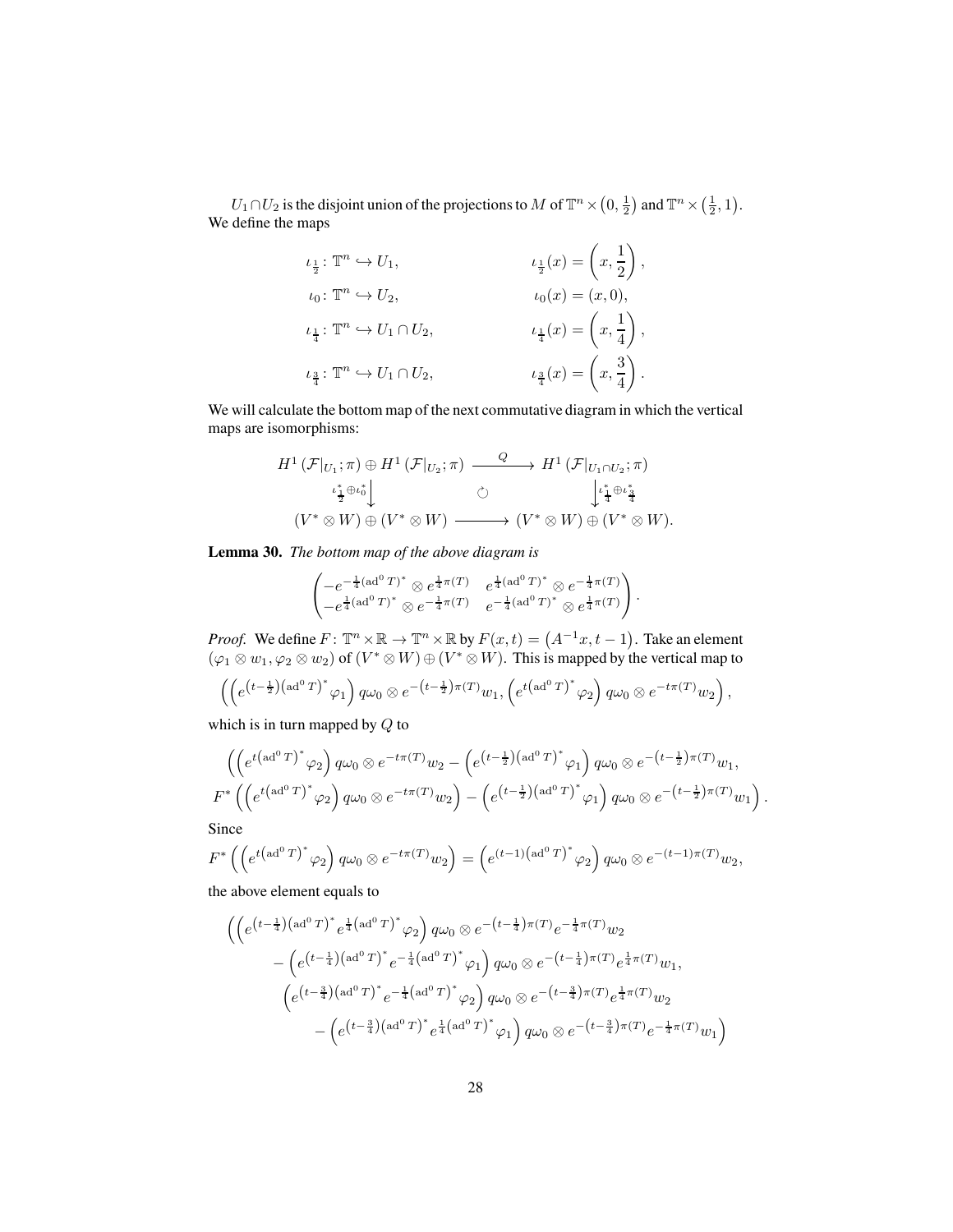$U_1 \cap U_2$  is the disjoint union of the projections to  $M$  of  $\mathbb{T}^n \times (0, \frac{1}{2})$  and  $\mathbb{T}^n \times (\frac{1}{2}, 1)$ . We define the maps

$$
\iota_{\frac{1}{2}}: \mathbb{T}^n \hookrightarrow U_1, \qquad \iota_{\frac{1}{2}}(x) = \left(x, \frac{1}{2}\right),
$$
  
\n
$$
\iota_0: \mathbb{T}^n \hookrightarrow U_2, \qquad \iota_0(x) = (x, 0),
$$
  
\n
$$
\iota_{\frac{1}{4}}: \mathbb{T}^n \hookrightarrow U_1 \cap U_2, \qquad \iota_{\frac{1}{4}}(x) = \left(x, \frac{1}{4}\right),
$$
  
\n
$$
\iota_{\frac{3}{4}}: \mathbb{T}^n \hookrightarrow U_1 \cap U_2, \qquad \iota_{\frac{3}{4}}(x) = \left(x, \frac{3}{4}\right).
$$

We will calculate the bottom map of the next commutative diagram in which the vertical maps are isomorphisms:

$$
H^1(\mathcal{F}|_{U_1};\pi) \oplus H^1(\mathcal{F}|_{U_2};\pi) \xrightarrow{Q} H^1(\mathcal{F}|_{U_1 \cap U_2};\pi)
$$
  

$$
\iota_{\frac{1}{2}}^* \oplus \iota_0^* \downarrow \qquad \circlearrowright
$$
  

$$
(V^* \otimes W) \oplus (V^* \otimes W) \xrightarrow{Q} (V^* \otimes W) \oplus (V^* \otimes W).
$$

**Lemma 30.** *The bottom map of the above diagram is*

$$
\begin{pmatrix} -e^{-\frac{1}{4}(\text{ad}^0T)^*} \otimes e^{\frac{1}{4}\pi(T)} & e^{\frac{1}{4}(\text{ad}^0T)^*} \otimes e^{-\frac{1}{4}\pi(T)} \\ -e^{\frac{1}{4}(\text{ad}^0T)^*} \otimes e^{-\frac{1}{4}\pi(T)} & e^{-\frac{1}{4}(\text{ad}^0T)^*} \otimes e^{\frac{1}{4}\pi(T)} \end{pmatrix}.
$$

*Proof.* We define  $F: \mathbb{T}^n \times \mathbb{R} \to \mathbb{T}^n \times \mathbb{R}$  by  $F(x, t) = (A^{-1}x, t - 1)$ . Take an element  $(\varphi_1 \otimes w_1, \varphi_2 \otimes w_2)$  of  $(V^* \otimes W) \oplus (V^* \otimes W)$ . This is mapped by the vertical map to

$$
\left(\left(e^{\left(t-\frac{1}{2}\right)\left(\mathrm{ad}^{0}T\right)^{*}}\varphi_{1}\right)q\omega_{0}\otimes e^{-\left(t-\frac{1}{2}\right)\pi(T)}w_{1},\left(e^{t\left(\mathrm{ad}^{0}T\right)^{*}}\varphi_{2}\right)q\omega_{0}\otimes e^{-t\pi(T)}w_{2}\right),
$$

which is in turn mapped by Q to

$$
\left(\left(e^{t\left(\text{ad}^0 T\right)^*}\varphi_2\right)q\omega_0\otimes e^{-t\pi(T)}w_2-\left(e^{\left(t-\frac{1}{2}\right)\left(\text{ad}^0 T\right)^*}\varphi_1\right)q\omega_0\otimes e^{-\left(t-\frac{1}{2}\right)\pi(T)}w_1,
$$
  

$$
F^*\left(\left(e^{t\left(\text{ad}^0 T\right)^*}\varphi_2\right)q\omega_0\otimes e^{-t\pi(T)}w_2\right)-\left(e^{\left(t-\frac{1}{2}\right)\left(\text{ad}^0 T\right)^*}\varphi_1\right)q\omega_0\otimes e^{-\left(t-\frac{1}{2}\right)\pi(T)}w_1\right).
$$

Since

$$
F^*\left(\left(e^{t\left(\mathrm{ad}^0 T\right)^*}\varphi_2\right)q\omega_0\otimes e^{-t\pi(T)}w_2\right)=\left(e^{(t-1)\left(\mathrm{ad}^0 T\right)^*}\varphi_2\right)q\omega_0\otimes e^{-(t-1)\pi(T)}w_2,
$$

the above element equals to

$$
\begin{aligned}&\left(\left(e^{\left(t-\frac{1}{4}\right)\left(\mathrm{ad}^{0}T\right)^{*}}e^{\frac{1}{4}\left(\mathrm{ad}^{0}T\right)^{*}}\varphi_{2}\right)q\omega_{0}\otimes e^{-\left(t-\frac{1}{4}\right)\pi\left(T\right)}e^{-\frac{1}{4}\pi\left(T\right)}\omega_{2}\right.\\&\left.-\left(e^{\left(t-\frac{1}{4}\right)\left(\mathrm{ad}^{0}T\right)^{*}}e^{-\frac{1}{4}\left(\mathrm{ad}^{0}T\right)^{*}}\varphi_{1}\right)q\omega_{0}\otimes e^{-\left(t-\frac{1}{4}\right)\pi\left(T\right)}e^{\frac{1}{4}\pi\left(T\right)}\omega_{1},\right.\\&\left.\left(e^{\left(t-\frac{3}{4}\right)\left(\mathrm{ad}^{0}T\right)^{*}}e^{-\frac{1}{4}\left(\mathrm{ad}^{0}T\right)^{*}}\varphi_{2}\right)q\omega_{0}\otimes e^{-\left(t-\frac{3}{4}\right)\pi\left(T\right)}e^{\frac{1}{4}\pi\left(T\right)}\omega_{2}\right.\\&\left.-\left(e^{\left(t-\frac{3}{4}\right)\left(\mathrm{ad}^{0}T\right)^{*}}e^{\frac{1}{4}\left(\mathrm{ad}^{0}T\right)^{*}}\varphi_{1}\right)q\omega_{0}\otimes e^{-\left(t-\frac{3}{4}\right)\pi\left(T\right)}e^{-\frac{1}{4}\pi\left(T\right)}\omega_{1}\right)\right.\end{aligned}
$$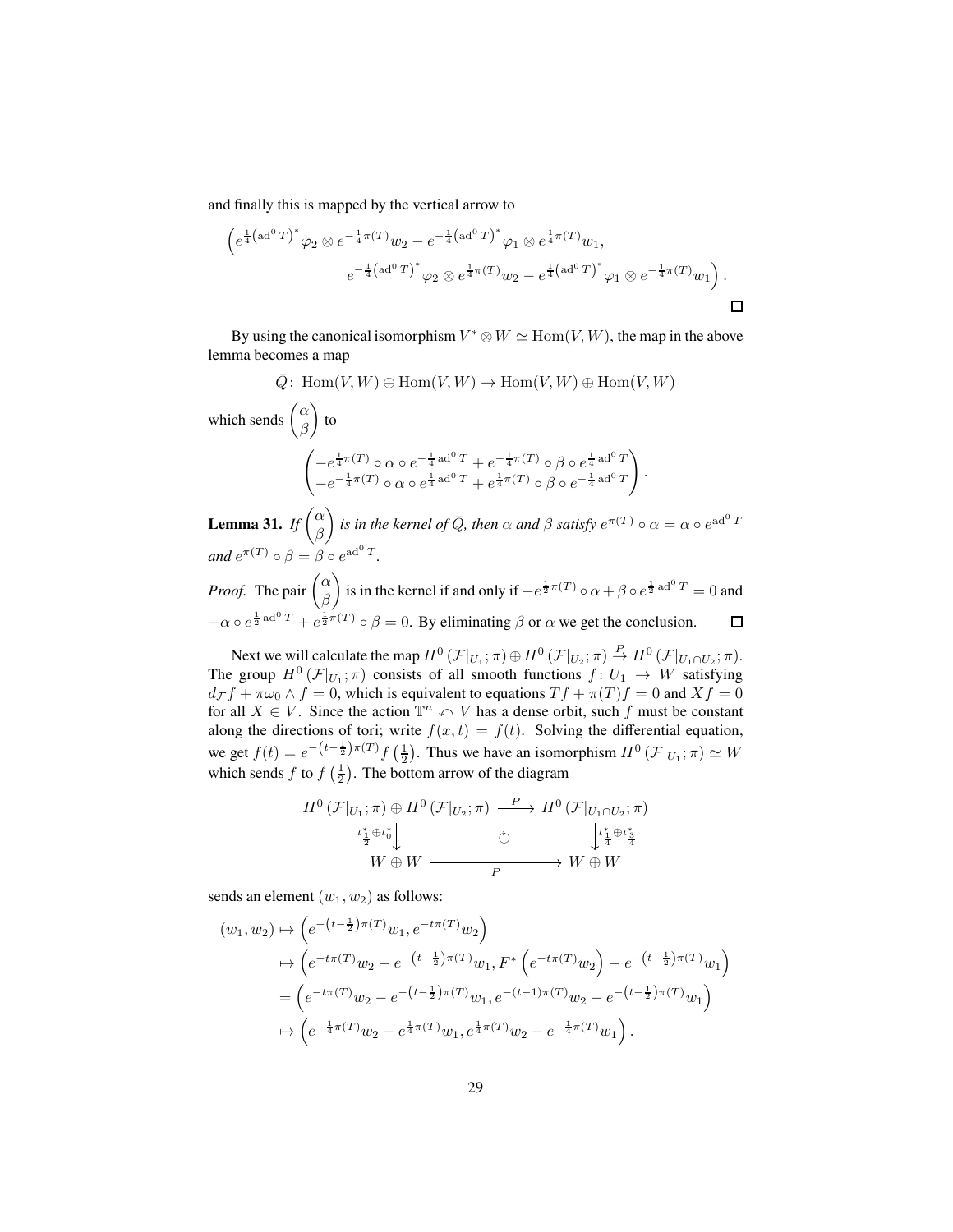and finally this is mapped by the vertical arrow to

$$
\left(e^{\frac{1}{4}(\text{ad}^0 T)^*} \varphi_2 \otimes e^{-\frac{1}{4}\pi(T)} w_2 - e^{-\frac{1}{4}(\text{ad}^0 T)^*} \varphi_1 \otimes e^{\frac{1}{4}\pi(T)} w_1, \right.\left. e^{-\frac{1}{4}(\text{ad}^0 T)^*} \varphi_2 \otimes e^{\frac{1}{4}\pi(T)} w_2 - e^{\frac{1}{4}(\text{ad}^0 T)^*} \varphi_1 \otimes e^{-\frac{1}{4}\pi(T)} w_1 \right). \square
$$

By using the canonical isomorphism  $V^* \otimes W \simeq \text{Hom}(V, W)$ , the map in the above lemma becomes a map

$$
\bar{Q} \colon \operatorname{Hom}(V, W) \oplus \operatorname{Hom}(V, W) \to \operatorname{Hom}(V, W) \oplus \operatorname{Hom}(V, W)
$$
\nwhich sends  $\begin{pmatrix} \alpha \\ \beta \end{pmatrix}$  to

\n
$$
\begin{pmatrix} -e^{\frac{1}{4}\pi(T)} \circ \alpha \circ e^{-\frac{1}{4}\operatorname{ad}^{0}T} + e^{-\frac{1}{4}\pi(T)} \circ \beta \circ e^{\frac{1}{4}\operatorname{ad}^{0}T} \\ -e^{-\frac{1}{4}\pi(T)} \circ \alpha \circ e^{\frac{1}{4}\operatorname{ad}^{0}T} + e^{\frac{1}{4}\pi(T)} \circ \beta \circ e^{-\frac{1}{4}\operatorname{ad}^{0}T} \end{pmatrix}.
$$

<span id="page-28-0"></span>**Lemma 31.** *If*  $\begin{pmatrix} \alpha \\ \beta \end{pmatrix}$ β *is in the kernel of*  $\overline{Q}$ *, then*  $\alpha$  *and*  $\beta$  *satisfy*  $e^{\pi(T)} \circ \alpha = \alpha \circ e^{\mathrm{ad}^0 T}$ and  $e^{\pi(T)} \circ \beta = \beta \circ e^{\mathrm{ad}^0 T}$ . *Proof.* The pair  $\begin{pmatrix} \alpha \\ \beta \end{pmatrix}$ β ) is in the kernel if and only if  $-e^{\frac{1}{2}\pi(T)} \circ \alpha + \beta \circ e^{\frac{1}{2} \text{ad}^0 T} = 0$  and  $-\alpha \circ e^{\frac{1}{2} \operatorname{ad}^0 T} + e^{\frac{1}{2}\pi(T)} \circ \beta = 0$ . By eliminating  $\beta$  or  $\alpha$  we get the conclusion.

Next we will calculate the map  $H^0(\mathcal{F}|_{U_1};\pi) \oplus H^0(\mathcal{F}|_{U_2};\pi) \stackrel{P}{\to} H^0(\mathcal{F}|_{U_1 \cap U_2};\pi)$ . The group  $H^0(\mathcal{F}|_{U_1};\pi)$  consists of all smooth functions  $f: U_1 \to W$  satisfying  $d_{\mathcal{F}} f + \pi \omega_0 \wedge f = 0$ , which is equivalent to equations  $T f + \pi(T) f = 0$  and  $X f = 0$ for all  $X \in V$ . Since the action  $\mathbb{T}^n \curvearrowleft V$  has a dense orbit, such f must be constant along the directions of tori; write  $f(x, t) = f(t)$ . Solving the differential equation, we get  $f(t) = e^{-\left(t - \frac{1}{2}\right)\pi(T)} f\left(\frac{1}{2}\right)$ . Thus we have an isomorphism  $H^0(\mathcal{F}|_{U_1}; \pi) \simeq W$ which sends f to  $f\left(\frac{1}{2}\right)$ . The bottom arrow of the diagram

$$
H^{0}(\mathcal{F}|_{U_{1}};\pi) \oplus H^{0}(\mathcal{F}|_{U_{2}};\pi) \xrightarrow{P} H^{0}(\mathcal{F}|_{U_{1} \cap U_{2}};\pi)
$$
  

$$
\iota_{\frac{\imath_{1}^{\ast}\oplus \iota_{0}^{\ast}}{\frac{1}{2}}\downarrow}^{\iota_{\frac{\imath_{1}}{\ast}\oplus \iota_{\frac{\imath_{1}}{\ast}}^{\ast}}{\frac{1}{2}}}
$$
  

$$
W \oplus W \xrightarrow{\overline{P}} W \oplus W
$$

sends an element  $(w_1, w_2)$  as follows:

$$
(w_1, w_2) \mapsto \left( e^{-(t-\frac{1}{2})\pi(T)} w_1, e^{-t\pi(T)} w_2 \right)
$$
  
\n
$$
\mapsto \left( e^{-t\pi(T)} w_2 - e^{-(t-\frac{1}{2})\pi(T)} w_1, F^* \left( e^{-t\pi(T)} w_2 \right) - e^{-(t-\frac{1}{2})\pi(T)} w_1 \right)
$$
  
\n
$$
= \left( e^{-t\pi(T)} w_2 - e^{-(t-\frac{1}{2})\pi(T)} w_1, e^{-(t-1)\pi(T)} w_2 - e^{-(t-\frac{1}{2})\pi(T)} w_1 \right)
$$
  
\n
$$
\mapsto \left( e^{-\frac{1}{4}\pi(T)} w_2 - e^{\frac{1}{4}\pi(T)} w_1, e^{\frac{1}{4}\pi(T)} w_2 - e^{-\frac{1}{4}\pi(T)} w_1 \right).
$$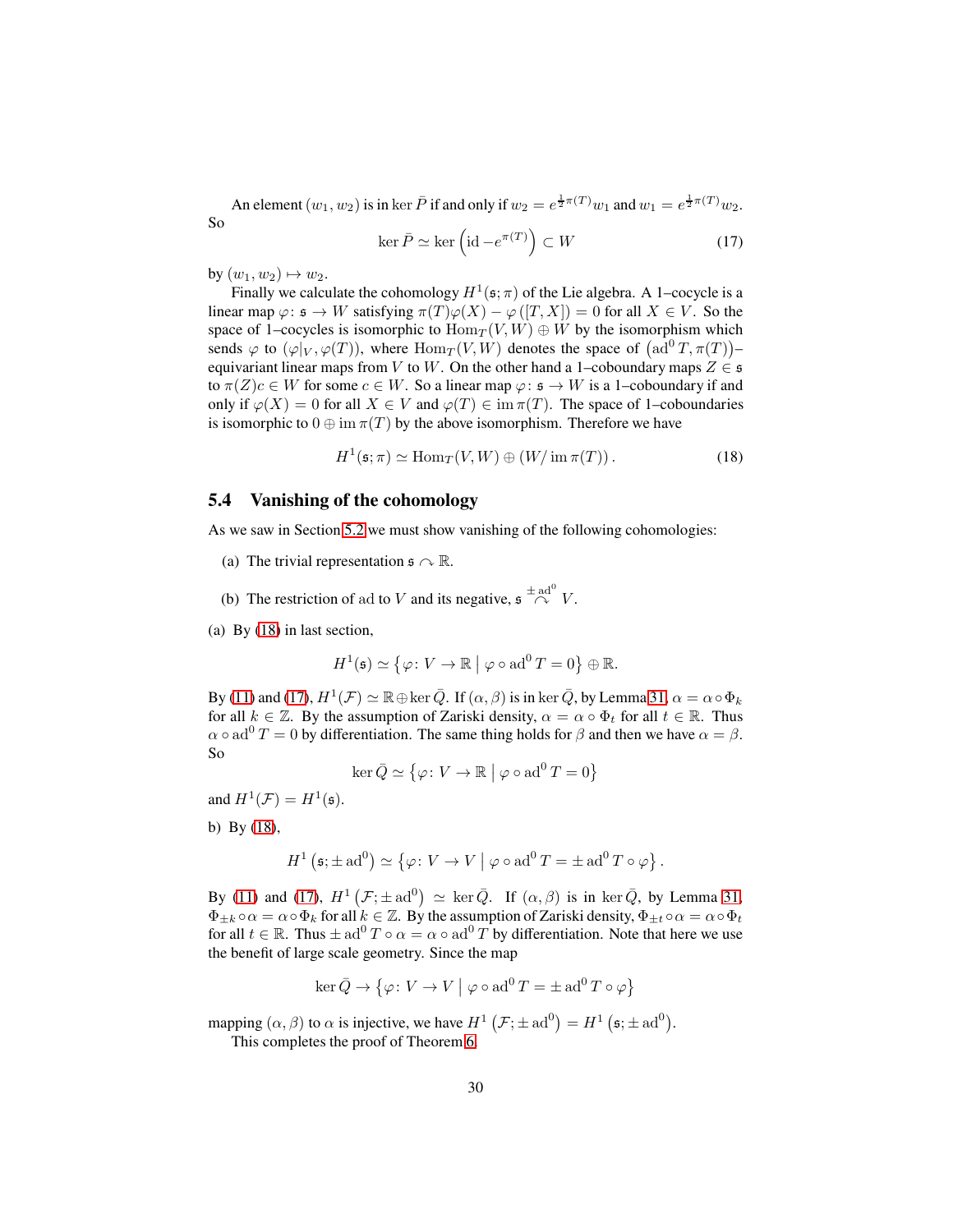An element  $(w_1, w_2)$  is in ker  $\bar{P}$  if and only if  $w_2 = e^{\frac{1}{2}\pi(T)}w_1$  and  $w_1 = e^{\frac{1}{2}\pi(T)}w_2$ . So

<span id="page-29-2"></span>
$$
\ker \bar{P} \simeq \ker \left(\mathrm{id} - e^{\pi(T)}\right) \subset W \tag{17}
$$

by  $(w_1, w_2) \mapsto w_2$ .

Finally we calculate the cohomology  $H^1(\mathfrak{s}; \pi)$  of the Lie algebra. A 1–cocycle is a linear map  $\varphi: \mathfrak{s} \to W$  satisfying  $\pi(T)\varphi(X) - \varphi([T, X]) = 0$  for all  $X \in V$ . So the space of 1–cocycles is isomorphic to  $\text{Hom}_T(V, W) \oplus W$  by the isomorphism which sends  $\varphi$  to  $(\varphi|_V, \varphi(T))$ , where  $\operatorname{Hom}_T(V, W)$  denotes the space of  $(\operatorname{ad}^0 T, \pi(T))$ equivariant linear maps from V to W. On the other hand a 1–coboundary maps  $Z \in \mathfrak{s}$ to  $\pi(Z)c \in W$  for some  $c \in W$ . So a linear map  $\varphi: \mathfrak{s} \to W$  is a 1–coboundary if and only if  $\varphi(X) = 0$  for all  $X \in V$  and  $\varphi(T) \in \text{im } \pi(T)$ . The space of 1–coboundaries is isomorphic to  $0 \oplus \text{im } \pi(T)$  by the above isomorphism. Therefore we have

<span id="page-29-1"></span>
$$
H^{1}(\mathfrak{s};\pi) \simeq \text{Hom}_{T}(V,W) \oplus (W/\text{ im}\,\pi(T)).
$$
\n(18)

#### <span id="page-29-0"></span>**5.4 Vanishing of the cohomology**

As we saw in Section [5.2](#page-22-0) we must show vanishing of the following cohomologies:

- (a) The trivial representation  $\mathfrak{s} \curvearrowright \mathbb{R}$ .
- (b) The restriction of ad to V and its negative,  $\mathfrak{s} \stackrel{\pm \text{ ad}^0}{\curvearrowright} V$ .

(a) By [\(18\)](#page-29-1) in last section,

$$
H^1(\mathfrak{s}) \simeq \{ \varphi \colon V \to \mathbb{R} \mid \varphi \circ \mathrm{ad}^0 T = 0 \} \oplus \mathbb{R}.
$$

By [\(11\)](#page-23-4) and [\(17\)](#page-29-2),  $H^1(\mathcal{F}) \simeq \mathbb{R} \oplus \ker \bar{Q}$ . If  $(\alpha, \beta)$  is in ker  $\bar{Q}$ , by Lemma [31,](#page-28-0)  $\alpha = \alpha \circ \Phi_k$ for all  $k \in \mathbb{Z}$ . By the assumption of Zariski density,  $\alpha = \alpha \circ \Phi_t$  for all  $t \in \mathbb{R}$ . Thus  $\alpha \circ \text{ad}^0 T = 0$  by differentiation. The same thing holds for  $\beta$  and then we have  $\alpha = \beta$ . So

$$
\ker \bar{Q} \simeq \{ \varphi \colon V \to \mathbb{R} \mid \varphi \circ \mathrm{ad}^0 T = 0 \}
$$

and  $H^1(\mathcal{F}) = H^1(\mathfrak{s})$ .

b) By [\(18\)](#page-29-1),

$$
H^1\left(\mathfrak{s}; \pm \mathrm{ad}^0\right) \simeq \left\{\varphi \colon V \to V \mid \varphi \circ \mathrm{ad}^0 T = \pm \mathrm{ad}^0 T \circ \varphi \right\}.
$$

By [\(11\)](#page-23-4) and [\(17\)](#page-29-2),  $H^1(\mathcal{F}; \pm \text{ad}^0) \simeq \text{ker}\,\bar{Q}$ . If  $(\alpha, \beta)$  is in ker $\bar{Q}$ , by Lemma [31,](#page-28-0)  $\Phi_{\pm k} \circ \alpha = \alpha \circ \Phi_k$  for all  $k \in \mathbb{Z}$ . By the assumption of Zariski density,  $\Phi_{\pm k} \circ \alpha = \alpha \circ \Phi_k$ for all  $t \in \mathbb{R}$ . Thus  $\pm ad^0 T \circ \alpha = \alpha \circ ad^0 T$  by differentiation. Note that here we use the benefit of large scale geometry. Since the map

$$
\ker \bar{Q} \to \{ \varphi \colon V \to V \mid \varphi \circ \mathrm{ad}^0 T = \pm \mathrm{ad}^0 T \circ \varphi \}
$$

mapping  $(\alpha, \beta)$  to  $\alpha$  is injective, we have  $H^1(\mathcal{F}; \pm \text{ad}^0) = H^1(\mathfrak{s}; \pm \text{ad}^0)$ .

This completes the proof of Theorem [6.](#page-5-1)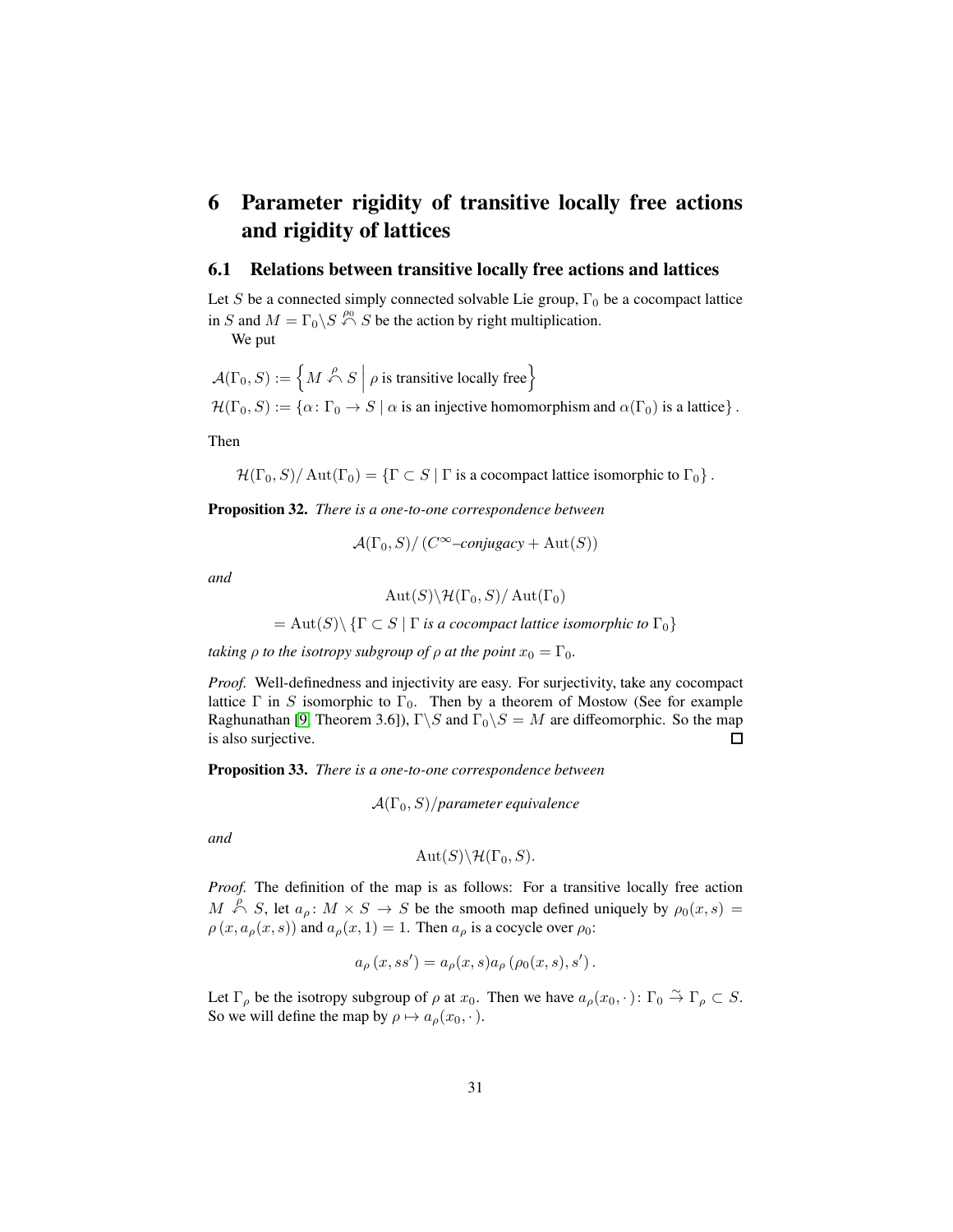## <span id="page-30-0"></span>**6 Parameter rigidity of transitive locally free actions and rigidity of lattices**

#### <span id="page-30-1"></span>**6.1 Relations between transitive locally free actions and lattices**

Let S be a connected simply connected solvable Lie group,  $\Gamma_0$  be a cocompact lattice in S and  $M = \Gamma_0 \backslash S \stackrel{\rho_0}{\curvearrowleft} S$  be the action by right multiplication.

We put

$$
\mathcal{A}(\Gamma_0, S) := \left\{ M \stackrel{\rho}{\curvearrowleft} S \mid \rho \text{ is transitive locally free} \right\}
$$
  

$$
\mathcal{H}(\Gamma_0, S) := \left\{ \alpha \colon \Gamma_0 \to S \mid \alpha \text{ is an injective homomorphism and } \alpha(\Gamma_0) \text{ is a lattice} \right\}.
$$

Then

 $\mathcal{H}(\Gamma_0, S)/\operatorname{Aut}(\Gamma_0) = {\{\Gamma \subset S \mid \Gamma \text{ is a cocompact lattice isomorphic to } \Gamma_0 \}}$ .

**Proposition 32.** *There is a one-to-one correspondence between*

$$
\mathcal{A}(\Gamma_0, S) / \left( C^{\infty} - \text{conjugacy} + \text{Aut}(S) \right)
$$

*and*

$$
\mathrm{Aut}(S)\backslash \mathcal{H}(\Gamma_0,S)/\mathrm{Aut}(\Gamma_0)
$$

 $= \text{Aut}(S) \setminus {\Gamma \subset S \mid \Gamma \text{ is a cocompact lattice isomorphic to } \Gamma_0}$ 

*taking*  $\rho$  *to the isotropy subgroup of*  $\rho$  *at the point*  $x_0 = \Gamma_0$ *.* 

*Proof.* Well-definedness and injectivity are easy. For surjectivity, take any cocompact lattice  $\Gamma$  in S isomorphic to  $\Gamma_0$ . Then by a theorem of Mostow (See for example Raghunathan [\[9,](#page-34-6) Theorem 3.6]),  $\Gamma \backslash S$  and  $\Gamma_0 \backslash S = M$  are diffeomorphic. So the map is also surjective.  $\Box$ 

<span id="page-30-2"></span>**Proposition 33.** *There is a one-to-one correspondence between*

$$
\mathcal{A}(\Gamma_0, S)/parameter \, equivalence
$$

*and*

$$
\mathrm{Aut}(S)\backslash \mathcal{H}(\Gamma_0,S).
$$

*Proof.* The definition of the map is as follows: For a transitive locally free action  $M \stackrel{\rho}{\curvearrowleft} S$ , let  $a_{\rho} \colon M \times S \to S$  be the smooth map defined uniquely by  $\rho_0(x, s) =$  $\rho(x, a_{\rho}(x, s))$  and  $a_{\rho}(x, 1) = 1$ . Then  $a_{\rho}$  is a cocycle over  $\rho_0$ :

$$
a_{\rho}(x,ss') = a_{\rho}(x,s)a_{\rho}(\rho_0(x,s),s').
$$

Let  $\Gamma_{\rho}$  be the isotropy subgroup of  $\rho$  at  $x_0$ . Then we have  $a_{\rho}(x_0,\cdot):\Gamma_0 \overset{\sim}{\to} \Gamma_{\rho} \subset S$ . So we will define the map by  $\rho \mapsto a_{\rho}(x_0, \cdot)$ .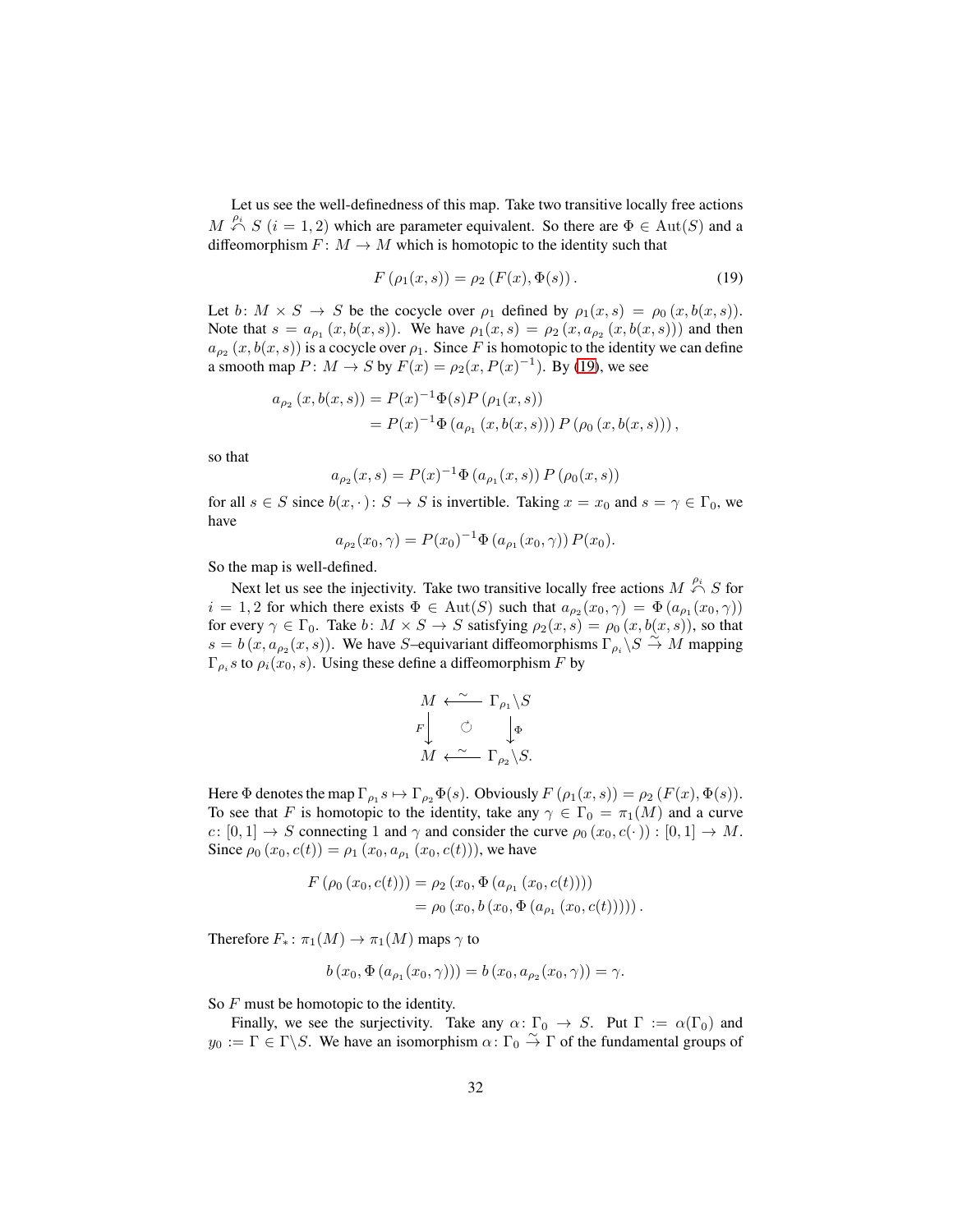Let us see the well-definedness of this map. Take two transitive locally free actions  $M \stackrel{\rho_i}{\curvearrowleft} S$  ( $i = 1, 2$ ) which are parameter equivalent. So there are  $\Phi \in \text{Aut}(S)$  and a diffeomorphism  $F: M \to M$  which is homotopic to the identity such that

<span id="page-31-0"></span>
$$
F(\rho_1(x,s)) = \rho_2(F(x), \Phi(s)).
$$
\n(19)

Let  $b: M \times S \to S$  be the cocycle over  $\rho_1$  defined by  $\rho_1(x, s) = \rho_0(x, b(x, s))$ . Note that  $s = a_{\rho_1}(x, b(x, s))$ . We have  $\rho_1(x, s) = \rho_2(x, a_{\rho_2}(x, b(x, s)))$  and then  $a_{\rho_2}(x, b(x, s))$  is a cocycle over  $\rho_1$ . Since F is homotopic to the identity we can define a smooth map  $P: M \to S$  by  $F(x) = \rho_2(x, P(x)^{-1})$ . By [\(19\)](#page-31-0), we see

$$
a_{\rho_2}(x, b(x, s)) = P(x)^{-1} \Phi(s) P(\rho_1(x, s))
$$
  
=  $P(x)^{-1} \Phi(a_{\rho_1}(x, b(x, s))) P(\rho_0(x, b(x, s)))$ ,

so that

$$
a_{\rho_2}(x,s) = P(x)^{-1} \Phi(a_{\rho_1}(x,s)) P(\rho_0(x,s))
$$

for all  $s \in S$  since  $b(x, \cdot): S \to S$  is invertible. Taking  $x = x_0$  and  $s = \gamma \in \Gamma_0$ , we have

$$
a_{\rho_2}(x_0, \gamma) = P(x_0)^{-1} \Phi (a_{\rho_1}(x_0, \gamma)) P(x_0).
$$

So the map is well-defined.

Next let us see the injectivity. Take two transitive locally free actions  $M \xrightarrow{\rho_i} S$  for  $i = 1,2$  for which there exists  $\Phi \in Aut(S)$  such that  $a_{\rho_2}(x_0, \gamma) = \Phi(a_{\rho_1}(x_0, \gamma))$ for every  $\gamma \in \Gamma_0$ . Take b:  $M \times S \to S$  satisfying  $\rho_2(x, s) = \rho_0(x, b(x, s))$ , so that  $s = b(x, a_{\rho_2}(x, s))$ . We have S–equivariant diffeomorphisms  $\Gamma_{\rho_i} \backslash S \stackrel{\sim}{\rightarrow} M$  mapping  $\Gamma_{\rho_i}$ s to  $\rho_i(x_0, s)$ . Using these define a diffeomorphism F by

$$
M \xleftarrow{\sim} \Gamma_{\rho_1} \backslash S
$$
  

$$
F \downarrow \circlearrowleft \downarrow_{\Phi}
$$
  

$$
M \xleftarrow{\sim} \Gamma_{\rho_2} \backslash S.
$$

Here  $\Phi$  denotes the map  $\Gamma_{\rho_1} s \mapsto \Gamma_{\rho_2} \Phi(s)$ . Obviously  $F(\rho_1(x, s)) = \rho_2(F(x), \Phi(s))$ . To see that F is homotopic to the identity, take any  $\gamma \in \Gamma_0 = \pi_1(M)$  and a curve  $c: [0, 1] \rightarrow S$  connecting 1 and  $\gamma$  and consider the curve  $\rho_0(x_0, c(\cdot)) : [0, 1] \rightarrow M$ . Since  $\rho_0(x_0, c(t)) = \rho_1(x_0, a_{\rho_1}(x_0, c(t))),$  we have

$$
F(\rho_0(x_0, c(t))) = \rho_2(x_0, \Phi(a_{\rho_1}(x_0, c(t))))
$$
  
=  $\rho_0(x_0, b(x_0, \Phi(a_{\rho_1}(x_0, c(t))))$ .

Therefore  $F_*$ :  $\pi_1(M) \to \pi_1(M)$  maps  $\gamma$  to

$$
b(x_0, \Phi(a_{\rho_1}(x_0, \gamma))) = b(x_0, a_{\rho_2}(x_0, \gamma)) = \gamma.
$$

So F must be homotopic to the identity.

Finally, we see the surjectivity. Take any  $\alpha\colon \Gamma_0 \to S$ . Put  $\Gamma := \alpha(\Gamma_0)$  and  $y_0 := \Gamma \in \Gamma \backslash S$ . We have an isomorphism  $\alpha \colon \Gamma_0 \overset{\sim}{\to} \Gamma$  of the fundamental groups of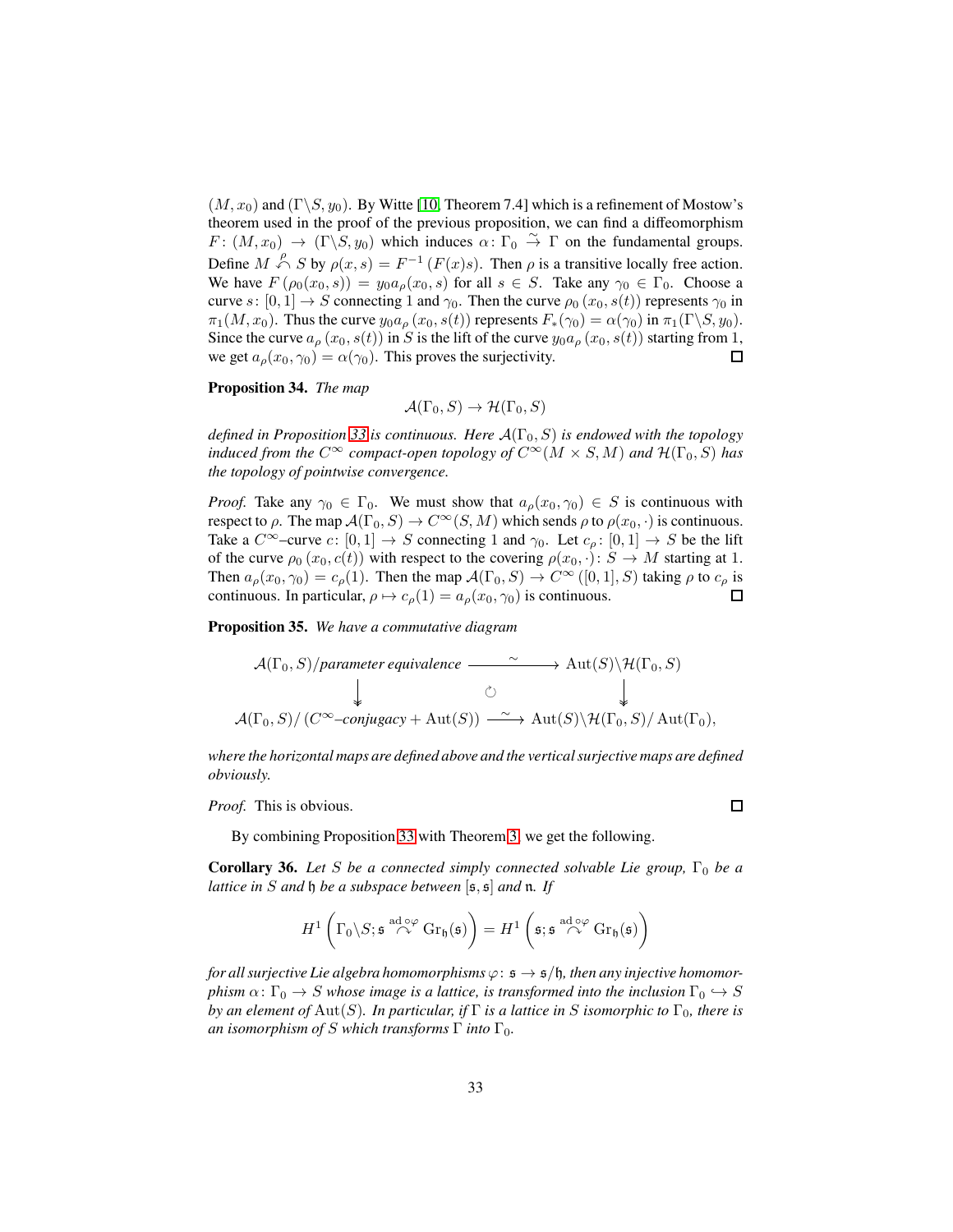$(M, x_0)$  and  $(\Gamma \backslash S, y_0)$ . By Witte [\[10,](#page-34-7) Theorem 7.4] which is a refinement of Mostow's theorem used in the proof of the previous proposition, we can find a diffeomorphism  $F: (M, x_0) \to (\Gamma \backslash S, y_0)$  which induces  $\alpha: \Gamma_0 \stackrel{\sim}{\to} \Gamma$  on the fundamental groups. Define  $M \xrightarrow{\rho} S$  by  $\rho(x, s) = F^{-1}(F(x)s)$ . Then  $\rho$  is a transitive locally free action. We have  $F(\rho_0(x_0,s)) = y_0 a_\rho(x_0,s)$  for all  $s \in S$ . Take any  $\gamma_0 \in \Gamma_0$ . Choose a curve s:  $[0, 1] \rightarrow S$  connecting 1 and  $\gamma_0$ . Then the curve  $\rho_0(x_0, s(t))$  represents  $\gamma_0$  in  $\pi_1(M, x_0)$ . Thus the curve  $y_0 a_\rho(x_0, s(t))$  represents  $F_*(\gamma_0) = \alpha(\gamma_0)$  in  $\pi_1(\Gamma \backslash S, y_0)$ . Since the curve  $a_{\rho}(x_0, s(t))$  in S is the lift of the curve  $y_0a_{\rho}(x_0, s(t))$  starting from 1, we get  $a_{\rho}(x_0, \gamma_0) = \alpha(\gamma_0)$ . This proves the surjectivity.  $\Box$ 

#### **Proposition 34.** *The map*

 $\mathcal{A}(\Gamma_0, S) \to \mathcal{H}(\Gamma_0, S)$ 

*defined in Proposition* [33](#page-30-2) *is continuous. Here*  $A(\Gamma_0, S)$  *is endowed with the topology induced from the*  $C^{\infty}$  *compact-open topology of*  $C^{\infty}(M \times S, M)$  *and*  $\mathcal{H}(\Gamma_0, S)$  *has the topology of pointwise convergence.*

*Proof.* Take any  $\gamma_0 \in \Gamma_0$ . We must show that  $a_\rho(x_0, \gamma_0) \in S$  is continuous with respect to  $\rho$ . The map  $\mathcal{A}(\Gamma_0, S) \to C^\infty(S, M)$  which sends  $\rho$  to  $\rho(x_0, \cdot)$  is continuous. Take a  $C^{\infty}$ –curve c:  $[0, 1] \rightarrow S$  connecting 1 and  $\gamma_0$ . Let  $c_o : [0, 1] \rightarrow S$  be the lift of the curve  $\rho_0(x_0, c(t))$  with respect to the covering  $\rho(x_0, \cdot): S \to M$  starting at 1. Then  $a_{\rho}(x_0, \gamma_0) = c_{\rho}(1)$ . Then the map  $\mathcal{A}(\Gamma_0, S) \to C^{\infty}([0,1], S)$  taking  $\rho$  to  $c_{\rho}$  is continuous. In particular,  $\rho \mapsto c_{\rho}(1) = a_{\rho}(x_0, \gamma_0)$  is continuous.  $\Box$ 

**Proposition 35.** *We have a commutative diagram*

$$
\mathcal{A}(\Gamma_0, S)/\text{parameter equivalence} \longrightarrow \text{Aut}(S) \backslash \mathcal{H}(\Gamma_0, S)
$$
\n
$$
\downarrow \qquad \circ \qquad \downarrow \qquad \circ
$$
\n
$$
\mathcal{A}(\Gamma_0, S)/\left(C^\infty\text{-conjugacy} + \text{Aut}(S)\right) \longrightarrow \text{Aut}(S) \backslash \mathcal{H}(\Gamma_0, S)/\text{Aut}(\Gamma_0),
$$

*where the horizontal maps are defined above and the vertical surjective maps are defined obviously.*

 $\Box$ 

*Proof.* This is obvious.

By combining Proposition [33](#page-30-2) with Theorem [3,](#page-3-0) we get the following.

**Corollary 36.** Let S be a connected simply connected solvable Lie group,  $\Gamma_0$  be a *lattice in* S *and* h *be a subspace between* [s, s] *and* n*. If*

$$
H^1\left(\Gamma_0\backslash S; \mathfrak{s} \stackrel{\mathrm{ad}\circ\varphi}{\curvearrowright} \mathrm{Gr}_{\mathfrak{h}}(\mathfrak{s})\right) = H^1\left(\mathfrak{s}; \mathfrak{s} \stackrel{\mathrm{ad}\circ\varphi}{\curvearrowright} \mathrm{Gr}_{\mathfrak{h}}(\mathfrak{s})\right)
$$

*for all surjective Lie algebra homomorphisms*  $\varphi$ :  $\mathfrak{s} \to \mathfrak{s}/\mathfrak{h}$ *, then any injective homomorphism*  $\alpha$ :  $\Gamma_0 \to S$  *whose image is a lattice, is transformed into the inclusion*  $\Gamma_0 \to S$ *by an element of* Aut(S). In particular, if  $\Gamma$  *is a lattice in* S *isomorphic to*  $\Gamma_0$ *, there is an isomorphism of* S which transforms  $\Gamma$  *into*  $\Gamma_0$ *.*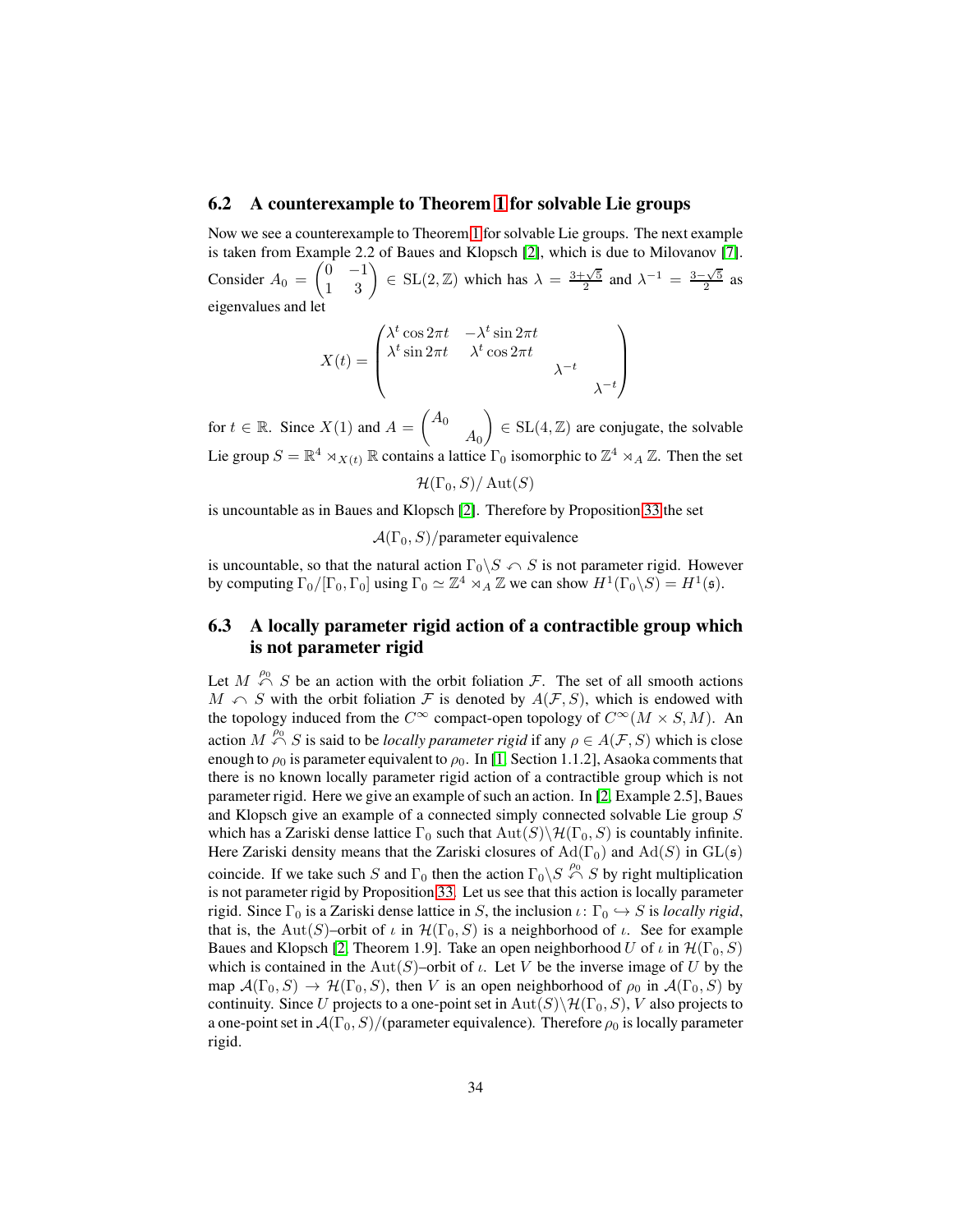#### <span id="page-33-0"></span>**6.2 A counterexample to Theorem [1](#page-1-1) for solvable Lie groups**

Now we see a counterexample to Theorem [1](#page-1-1) for solvable Lie groups. The next example is taken from Example 2.2 of Baues and Klopsch [\[2\]](#page-34-8), which is due to Milovanov [\[7\]](#page-34-9). Consider  $A_0 = \begin{pmatrix} 0 & -1 \\ 1 & 3 \end{pmatrix} \in SL(2, \mathbb{Z})$  which has  $\lambda = \frac{3+\sqrt{5}}{2}$  and  $\lambda^{-1} = \frac{3-\sqrt{5}}{2}$  as eigenvalues and let

$$
X(t) = \begin{pmatrix} \lambda^t \cos 2\pi t & -\lambda^t \sin 2\pi t \\ \lambda^t \sin 2\pi t & \lambda^t \cos 2\pi t \\ & & \lambda^{-t} \end{pmatrix}
$$

for  $t \in \mathbb{R}$ . Since  $X(1)$  and  $A = \begin{pmatrix} A_0 \\ A_1 \end{pmatrix}$  $A_0$  $\Big) \in SL(4, \mathbb{Z})$  are conjugate, the solvable Lie group  $S = \mathbb{R}^4 \rtimes_{X(t)} \mathbb{R}$  contains a lattice  $\Gamma_0$  isomorphic to  $\mathbb{Z}^4 \rtimes_A \mathbb{Z}$ . Then the set

 $\mathcal{H}(\Gamma_0, S)/\operatorname{Aut}(S)$ 

is uncountable as in Baues and Klopsch [\[2\]](#page-34-8). Therefore by Proposition [33](#page-30-2) the set

 $\mathcal{A}(\Gamma_0, S)/\text{parameter equivalence}$ 

is uncountable, so that the natural action  $\Gamma_0 \backslash S \cap S$  is not parameter rigid. However by computing  $\Gamma_0/[\Gamma_0, \Gamma_0]$  using  $\Gamma_0 \simeq \mathbb{Z}^4 \rtimes_A \mathbb{Z}$  we can show  $H^1(\Gamma_0 \backslash S) = H^1(\mathfrak{s})$ .

### <span id="page-33-1"></span>**6.3 A locally parameter rigid action of a contractible group which is not parameter rigid**

Let  $M \stackrel{\rho_0}{\curvearrowleft} S$  be an action with the orbit foliation  $\mathcal{F}$ . The set of all smooth actions  $M \curvearrowleft S$  with the orbit foliation F is denoted by  $A(F, S)$ , which is endowed with the topology induced from the  $C^{\infty}$  compact-open topology of  $C^{\infty}(M \times S, M)$ . An action  $M \stackrel{\rho_0}{\curvearrowleft} S$  is said to be *locally parameter rigid* if any  $\rho \in A(\mathcal{F}, S)$  which is close enough to  $\rho_0$  is parameter equivalent to  $\rho_0$ . In [\[1,](#page-34-4) Section 1.1.2], Asaoka comments that there is no known locally parameter rigid action of a contractible group which is not parameter rigid. Here we give an example of such an action. In [\[2,](#page-34-8) Example 2.5], Baues and Klopsch give an example of a connected simply connected solvable Lie group S which has a Zariski dense lattice  $\Gamma_0$  such that  $\text{Aut}(S)\backslash \mathcal{H}(\Gamma_0, S)$  is countably infinite. Here Zariski density means that the Zariski closures of  $\text{Ad}(\Gamma_0)$  and  $\text{Ad}(S)$  in  $\text{GL}(\mathfrak{s})$ coincide. If we take such S and  $\Gamma_0$  then the action  $\Gamma_0 \backslash S \stackrel{\rho_0}{\curvearrowleft} S$  by right multiplication is not parameter rigid by Proposition [33.](#page-30-2) Let us see that this action is locally parameter rigid. Since  $\Gamma_0$  is a Zariski dense lattice in S, the inclusion  $\iota \colon \Gamma_0 \hookrightarrow S$  is *locally rigid*, that is, the Aut(S)–orbit of  $\iota$  in  $\mathcal{H}(\Gamma_0, S)$  is a neighborhood of  $\iota$ . See for example Baues and Klopsch [\[2,](#page-34-8) Theorem 1.9]. Take an open neighborhood U of  $\iota$  in  $\mathcal{H}(\Gamma_0, S)$ which is contained in the Aut(S)–orbit of  $\iota$ . Let V be the inverse image of U by the map  $\mathcal{A}(\Gamma_0, S) \to \mathcal{H}(\Gamma_0, S)$ , then V is an open neighborhood of  $\rho_0$  in  $\mathcal{A}(\Gamma_0, S)$  by continuity. Since U projects to a one-point set in  $Aut(S)\setminus H(\Gamma_0, S)$ , V also projects to a one-point set in  $\mathcal{A}(\Gamma_0, S)/(\text{parameter equivalence})$ . Therefore  $\rho_0$  is locally parameter rigid.